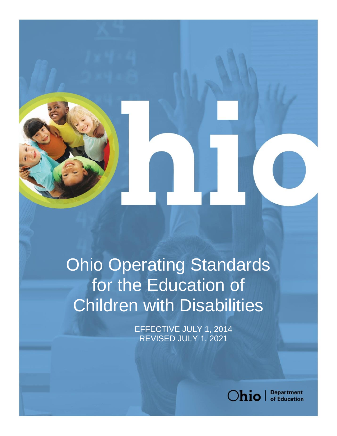

Ohio Operating Standards for the Education of Children with Disabilities

> EFFECTIVE JULY 1, 2014 REVISED JULY 1, 2021

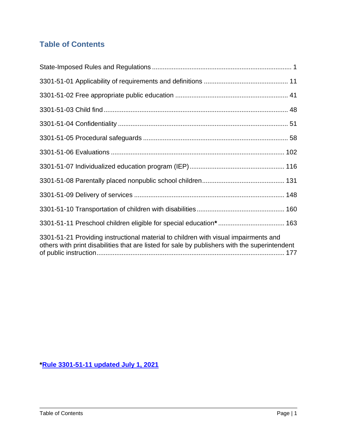# **Table of Contents**

| 3301-51-21 Providing instructional material to children with visual impairments and<br>others with print disabilities that are listed for sale by publishers with the superintendent |
|--------------------------------------------------------------------------------------------------------------------------------------------------------------------------------------|

**[\\*Rule 3301-51-11 updated July 1, 2021](https://codes.ohio.gov/ohio-administrative-code/rule-3301-51-11)**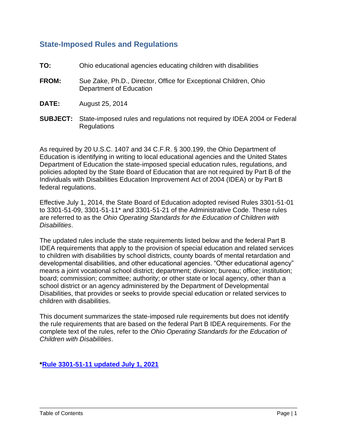### <span id="page-2-0"></span>**State-Imposed Rules and Regulations**

- **TO:** Ohio educational agencies educating children with disabilities
- **FROM:** Sue Zake, Ph.D., Director, Office for Exceptional Children, Ohio Department of Education
- **DATE:** August 25, 2014
- **SUBJECT:** State-imposed rules and regulations not required by IDEA 2004 or Federal Regulations

As required by 20 U.S.C. 1407 and 34 C.F.R. § 300.199, the Ohio Department of Education is identifying in writing to local educational agencies and the United States Department of Education the state-imposed special education rules, regulations, and policies adopted by the State Board of Education that are not required by Part B of the Individuals with Disabilities Education Improvement Act of 2004 (IDEA) or by Part B federal regulations.

Effective July 1, 2014, the State Board of Education adopted revised Rules 3301-51-01 to 3301-51-09, 3301-51-11\* and 3301-51-21 of the Administrative Code. These rules are referred to as the *Ohio Operating Standards for the Education of Children with Disabilities*.

The updated rules include the state requirements listed below and the federal Part B IDEA requirements that apply to the provision of special education and related services to children with disabilities by school districts, county boards of mental retardation and developmental disabilities, and other educational agencies. "Other educational agency" means a joint vocational school district; department; division; bureau; office; institution; board; commission; committee; authority; or other state or local agency, other than a school district or an agency administered by the Department of Developmental Disabilities, that provides or seeks to provide special education or related services to children with disabilities.

This document summarizes the state-imposed rule requirements but does not identify the rule requirements that are based on the federal Part B IDEA requirements. For the complete text of the rules, refer to the *Ohio Operating Standards for the Education of Children with Disabilities*.

**[\\*Rule 3301-51-11 updated July 1, 2021](https://codes.ohio.gov/ohio-administrative-code/rule-3301-51-11)**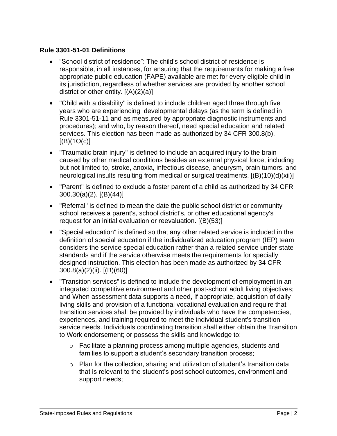### **Rule 3301-51-01 Definitions**

- "School district of residence": The child's school district of residence is responsible, in all instances, for ensuring that the requirements for making a free appropriate public education (FAPE) available are met for every eligible child in its jurisdiction, regardless of whether services are provided by another school district or other entity.  $[(A)(2)(a)]$
- "Child with a disability" is defined to include children aged three through five years who are experiencing developmental delays (as the term is defined in Rule 3301-51-11 and as measured by appropriate diagnostic instruments and procedures); and who, by reason thereof, need special education and related services. This election has been made as authorized by 34 CFR 300.8(b).  $[(B)(1O(c))]$
- "Traumatic brain injury" is defined to include an acquired injury to the brain caused by other medical conditions besides an external physical force, including but not limited to, stroke, anoxia, infectious disease, aneurysm, brain tumors, and neurological insults resulting from medical or surgical treatments. [(B)(10)(d)(xii)]
- "Parent" is defined to exclude a foster parent of a child as authorized by 34 CFR 300.30(a)(2). [(B)(44)]
- "Referral" is defined to mean the date the public school district or community school receives a parent's, school district's, or other educational agency's request for an initial evaluation or reevaluation. [(B)(53)]
- "Special education" is defined so that any other related service is included in the definition of special education if the individualized education program (IEP) team considers the service special education rather than a related service under state standards and if the service otherwise meets the requirements for specially designed instruction. This election has been made as authorized by 34 CFR 300.8(a)(2)(ii). [(B)(60)]
- "Transition services" is defined to include the development of employment in an integrated competitive environment and other post-school adult living objectives; and When assessment data supports a need, If appropriate, acquisition of daily living skills and provision of a functional vocational evaluation and require that transition services shall be provided by individuals who have the competencies, experiences, and training required to meet the individual student's transition service needs. Individuals coordinating transition shall either obtain the Transition to Work endorsement; or possess the skills and knowledge to:
	- $\circ$  Facilitate a planning process among multiple agencies, students and families to support a student's secondary transition process;
	- $\circ$  Plan for the collection, sharing and utilization of student's transition data that is relevant to the student's post school outcomes, environment and support needs;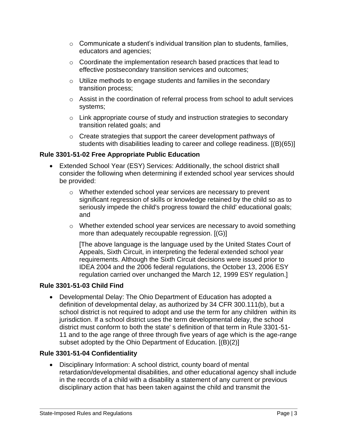- $\circ$  Communicate a student's individual transition plan to students, families, educators and agencies;
- o Coordinate the implementation research based practices that lead to effective postsecondary transition services and outcomes;
- o Utilize methods to engage students and families in the secondary transition process;
- o Assist in the coordination of referral process from school to adult services systems;
- o Link appropriate course of study and instruction strategies to secondary transition related goals; and
- o Create strategies that support the career development pathways of students with disabilities leading to career and college readiness. [(B)(65)]

### **Rule 3301-51-02 Free Appropriate Public Education**

- Extended School Year (ESY) Services: Additionally, the school district shall consider the following when determining if extended school year services should be provided:
	- o Whether extended school year services are necessary to prevent significant regression of skills or knowledge retained by the child so as to seriously impede the child's progress toward the child' educational goals; and
	- o Whether extended school year services are necessary to avoid something more than adequately recoupable regression. [(G)]

[The above language is the language used by the United States Court of Appeals, Sixth Circuit, in interpreting the federal extended school year requirements. Although the Sixth Circuit decisions were issued prior to IDEA 2004 and the 2006 federal regulations, the October 13, 2006 ESY regulation carried over unchanged the March 12, 1999 ESY regulation.]

### **Rule 3301-51-03 Child Find**

• Developmental Delay: The Ohio Department of Education has adopted a definition of developmental delay, as authorized by 34 CFR 300.111(b), but a school district is not required to adopt and use the term for any children within its jurisdiction. If a school district uses the term developmental delay, the school district must conform to both the state' s definition of that term in Rule 3301-51- 11 and to the age range of three through five years of age which is the age-range subset adopted by the Ohio Department of Education. [(B)(2)]

#### **Rule 3301-51-04 Confidentiality**

• Disciplinary Information: A school district, county board of mental retardation/developmental disabilities, and other educational agency shall include in the records of a child with a disability a statement of any current or previous disciplinary action that has been taken against the child and transmit the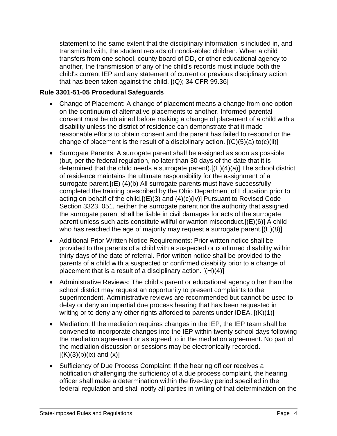statement to the same extent that the disciplinary information is included in, and transmitted with, the student records of nondisabled children. When a child transfers from one school, county board of DD, or other educational agency to another, the transmission of any of the child's records must include both the child's current IEP and any statement of current or previous disciplinary action that has been taken against the child. [(Q); 34 CFR 99.36]

### **Rule 3301-51-05 Procedural Safeguards**

- Change of Placement: A change of placement means a change from one option on the continuum of alternative placements to another. Informed parental consent must be obtained before making a change of placement of a child with a disability unless the district of residence can demonstrate that it made reasonable efforts to obtain consent and the parent has failed to respond or the change of placement is the result of a disciplinary action.  $[(C)(5)(a)$  to(c)(ii)]
- Surrogate Parents: A surrogate parent shall be assigned as soon as possible (but, per the federal regulation, no later than 30 days of the date that it is determined that the child needs a surrogate parent).[(E)(4)(a)] The school district of residence maintains the ultimate responsibility for the assignment of a surrogate parent.[(E) (4)(b) All surrogate parents must have successfully completed the training prescribed by the Ohio Department of Education prior to acting on behalf of the child. $[(E)(3)$  and  $(4)(c)(iv)]$  Pursuant to Revised Code Section 3323. 051, neither the surrogate parent nor the authority that assigned the surrogate parent shall be liable in civil damages for acts of the surrogate parent unless such acts constitute willful or wanton misconduct.[(E)(6)] A child who has reached the age of majority may request a surrogate parent.  $[(E)(8)]$
- Additional Prior Written Notice Requirements: Prior written notice shall be provided to the parents of a child with a suspected or confirmed disability within thirty days of the date of referral. Prior written notice shall be provided to the parents of a child with a suspected or confirmed disability prior to a change of placement that is a result of a disciplinary action.  $[(H)(4)]$
- Administrative Reviews: The child's parent or educational agency other than the school district may request an opportunity to present complaints to the superintendent. Administrative reviews are recommended but cannot be used to delay or deny an impartial due process hearing that has been requested in writing or to deny any other rights afforded to parents under IDEA. [(K)(1)]
- Mediation: If the mediation requires changes in the IEP, the IEP team shall be convened to incorporate changes into the IEP within twenty school days following the mediation agreement or as agreed to in the mediation agreement. No part of the mediation discussion or sessions may be electronically recorded.  $[(K)(3)(b)(ix)$  and  $(x)]$
- Sufficiency of Due Process Complaint: If the hearing officer receives a notification challenging the sufficiency of a due process complaint, the hearing officer shall make a determination within the five-day period specified in the federal regulation and shall notify all parties in writing of that determination on the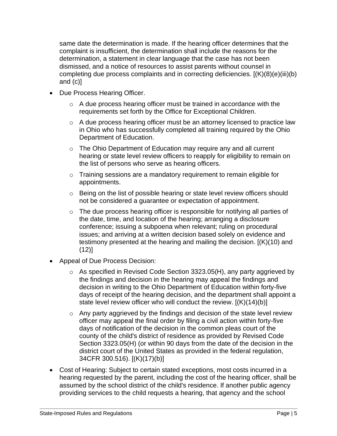same date the determination is made. If the hearing officer determines that the complaint is insufficient, the determination shall include the reasons for the determination, a statement in clear language that the case has not been dismissed, and a notice of resources to assist parents without counsel in completing due process complaints and in correcting deficiencies. [(K)(8)(e)(iii)(b) and (c)]

- Due Process Hearing Officer.
	- o A due process hearing officer must be trained in accordance with the requirements set forth by the Office for Exceptional Children.
	- o A due process hearing officer must be an attorney licensed to practice law in Ohio who has successfully completed all training required by the Ohio Department of Education.
	- o The Ohio Department of Education may require any and all current hearing or state level review officers to reapply for eligibility to remain on the list of persons who serve as hearing officers.
	- $\circ$  Training sessions are a mandatory requirement to remain eligible for appointments.
	- o Being on the list of possible hearing or state level review officers should not be considered a guarantee or expectation of appointment.
	- $\circ$  The due process hearing officer is responsible for notifying all parties of the date, time, and location of the hearing; arranging a disclosure conference; issuing a subpoena when relevant; ruling on procedural issues; and arriving at a written decision based solely on evidence and testimony presented at the hearing and mailing the decision. [(K)(10) and  $(12)$ ]
- Appeal of Due Process Decision:
	- o As specified in Revised Code Section 3323.05(H), any party aggrieved by the findings and decision in the hearing may appeal the findings and decision in writing to the Ohio Department of Education within forty-five days of receipt of the hearing decision, and the department shall appoint a state level review officer who will conduct the review.  $[(K)(14)(b)]$
	- o Any party aggrieved by the findings and decision of the state level review officer may appeal the final order by filing a civil action within forty-five days of notification of the decision in the common pleas court of the county of the child's district of residence as provided by Revised Code Section 3323.05(H) (or within 90 days from the date of the decision in the district court of the United States as provided in the federal regulation, 34CFR 300.516). [(K)(17)(b)]
- Cost of Hearing: Subject to certain stated exceptions, most costs incurred in a hearing requested by the parent, including the cost of the hearing officer, shall be assumed by the school district of the child's residence. If another public agency providing services to the child requests a hearing, that agency and the school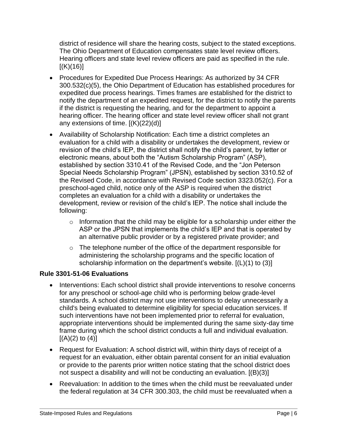district of residence will share the hearing costs, subject to the stated exceptions. The Ohio Department of Education compensates state level review officers. Hearing officers and state level review officers are paid as specified in the rule.  $[(K)(16)]$ 

- Procedures for Expedited Due Process Hearings: As authorized by 34 CFR 300.532(c)(5), the Ohio Department of Education has established procedures for expedited due process hearings. Times frames are established for the district to notify the department of an expedited request, for the district to notify the parents if the district is requesting the hearing, and for the department to appoint a hearing officer. The hearing officer and state level review officer shall not grant any extensions of time. [(K)(22)(d)]
- Availability of Scholarship Notification: Each time a district completes an evaluation for a child with a disability or undertakes the development, review or revision of the child's IEP, the district shall notify the child's parent, by letter or electronic means, about both the "Autism Scholarship Program" (ASP), established by section 3310.41 of the Revised Code, and the "Jon Peterson Special Needs Scholarship Program" (JPSN), established by section 3310.52 of the Revised Code, in accordance with Revised Code section 3323.052(c). For a preschool-aged child, notice only of the ASP is required when the district completes an evaluation for a child with a disability or undertakes the development, review or revision of the child's IEP. The notice shall include the following:
	- $\circ$  Information that the child may be eligible for a scholarship under either the ASP or the JPSN that implements the child's IEP and that is operated by an alternative public provider or by a registered private provider; and
	- $\circ$  The telephone number of the office of the department responsible for administering the scholarship programs and the specific location of scholarship information on the department's website. [(L)(1) to (3)]

### **Rule 3301-51-06 Evaluations**

- Interventions: Each school district shall provide interventions to resolve concerns for any preschool or school-age child who is performing below grade-level standards. A school district may not use interventions to delay unnecessarily a child's being evaluated to determine eligibility for special education services. If such interventions have not been implemented prior to referral for evaluation, appropriate interventions should be implemented during the same sixty-day time frame during which the school district conducts a full and individual evaluation.  $[(A)(2)$  to  $(4)]$
- Request for Evaluation: A school district will, within thirty days of receipt of a request for an evaluation, either obtain parental consent for an initial evaluation or provide to the parents prior written notice stating that the school district does not suspect a disability and will not be conducting an evaluation. [(B)(3)]
- Reevaluation: In addition to the times when the child must be reevaluated under the federal regulation at 34 CFR 300.303, the child must be reevaluated when a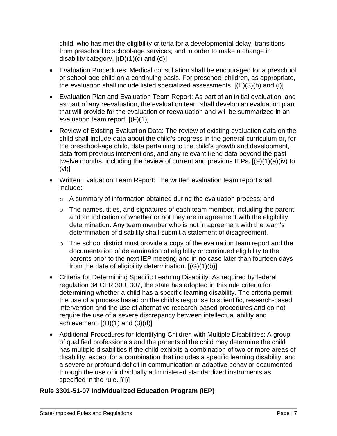child, who has met the eligibility criteria for a developmental delay, transitions from preschool to school-age services; and in order to make a change in disability category.  $[(D)(1)(c)$  and  $(d)]$ 

- Evaluation Procedures: Medical consultation shall be encouraged for a preschool or school-age child on a continuing basis. For preschool children, as appropriate, the evaluation shall include listed specialized assessments. [(E)(3)(h) and (i)]
- Evaluation Plan and Evaluation Team Report: As part of an initial evaluation, and as part of any reevaluation, the evaluation team shall develop an evaluation plan that will provide for the evaluation or reevaluation and will be summarized in an evaluation team report. [(F)(1)]
- Review of Existing Evaluation Data: The review of existing evaluation data on the child shall include data about the child's progress in the general curriculum or, for the preschool-age child, data pertaining to the child's growth and development, data from previous interventions, and any relevant trend data beyond the past twelve months, including the review of current and previous IEPs. [(F)(1)(a)(iv) to (vi)]
- Written Evaluation Team Report: The written evaluation team report shall include:
	- o A summary of information obtained during the evaluation process; and
	- $\circ$  The names, titles, and signatures of each team member, including the parent, and an indication of whether or not they are in agreement with the eligibility determination. Any team member who is not in agreement with the team's determination of disability shall submit a statement of disagreement.
	- $\circ$  The school district must provide a copy of the evaluation team report and the documentation of determination of eligibility or continued eligibility to the parents prior to the next IEP meeting and in no case later than fourteen days from the date of eligibility determination.  $[(G)(1)(b)]$
- Criteria for Determining Specific Learning Disability: As required by federal regulation 34 CFR 300. 307, the state has adopted in this rule criteria for determining whether a child has a specific learning disability. The criteria permit the use of a process based on the child's response to scientific, research-based intervention and the use of alternative research-based procedures and do not require the use of a severe discrepancy between intellectual ability and achievement.  $[(H)(1)$  and  $(3)(d)]$
- Additional Procedures for Identifying Children with Multiple Disabilities: A group of qualified professionals and the parents of the child may determine the child has multiple disabilities if the child exhibits a combination of two or more areas of disability, except for a combination that includes a specific learning disability; and a severe or profound deficit in communication or adaptive behavior documented through the use of individually administered standardized instruments as specified in the rule. [(I)]

### **Rule 3301-51-07 Individualized Education Program (IEP)**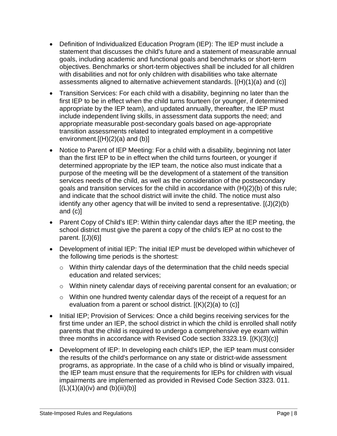- Definition of Individualized Education Program (IEP): The IEP must include a statement that discusses the child's future and a statement of measurable annual goals, including academic and functional goals and benchmarks or short-term objectives. Benchmarks or short-term objectives shall be included for all children with disabilities and not for only children with disabilities who take alternate assessments aligned to alternative achievement standards. [(H)(1)(a) and (c)]
- Transition Services: For each child with a disability, beginning no later than the first IEP to be in effect when the child turns fourteen (or younger, if determined appropriate by the IEP team), and updated annually, thereafter, the IEP must include independent living skills, in assessment data supports the need; and appropriate measurable post-secondary goals based on age-appropriate transition assessments related to integrated employment in a competitive environment. $[(H)(2)(a)$  and  $(b)]$
- Notice to Parent of IEP Meeting: For a child with a disability, beginning not later than the first IEP to be in effect when the child turns fourteen, or younger if determined appropriate by the IEP team, the notice also must indicate that a purpose of the meeting will be the development of a statement of the transition services needs of the child, as well as the consideration of the postsecondary goals and transition services for the child in accordance with (H)(2)(b) of this rule; and indicate that the school district will invite the child. The notice must also identify any other agency that will be invited to send a representative. [(J)(2)(b) and (c)]
- Parent Copy of Child's IEP: Within thirty calendar days after the IEP meeting, the school district must give the parent a copy of the child's IEP at no cost to the parent.  $[(J)(6)]$
- Development of initial IEP: The initial IEP must be developed within whichever of the following time periods is the shortest:
	- o Within thirty calendar days of the determination that the child needs special education and related services;
	- o Within ninety calendar days of receiving parental consent for an evaluation; or
	- o Within one hundred twenty calendar days of the receipt of a request for an evaluation from a parent or school district.  $[(K)(2)(a)$  to  $(c)]$
- Initial IEP; Provision of Services: Once a child begins receiving services for the first time under an IEP, the school district in which the child is enrolled shall notify parents that the child is required to undergo a comprehensive eye exam within three months in accordance with Revised Code section 3323.19. [(K)(3)(c)]
- Development of IEP: In developing each child's IEP, the IEP team must consider the results of the child's performance on any state or district-wide assessment programs, as appropriate. In the case of a child who is blind or visually impaired, the IEP team must ensure that the requirements for IEPs for children with visual impairments are implemented as provided in Revised Code Section 3323. 011.  $[(L)(1)(a)(iv)$  and  $(b)(iii)(b)]$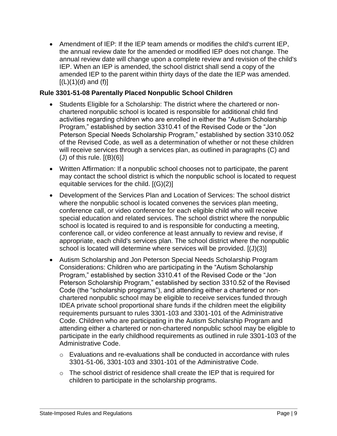• Amendment of IEP: If the IEP team amends or modifies the child's current IEP, the annual review date for the amended or modified IEP does not change. The annual review date will change upon a complete review and revision of the child's IEP. When an IEP is amended, the school district shall send a copy of the amended IEP to the parent within thirty days of the date the IEP was amended.  $[(L)(1)(d)$  and  $(f)]$ 

### **Rule 3301-51-08 Parentally Placed Nonpublic School Children**

- Students Eligible for a Scholarship: The district where the chartered or nonchartered nonpublic school is located is responsible for additional child find activities regarding children who are enrolled in either the "Autism Scholarship Program," established by section 3310.41 of the Revised Code or the "Jon Peterson Special Needs Scholarship Program," established by section 3310.052 of the Revised Code, as well as a determination of whether or not these children will receive services through a services plan, as outlined in paragraphs (C) and  $(J)$  of this rule.  $[(B)(6)]$
- Written Affirmation: If a nonpublic school chooses not to participate, the parent may contact the school district is which the nonpublic school is located to request equitable services for the child.  $[(G)(2)]$
- Development of the Services Plan and Location of Services: The school district where the nonpublic school is located convenes the services plan meeting, conference call, or video conference for each eligible child who will receive special education and related services. The school district where the nonpublic school is located is required to and is responsible for conducting a meeting, conference call, or video conference at least annually to review and revise, if appropriate, each child's services plan. The school district where the nonpublic school is located will determine where services will be provided. [(J)(3)]
- Autism Scholarship and Jon Peterson Special Needs Scholarship Program Considerations: Children who are participating in the "Autism Scholarship Program," established by section 3310.41 of the Revised Code or the "Jon Peterson Scholarship Program," established by section 3310.52 of the Revised Code (the "scholarship programs"), and attending either a chartered or nonchartered nonpublic school may be eligible to receive services funded through IDEA private school proportional share funds if the children meet the eligibility requirements pursuant to rules 3301-103 and 3301-101 of the Administrative Code. Children who are participating in the Autism Scholarship Program and attending either a chartered or non-chartered nonpublic school may be eligible to participate in the early childhood requirements as outlined in rule 3301-103 of the Administrative Code.
	- $\circ$  Evaluations and re-evaluations shall be conducted in accordance with rules 3301-51-06, 3301-103 and 3301-101 of the Administrative Code.
	- o The school district of residence shall create the IEP that is required for children to participate in the scholarship programs.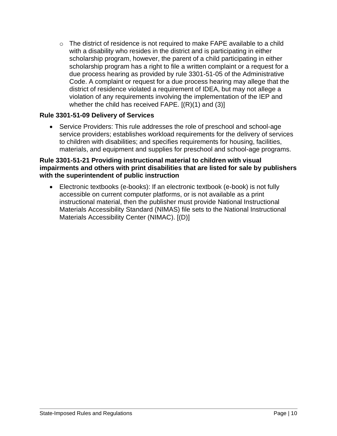$\circ$  The district of residence is not required to make FAPE available to a child with a disability who resides in the district and is participating in either scholarship program, however, the parent of a child participating in either scholarship program has a right to file a written complaint or a request for a due process hearing as provided by rule 3301-51-05 of the Administrative Code. A complaint or request for a due process hearing may allege that the district of residence violated a requirement of IDEA, but may not allege a violation of any requirements involving the implementation of the IEP and whether the child has received FAPE.  $[(R)(1)$  and  $(3)]$ 

### **Rule 3301-51-09 Delivery of Services**

• Service Providers: This rule addresses the role of preschool and school-age service providers; establishes workload requirements for the delivery of services to children with disabilities; and specifies requirements for housing, facilities, materials, and equipment and supplies for preschool and school-age programs.

#### **Rule 3301-51-21 Providing instructional material to children with visual impairments and others with print disabilities that are listed for sale by publishers with the superintendent of public instruction**

• Electronic textbooks (e-books): If an electronic textbook (e-book) is not fully accessible on current computer platforms, or is not available as a print instructional material, then the publisher must provide National Instructional Materials Accessibility Standard (NIMAS) file sets to the National Instructional Materials Accessibility Center (NIMAC). [(D)]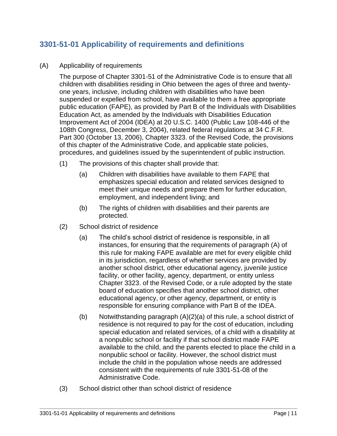## <span id="page-12-0"></span>**3301-51-01 Applicability of requirements and definitions**

### (A) Applicability of requirements

The purpose of Chapter 3301-51 of the Administrative Code is to ensure that all children with disabilities residing in Ohio between the ages of three and twentyone years, inclusive, including children with disabilities who have been suspended or expelled from school, have available to them a free appropriate public education (FAPE), as provided by Part B of the Individuals with Disabilities Education Act, as amended by the Individuals with Disabilities Education Improvement Act of 2004 (IDEA) at 20 U.S.C. 1400 (Public Law 108-446 of the 108th Congress, December 3, 2004), related federal regulations at 34 C.F.R. Part 300 (October 13, 2006), Chapter 3323. of the Revised Code, the provisions of this chapter of the Administrative Code, and applicable state policies, procedures, and guidelines issued by the superintendent of public instruction.

- (1) The provisions of this chapter shall provide that:
	- (a) Children with disabilities have available to them FAPE that emphasizes special education and related services designed to meet their unique needs and prepare them for further education, employment, and independent living; and
	- (b) The rights of children with disabilities and their parents are protected.
- (2) School district of residence
	- (a) The child's school district of residence is responsible, in all instances, for ensuring that the requirements of paragraph (A) of this rule for making FAPE available are met for every eligible child in its jurisdiction, regardless of whether services are provided by another school district, other educational agency, juvenile justice facility, or other facility, agency, department, or entity unless Chapter 3323. of the Revised Code, or a rule adopted by the state board of education specifies that another school district, other educational agency, or other agency, department, or entity is responsible for ensuring compliance with Part B of the IDEA.
	- (b) Notwithstanding paragraph (A)(2)(a) of this rule, a school district of residence is not required to pay for the cost of education, including special education and related services, of a child with a disability at a nonpublic school or facility if that school district made FAPE available to the child, and the parents elected to place the child in a nonpublic school or facility. However, the school district must include the child in the population whose needs are addressed consistent with the requirements of rule 3301-51-08 of the Administrative Code.
- (3) School district other than school district of residence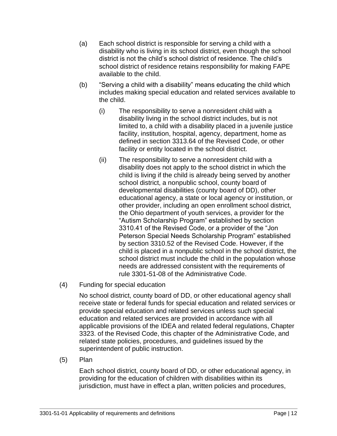- (a) Each school district is responsible for serving a child with a disability who is living in its school district, even though the school district is not the child's school district of residence. The child's school district of residence retains responsibility for making FAPE available to the child.
- (b) "Serving a child with a disability" means educating the child which includes making special education and related services available to the child.
	- (i) The responsibility to serve a nonresident child with a disability living in the school district includes, but is not limited to, a child with a disability placed in a juvenile justice facility, institution, hospital, agency, department, home as defined in section 3313.64 of the Revised Code, or other facility or entity located in the school district.
	- (ii) The responsibility to serve a nonresident child with a disability does not apply to the school district in which the child is living if the child is already being served by another school district, a nonpublic school, county board of developmental disabilities (county board of DD), other educational agency, a state or local agency or institution, or other provider, including an open enrollment school district, the Ohio department of youth services, a provider for the "Autism Scholarship Program" established by section 3310.41 of the Revised Code, or a provider of the "Jon Peterson Special Needs Scholarship Program" established by section 3310.52 of the Revised Code. However, if the child is placed in a nonpublic school in the school district, the school district must include the child in the population whose needs are addressed consistent with the requirements of rule 3301-51-08 of the Administrative Code.
- (4) Funding for special education

No school district, county board of DD, or other educational agency shall receive state or federal funds for special education and related services or provide special education and related services unless such special education and related services are provided in accordance with all applicable provisions of the IDEA and related federal regulations, Chapter 3323. of the Revised Code, this chapter of the Administrative Code, and related state policies, procedures, and guidelines issued by the superintendent of public instruction.

(5) Plan

Each school district, county board of DD, or other educational agency, in providing for the education of children with disabilities within its jurisdiction, must have in effect a plan, written policies and procedures,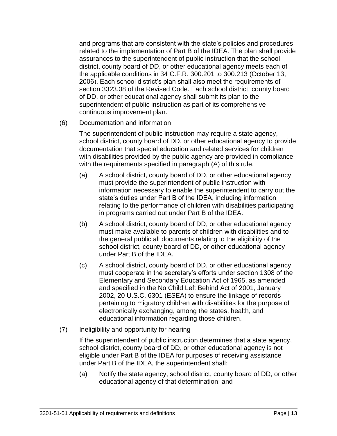and programs that are consistent with the state's policies and procedures related to the implementation of Part B of the IDEA. The plan shall provide assurances to the superintendent of public instruction that the school district, county board of DD, or other educational agency meets each of the applicable conditions in 34 C.F.R. 300.201 to 300.213 (October 13, 2006). Each school district's plan shall also meet the requirements of section 3323.08 of the Revised Code. Each school district, county board of DD, or other educational agency shall submit its plan to the superintendent of public instruction as part of its comprehensive continuous improvement plan.

(6) Documentation and information

The superintendent of public instruction may require a state agency, school district, county board of DD, or other educational agency to provide documentation that special education and related services for children with disabilities provided by the public agency are provided in compliance with the requirements specified in paragraph (A) of this rule.

- (a) A school district, county board of DD, or other educational agency must provide the superintendent of public instruction with information necessary to enable the superintendent to carry out the state's duties under Part B of the IDEA, including information relating to the performance of children with disabilities participating in programs carried out under Part B of the IDEA.
- (b) A school district, county board of DD, or other educational agency must make available to parents of children with disabilities and to the general public all documents relating to the eligibility of the school district, county board of DD, or other educational agency under Part B of the IDEA.
- (c) A school district, county board of DD, or other educational agency must cooperate in the secretary's efforts under section 1308 of the Elementary and Secondary Education Act of 1965, as amended and specified in the No Child Left Behind Act of 2001, January 2002, 20 U.S.C. 6301 (ESEA) to ensure the linkage of records pertaining to migratory children with disabilities for the purpose of electronically exchanging, among the states, health, and educational information regarding those children.
- (7) Ineligibility and opportunity for hearing

If the superintendent of public instruction determines that a state agency, school district, county board of DD, or other educational agency is not eligible under Part B of the IDEA for purposes of receiving assistance under Part B of the IDEA, the superintendent shall:

(a) Notify the state agency, school district, county board of DD, or other educational agency of that determination; and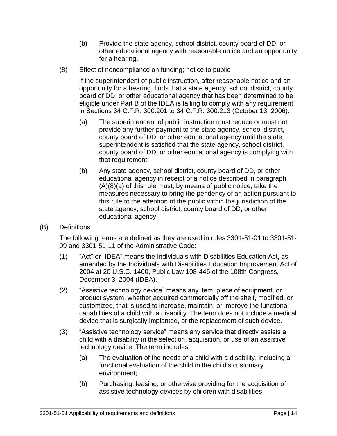- (b) Provide the state agency, school district, county board of DD, or other educational agency with reasonable notice and an opportunity for a hearing.
- (8) Effect of noncompliance on funding; notice to public

If the superintendent of public instruction, after reasonable notice and an opportunity for a hearing, finds that a state agency, school district, county board of DD, or other educational agency that has been determined to be eligible under Part B of the IDEA is failing to comply with any requirement in Sections 34 C.F.R. 300.201 to 34 C.F.R. 300.213 (October 13, 2006):

- (a) The superintendent of public instruction must reduce or must not provide any further payment to the state agency, school district, county board of DD, or other educational agency until the state superintendent is satisfied that the state agency, school district, county board of DD, or other educational agency is complying with that requirement.
- (b) Any state agency, school district, county board of DD, or other educational agency in receipt of a notice described in paragraph (A)(8)(a) of this rule must, by means of public notice, take the measures necessary to bring the pendency of an action pursuant to this rule to the attention of the public within the jurisdiction of the state agency, school district, county board of DD, or other educational agency.
- (B) Definitions

The following terms are defined as they are used in rules 3301-51-01 to 3301-51- 09 and 3301-51-11 of the Administrative Code:

- (1) "Act" or "IDEA" means the Individuals with Disabilities Education Act, as amended by the Individuals with Disabilities Education Improvement Act of 2004 at 20 U.S.C. 1400, Public Law 108-446 of the 108th Congress, December 3, 2004 (IDEA).
- (2) "Assistive technology device" means any item, piece of equipment, or product system, whether acquired commercially off the shelf, modified, or customized, that is used to increase, maintain, or improve the functional capabilities of a child with a disability. The term does not include a medical device that is surgically implanted, or the replacement of such device.
- (3) "Assistive technology service" means any service that directly assists a child with a disability in the selection, acquisition, or use of an assistive technology device. The term includes:
	- (a) The evaluation of the needs of a child with a disability, including a functional evaluation of the child in the child's customary environment;
	- (b) Purchasing, leasing, or otherwise providing for the acquisition of assistive technology devices by children with disabilities;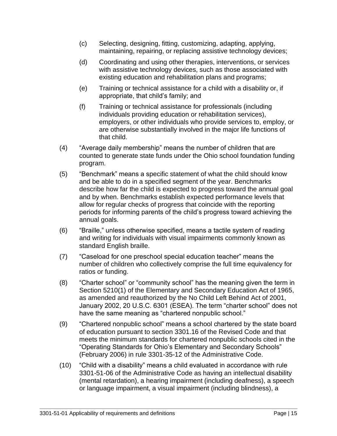- (c) Selecting, designing, fitting, customizing, adapting, applying, maintaining, repairing, or replacing assistive technology devices;
- (d) Coordinating and using other therapies, interventions, or services with assistive technology devices, such as those associated with existing education and rehabilitation plans and programs;
- (e) Training or technical assistance for a child with a disability or, if appropriate, that child's family; and
- (f) Training or technical assistance for professionals (including individuals providing education or rehabilitation services), employers, or other individuals who provide services to, employ, or are otherwise substantially involved in the major life functions of that child.
- (4) "Average daily membership" means the number of children that are counted to generate state funds under the Ohio school foundation funding program.
- (5) "Benchmark" means a specific statement of what the child should know and be able to do in a specified segment of the year. Benchmarks describe how far the child is expected to progress toward the annual goal and by when. Benchmarks establish expected performance levels that allow for regular checks of progress that coincide with the reporting periods for informing parents of the child's progress toward achieving the annual goals.
- (6) "Braille," unless otherwise specified, means a tactile system of reading and writing for individuals with visual impairments commonly known as standard English braille.
- (7) "Caseload for one preschool special education teacher" means the number of children who collectively comprise the full time equivalency for ratios or funding.
- (8) "Charter school" or "community school" has the meaning given the term in Section 5210(1) of the Elementary and Secondary Education Act of 1965, as amended and reauthorized by the No Child Left Behind Act of 2001, January 2002, 20 U.S.C. 6301 (ESEA). The term "charter school" does not have the same meaning as "chartered nonpublic school."
- (9) "Chartered nonpublic school" means a school chartered by the state board of education pursuant to section 3301.16 of the Revised Code and that meets the minimum standards for chartered nonpublic schools cited in the "Operating Standards for Ohio's Elementary and Secondary Schools" (February 2006) in rule 3301-35-12 of the Administrative Code.
- (10) "Child with a disability" means a child evaluated in accordance with rule 3301-51-06 of the Administrative Code as having an intellectual disability (mental retardation), a hearing impairment (including deafness), a speech or language impairment, a visual impairment (including blindness), a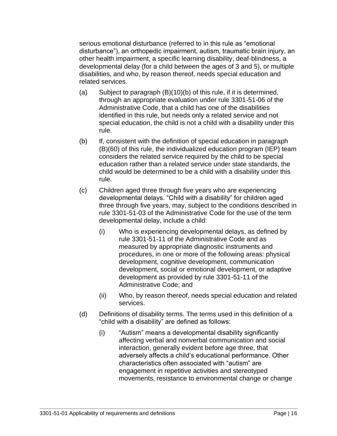serious emotional disturbance (referred to in this rule as "emotional disturbance"), an orthopedic impairment, autism, traumatic brain injury, an other health impairment, a specific learning disability, deaf-blindness, a developmental delay (for a child between the ages of 3 and 5), or multiple disabilities, and who, by reason thereof, needs special education and related services.

- (a) Subject to paragraph (B)(10)(b) of this rule, if it is determined, through an appropriate evaluation under rule 3301-51-06 of the Administrative Code, that a child has one of the disabilities identified in this rule, but needs only a related service and not special education, the child is not a child with a disability under this rule.
- (b) If, consistent with the definition of special education in paragraph (B)(60) of this rule, the individualized education program (IEP) team considers the related service required by the child to be special education rather than a related service under state standards, the child would be determined to be a child with a disability under this rule.
- (c) Children aged three through five years who are experiencing developmental delays. "Child with a disability" for children aged three through five years, may, subject to the conditions described in rule 3301-51-03 of the Administrative Code for the use of the term developmental delay, include a child:
	- (i) Who is experiencing developmental delays, as defined by rule 3301-51-11 of the Administrative Code and as measured by appropriate diagnostic instruments and procedures, in one or more of the following areas: physical development, cognitive development, communication development, social or emotional development, or adaptive development as provided by rule 3301-51-11 of the Administrative Code; and
	- (ii) Who, by reason thereof, needs special education and related services.
- (d) Definitions of disability terms. The terms used in this definition of a "child with a disability" are defined as follows:
	- (i) "Autism" means a developmental disability significantly affecting verbal and nonverbal communication and social interaction, generally evident before age three, that adversely affects a child's educational performance. Other characteristics often associated with "autism" are engagement in repetitive activities and stereotyped movements, resistance to environmental change or change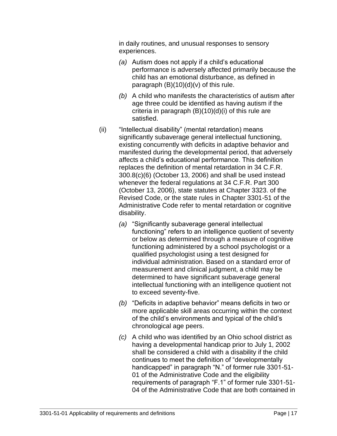in daily routines, and unusual responses to sensory experiences.

- *(a)* Autism does not apply if a child's educational performance is adversely affected primarily because the child has an emotional disturbance, as defined in paragraph  $(B)(10)(d)(v)$  of this rule.
- *(b)* A child who manifests the characteristics of autism after age three could be identified as having autism if the criteria in paragraph (B)(10)(d)(i) of this rule are satisfied.
- (ii) "Intellectual disability" (mental retardation) means significantly subaverage general intellectual functioning, existing concurrently with deficits in adaptive behavior and manifested during the developmental period, that adversely affects a child's educational performance. This definition replaces the definition of mental retardation in 34 C.F.R. 300.8(c)(6) (October 13, 2006) and shall be used instead whenever the federal regulations at 34 C.F.R. Part 300 (October 13, 2006), state statutes at Chapter 3323. of the Revised Code, or the state rules in Chapter 3301-51 of the Administrative Code refer to mental retardation or cognitive disability.
	- *(a)* "Significantly subaverage general intellectual functioning" refers to an intelligence quotient of seventy or below as determined through a measure of cognitive functioning administered by a school psychologist or a qualified psychologist using a test designed for individual administration. Based on a standard error of measurement and clinical judgment, a child may be determined to have significant subaverage general intellectual functioning with an intelligence quotient not to exceed seventy-five.
	- *(b)* "Deficits in adaptive behavior" means deficits in two or more applicable skill areas occurring within the context of the child's environments and typical of the child's chronological age peers.
	- *(c)* A child who was identified by an Ohio school district as having a developmental handicap prior to July 1, 2002 shall be considered a child with a disability if the child continues to meet the definition of "developmentally handicapped" in paragraph "N." of former rule 3301-51- 01 of the Administrative Code and the eligibility requirements of paragraph "F.1" of former rule 3301-51- 04 of the Administrative Code that are both contained in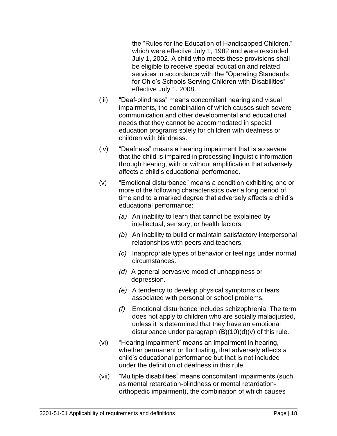the "Rules for the Education of Handicapped Children," which were effective July 1, 1982 and were rescinded July 1, 2002. A child who meets these provisions shall be eligible to receive special education and related services in accordance with the "Operating Standards for Ohio's Schools Serving Children with Disabilities" effective July 1, 2008.

- (iii) "Deaf-blindness" means concomitant hearing and visual impairments, the combination of which causes such severe communication and other developmental and educational needs that they cannot be accommodated in special education programs solely for children with deafness or children with blindness.
- (iv) "Deafness" means a hearing impairment that is so severe that the child is impaired in processing linguistic information through hearing, with or without amplification that adversely affects a child's educational performance.
- (v) "Emotional disturbance" means a condition exhibiting one or more of the following characteristics over a long period of time and to a marked degree that adversely affects a child's educational performance:
	- *(a)* An inability to learn that cannot be explained by intellectual, sensory, or health factors.
	- *(b)* An inability to build or maintain satisfactory interpersonal relationships with peers and teachers.
	- *(c)* Inappropriate types of behavior or feelings under normal circumstances.
	- *(d)* A general pervasive mood of unhappiness or depression.
	- *(e)* A tendency to develop physical symptoms or fears associated with personal or school problems.
	- *(f)* Emotional disturbance includes schizophrenia. The term does not apply to children who are socially maladjusted, unless it is determined that they have an emotional disturbance under paragraph (B)(10)(d)(v) of this rule.
- (vi) "Hearing impairment" means an impairment in hearing, whether permanent or fluctuating, that adversely affects a child's educational performance but that is not included under the definition of deafness in this rule.
- (vii) "Multiple disabilities" means concomitant impairments (such as mental retardation-blindness or mental retardationorthopedic impairment), the combination of which causes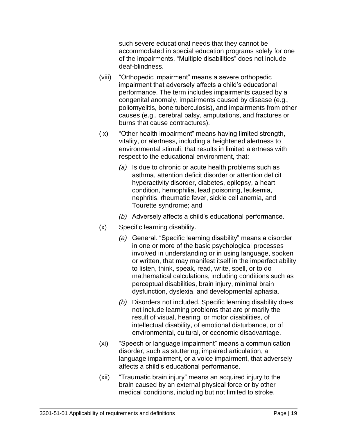such severe educational needs that they cannot be accommodated in special education programs solely for one of the impairments. "Multiple disabilities" does not include deaf-blindness.

- (viii) "Orthopedic impairment" means a severe orthopedic impairment that adversely affects a child's educational performance. The term includes impairments caused by a congenital anomaly, impairments caused by disease (e.g., poliomyelitis, bone tuberculosis), and impairments from other causes (e.g., cerebral palsy, amputations, and fractures or burns that cause contractures).
- (ix) "Other health impairment" means having limited strength, vitality, or alertness, including a heightened alertness to environmental stimuli, that results in limited alertness with respect to the educational environment, that:
	- *(a)* Is due to chronic or acute health problems such as asthma, attention deficit disorder or attention deficit hyperactivity disorder, diabetes, epilepsy, a heart condition, hemophilia, lead poisoning, leukemia, nephritis, rheumatic fever, sickle cell anemia, and Tourette syndrome; and
	- *(b)* Adversely affects a child's educational performance.
- (x) Specific learning disability.
	- *(a)* General. "Specific learning disability" means a disorder in one or more of the basic psychological processes involved in understanding or in using language, spoken or written, that may manifest itself in the imperfect ability to listen, think, speak, read, write, spell, or to do mathematical calculations, including conditions such as perceptual disabilities, brain injury, minimal brain dysfunction, dyslexia, and developmental aphasia.
	- *(b)* Disorders not included. Specific learning disability does not include learning problems that are primarily the result of visual, hearing, or motor disabilities, of intellectual disability, of emotional disturbance, or of environmental, cultural, or economic disadvantage.
- (xi) "Speech or language impairment" means a communication disorder, such as stuttering, impaired articulation, a language impairment, or a voice impairment, that adversely affects a child's educational performance.
- (xii) "Traumatic brain injury" means an acquired injury to the brain caused by an external physical force or by other medical conditions, including but not limited to stroke,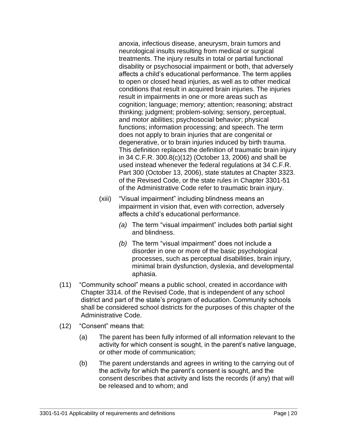anoxia, infectious disease, aneurysm, brain tumors and neurological insults resulting from medical or surgical treatments. The injury results in total or partial functional disability or psychosocial impairment or both, that adversely affects a child's educational performance. The term applies to open or closed head injuries, as well as to other medical conditions that result in acquired brain injuries. The injuries result in impairments in one or more areas such as cognition; language; memory; attention; reasoning; abstract thinking; judgment; problem-solving; sensory, perceptual, and motor abilities; psychosocial behavior; physical functions; information processing; and speech. The term does not apply to brain injuries that are congenital or degenerative, or to brain injuries induced by birth trauma. This definition replaces the definition of traumatic brain injury in 34 C.F.R. 300.8(c)(12) (October 13, 2006) and shall be used instead whenever the federal regulations at 34 C.F.R. Part 300 (October 13, 2006), state statutes at Chapter 3323. of the Revised Code, or the state rules in Chapter 3301-51 of the Administrative Code refer to traumatic brain injury.

- (xiii) "Visual impairment" including blindness means an impairment in vision that, even with correction, adversely affects a child's educational performance.
	- *(a)* The term "visual impairment" includes both partial sight and blindness.
	- *(b)* The term "visual impairment" does not include a disorder in one or more of the basic psychological processes, such as perceptual disabilities, brain injury, minimal brain dysfunction, dyslexia, and developmental aphasia.
- (11) "Community school" means a public school, created in accordance with Chapter 3314. of the Revised Code, that is independent of any school district and part of the state's program of education. Community schools shall be considered school districts for the purposes of this chapter of the Administrative Code.
- (12) "Consent" means that:
	- (a) The parent has been fully informed of all information relevant to the activity for which consent is sought, in the parent's native language, or other mode of communication;
	- (b) The parent understands and agrees in writing to the carrying out of the activity for which the parent's consent is sought, and the consent describes that activity and lists the records (if any) that will be released and to whom; and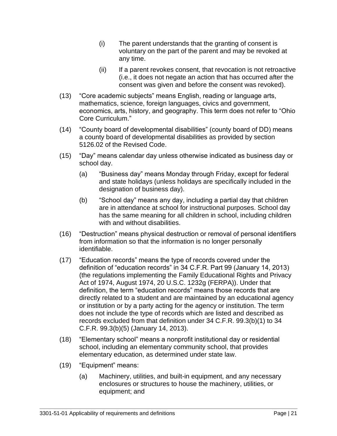- (i) The parent understands that the granting of consent is voluntary on the part of the parent and may be revoked at any time.
- (ii) If a parent revokes consent, that revocation is not retroactive (i.e., it does not negate an action that has occurred after the consent was given and before the consent was revoked).
- (13) "Core academic subjects" means English, reading or language arts, mathematics, science, foreign languages, civics and government, economics, arts, history, and geography. This term does not refer to "Ohio Core Curriculum."
- (14) "County board of developmental disabilities" (county board of DD) means a county board of developmental disabilities as provided by section 5126.02 of the Revised Code.
- (15) "Day" means calendar day unless otherwise indicated as business day or school day.
	- (a) "Business day" means Monday through Friday, except for federal and state holidays (unless holidays are specifically included in the designation of business day).
	- (b) "School day" means any day, including a partial day that children are in attendance at school for instructional purposes. School day has the same meaning for all children in school, including children with and without disabilities.
- (16) "Destruction" means physical destruction or removal of personal identifiers from information so that the information is no longer personally identifiable.
- (17) "Education records" means the type of records covered under the definition of "education records" in 34 C.F.R. Part 99 (January 14, 2013) (the regulations implementing the Family Educational Rights and Privacy Act of 1974, August 1974, 20 U.S.C. 1232g (FERPA)). Under that definition, the term "education records" means those records that are directly related to a student and are maintained by an educational agency or institution or by a party acting for the agency or institution. The term does not include the type of records which are listed and described as records excluded from that definition under 34 C.F.R. 99.3(b)(1) to 34 C.F.R. 99.3(b)(5) (January 14, 2013).
- (18) "Elementary school" means a nonprofit institutional day or residential school, including an elementary community school, that provides elementary education, as determined under state law.
- (19) "Equipment" means:
	- (a) Machinery, utilities, and built-in equipment, and any necessary enclosures or structures to house the machinery, utilities, or equipment; and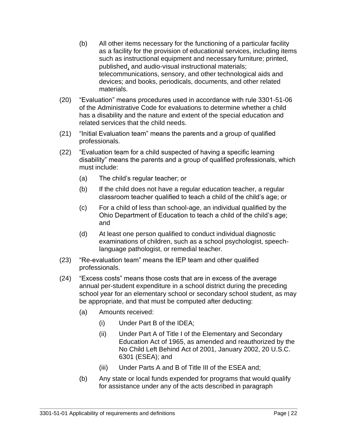- (b) All other items necessary for the functioning of a particular facility as a facility for the provision of educational services, including items such as instructional equipment and necessary furniture; printed, published, and audio-visual instructional materials; telecommunications, sensory, and other technological aids and devices; and books, periodicals, documents, and other related materials.
- (20) "Evaluation" means procedures used in accordance with rule 3301-51-06 of the Administrative Code for evaluations to determine whether a child has a disability and the nature and extent of the special education and related services that the child needs.
- (21) "Initial Evaluation team" means the parents and a group of qualified professionals.
- (22) "Evaluation team for a child suspected of having a specific learning disability" means the parents and a group of qualified professionals, which must include:
	- (a) The child's regular teacher; or
	- (b) If the child does not have a regular education teacher, a regular classroom teacher qualified to teach a child of the child's age; or
	- (c) For a child of less than school-age, an individual qualified by the Ohio Department of Education to teach a child of the child's age; and
	- (d) At least one person qualified to conduct individual diagnostic examinations of children, such as a school psychologist, speechlanguage pathologist, or remedial teacher.
- (23) "Re-evaluation team" means the IEP team and other qualified professionals.
- (24) "Excess costs" means those costs that are in excess of the average annual per-student expenditure in a school district during the preceding school year for an elementary school or secondary school student, as may be appropriate, and that must be computed after deducting:
	- (a) Amounts received:
		- (i) Under Part B of the IDEA;
		- (ii) Under Part A of Title I of the Elementary and Secondary Education Act of 1965, as amended and reauthorized by the No Child Left Behind Act of 2001, January 2002, 20 U.S.C. 6301 (ESEA); and
		- (iii) Under Parts A and B of Title III of the ESEA and;
	- (b) Any state or local funds expended for programs that would qualify for assistance under any of the acts described in paragraph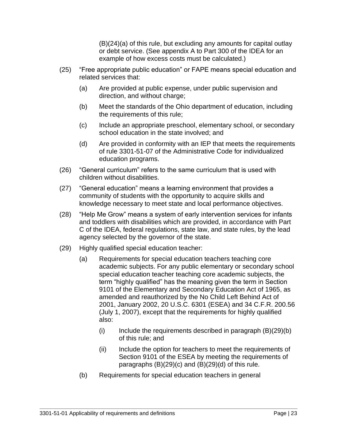(B)(24)(a) of this rule, but excluding any amounts for capital outlay or debt service. (See appendix A to Part 300 of the IDEA for an example of how excess costs must be calculated.)

- (25) "Free appropriate public education" or FAPE means special education and related services that:
	- (a) Are provided at public expense, under public supervision and direction, and without charge;
	- (b) Meet the standards of the Ohio department of education, including the requirements of this rule;
	- (c) Include an appropriate preschool, elementary school, or secondary school education in the state involved; and
	- (d) Are provided in conformity with an IEP that meets the requirements of rule 3301-51-07 of the Administrative Code for individualized education programs.
- (26) "General curriculum" refers to the same curriculum that is used with children without disabilities.
- (27) "General education" means a learning environment that provides a community of students with the opportunity to acquire skills and knowledge necessary to meet state and local performance objectives.
- (28) "Help Me Grow" means a system of early intervention services for infants and toddlers with disabilities which are provided, in accordance with Part C of the IDEA, federal regulations, state law, and state rules, by the lead agency selected by the governor of the state.
- (29) Highly qualified special education teacher:
	- (a) Requirements for special education teachers teaching core academic subjects. For any public elementary or secondary school special education teacher teaching core academic subjects, the term "highly qualified" has the meaning given the term in Section 9101 of the Elementary and Secondary Education Act of 1965, as amended and reauthorized by the No Child Left Behind Act of 2001, January 2002, 20 U.S.C. 6301 (ESEA) and 34 C.F.R. 200.56 (July 1, 2007), except that the requirements for highly qualified also:
		- $(i)$  Include the requirements described in paragraph  $(B)(29)(b)$ of this rule; and
		- (ii) Include the option for teachers to meet the requirements of Section 9101 of the ESEA by meeting the requirements of paragraphs (B)(29)(c) and (B)(29)(d) of this rule.
	- (b) Requirements for special education teachers in general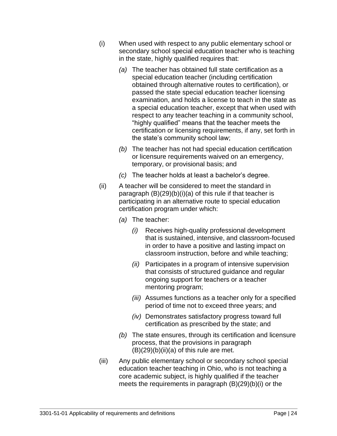- (i) When used with respect to any public elementary school or secondary school special education teacher who is teaching in the state, highly qualified requires that:
	- *(a)* The teacher has obtained full state certification as a special education teacher (including certification obtained through alternative routes to certification), or passed the state special education teacher licensing examination, and holds a license to teach in the state as a special education teacher, except that when used with respect to any teacher teaching in a community school, "highly qualified" means that the teacher meets the certification or licensing requirements, if any, set forth in the state's community school law;
	- *(b)* The teacher has not had special education certification or licensure requirements waived on an emergency, temporary, or provisional basis; and
	- *(c)* The teacher holds at least a bachelor's degree.
- (ii) A teacher will be considered to meet the standard in paragraph (B)(29)(b)(i)(a) of this rule if that teacher is participating in an alternative route to special education certification program under which:
	- *(a)* The teacher:
		- *(i)* Receives high-quality professional development that is sustained, intensive, and classroom-focused in order to have a positive and lasting impact on classroom instruction, before and while teaching;
		- *(ii)* Participates in a program of intensive supervision that consists of structured guidance and regular ongoing support for teachers or a teacher mentoring program;
		- *(iii)* Assumes functions as a teacher only for a specified period of time not to exceed three years; and
		- *(iv)* Demonstrates satisfactory progress toward full certification as prescribed by the state; and
	- *(b)* The state ensures, through its certification and licensure process, that the provisions in paragraph  $(B)(29)(b)(ii)(a)$  of this rule are met.
- (iii) Any public elementary school or secondary school special education teacher teaching in Ohio, who is not teaching a core academic subject, is highly qualified if the teacher meets the requirements in paragraph (B)(29)(b)(i) or the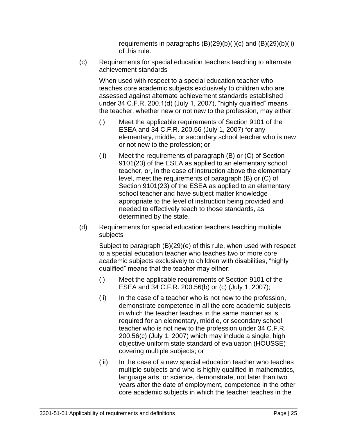requirements in paragraphs  $(B)(29)(b)(i)(c)$  and  $(B)(29)(b)(ii)$ of this rule.

(c) Requirements for special education teachers teaching to alternate achievement standards

When used with respect to a special education teacher who teaches core academic subjects exclusively to children who are assessed against alternate achievement standards established under 34 C.F.R. 200.1(d) (July 1, 2007), "highly qualified" means the teacher, whether new or not new to the profession, may either:

- (i) Meet the applicable requirements of Section 9101 of the ESEA and 34 C.F.R. 200.56 (July 1, 2007) for any elementary, middle, or secondary school teacher who is new or not new to the profession; or
- (ii) Meet the requirements of paragraph (B) or (C) of Section 9101(23) of the ESEA as applied to an elementary school teacher, or, in the case of instruction above the elementary level, meet the requirements of paragraph (B) or (C) of Section 9101(23) of the ESEA as applied to an elementary school teacher and have subject matter knowledge appropriate to the level of instruction being provided and needed to effectively teach to those standards, as determined by the state.
- (d) Requirements for special education teachers teaching multiple subjects

Subject to paragraph (B)(29)(e) of this rule, when used with respect to a special education teacher who teaches two or more core academic subjects exclusively to children with disabilities, "highly qualified" means that the teacher may either:

- (i) Meet the applicable requirements of Section 9101 of the ESEA and 34 C.F.R. 200.56(b) or (c) (July 1, 2007);
- (ii) In the case of a teacher who is not new to the profession, demonstrate competence in all the core academic subjects in which the teacher teaches in the same manner as is required for an elementary, middle, or secondary school teacher who is not new to the profession under 34 C.F.R. 200.56(c) (July 1, 2007) which may include a single, high objective uniform state standard of evaluation (HOUSSE) covering multiple subjects; or
- (iii) In the case of a new special education teacher who teaches multiple subjects and who is highly qualified in mathematics, language arts, or science, demonstrate, not later than two years after the date of employment, competence in the other core academic subjects in which the teacher teaches in the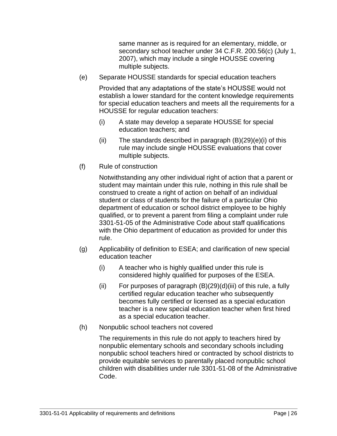same manner as is required for an elementary, middle, or secondary school teacher under 34 C.F.R. 200.56(c) (July 1, 2007), which may include a single HOUSSE covering multiple subjects.

(e) Separate HOUSSE standards for special education teachers

Provided that any adaptations of the state's HOUSSE would not establish a lower standard for the content knowledge requirements for special education teachers and meets all the requirements for a HOUSSE for regular education teachers:

- (i) A state may develop a separate HOUSSE for special education teachers; and
- (ii) The standards described in paragraph  $(B)(29)(e)(i)$  of this rule may include single HOUSSE evaluations that cover multiple subjects.
- (f) Rule of construction

Notwithstanding any other individual right of action that a parent or student may maintain under this rule, nothing in this rule shall be construed to create a right of action on behalf of an individual student or class of students for the failure of a particular Ohio department of education or school district employee to be highly qualified, or to prevent a parent from filing a complaint under rule 3301-51-05 of the Administrative Code about staff qualifications with the Ohio department of education as provided for under this rule.

- (g) Applicability of definition to ESEA; and clarification of new special education teacher
	- (i) A teacher who is highly qualified under this rule is considered highly qualified for purposes of the ESEA.
	- (ii) For purposes of paragraph  $(B)(29)(d)(iii)$  of this rule, a fully certified regular education teacher who subsequently becomes fully certified or licensed as a special education teacher is a new special education teacher when first hired as a special education teacher.
- (h) Nonpublic school teachers not covered

The requirements in this rule do not apply to teachers hired by nonpublic elementary schools and secondary schools including nonpublic school teachers hired or contracted by school districts to provide equitable services to parentally placed nonpublic school children with disabilities under rule 3301-51-08 of the Administrative Code.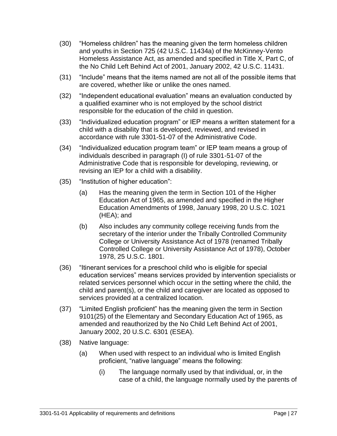- (30) "Homeless children" has the meaning given the term homeless children and youths in Section 725 (42 U.S.C. 11434a) of the McKinney-Vento Homeless Assistance Act, as amended and specified in Title X, Part C, of the No Child Left Behind Act of 2001, January 2002, 42 U.S.C. 11431.
- (31) "Include" means that the items named are not all of the possible items that are covered, whether like or unlike the ones named.
- (32) "Independent educational evaluation" means an evaluation conducted by a qualified examiner who is not employed by the school district responsible for the education of the child in question.
- (33) "Individualized education program" or IEP means a written statement for a child with a disability that is developed, reviewed, and revised in accordance with rule 3301-51-07 of the Administrative Code.
- (34) "Individualized education program team" or IEP team means a group of individuals described in paragraph (I) of rule 3301-51-07 of the Administrative Code that is responsible for developing, reviewing, or revising an IEP for a child with a disability.
- (35) "Institution of higher education":
	- (a) Has the meaning given the term in Section 101 of the Higher Education Act of 1965, as amended and specified in the Higher Education Amendments of 1998, January 1998, 20 U.S.C. 1021 (HEA); and
	- (b) Also includes any community college receiving funds from the secretary of the interior under the Tribally Controlled Community College or University Assistance Act of 1978 (renamed Tribally Controlled College or University Assistance Act of 1978), October 1978, 25 U.S.C. 1801.
- (36) "Itinerant services for a preschool child who is eligible for special education services" means services provided by intervention specialists or related services personnel which occur in the setting where the child, the child and parent(s), or the child and caregiver are located as opposed to services provided at a centralized location.
- (37) "Limited English proficient" has the meaning given the term in Section 9101(25) of the Elementary and Secondary Education Act of 1965, as amended and reauthorized by the No Child Left Behind Act of 2001, January 2002, 20 U.S.C. 6301 (ESEA).
- (38) Native language:
	- (a) When used with respect to an individual who is limited English proficient, "native language" means the following:
		- (i) The language normally used by that individual, or, in the case of a child, the language normally used by the parents of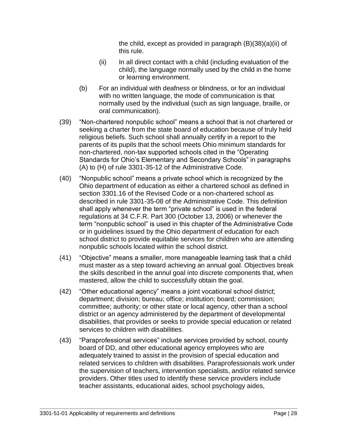the child, except as provided in paragraph (B)(38)(a)(ii) of this rule.

- (ii) In all direct contact with a child (including evaluation of the child), the language normally used by the child in the home or learning environment.
- (b) For an individual with deafness or blindness, or for an individual with no written language, the mode of communication is that normally used by the individual (such as sign language, braille, or oral communication).
- (39) "Non-chartered nonpublic school" means a school that is not chartered or seeking a charter from the state board of education because of truly held religious beliefs. Such school shall annually certify in a report to the parents of its pupils that the school meets Ohio minimum standards for non-chartered, non-tax supported schools cited in the "Operating Standards for Ohio's Elementary and Secondary Schools" in paragraphs (A) to (H) of rule 3301-35-12 of the Administrative Code.
- (40) "Nonpublic school" means a private school which is recognized by the Ohio department of education as either a chartered school as defined in section 3301.16 of the Revised Code or a non-chartered school as described in rule 3301-35-08 of the Administrative Code. This definition shall apply whenever the term "private school" is used in the federal regulations at 34 C.F.R. Part 300 (October 13, 2006) or whenever the term "nonpublic school" is used in this chapter of the Administrative Code or in guidelines issued by the Ohio department of education for each school district to provide equitable services for children who are attending nonpublic schools located within the school district.
- (41) "Objective" means a smaller, more manageable learning task that a child must master as a step toward achieving an annual goal. Objectives break the skills described in the annul goal into discrete components that, when mastered, allow the child to successfully obtain the goal.
- (42) "Other educational agency" means a joint vocational school district; department; division; bureau; office; institution; board; commission; committee; authority; or other state or local agency, other than a school district or an agency administered by the department of developmental disabilities, that provides or seeks to provide special education or related services to children with disabilities.
- (43) "Paraprofessional services" include services provided by school, county board of DD, and other educational agency employees who are adequately trained to assist in the provision of special education and related services to children with disabilities. Paraprofessionals work under the supervision of teachers, intervention specialists, and/or related service providers. Other titles used to identify these service providers include teacher assistants, educational aides, school psychology aides,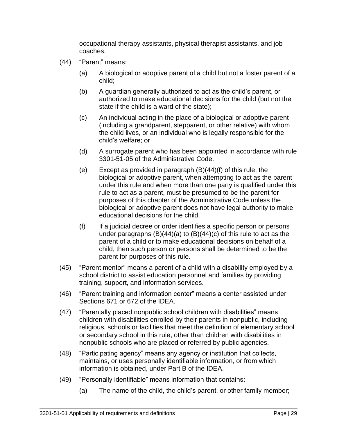occupational therapy assistants, physical therapist assistants, and job coaches.

- (44) "Parent" means:
	- (a) A biological or adoptive parent of a child but not a foster parent of a child;
	- (b) A guardian generally authorized to act as the child's parent, or authorized to make educational decisions for the child (but not the state if the child is a ward of the state);
	- (c) An individual acting in the place of a biological or adoptive parent (including a grandparent, stepparent, or other relative) with whom the child lives, or an individual who is legally responsible for the child's welfare; or
	- (d) A surrogate parent who has been appointed in accordance with rule 3301-51-05 of the Administrative Code.
	- (e) Except as provided in paragraph (B)(44)(f) of this rule, the biological or adoptive parent, when attempting to act as the parent under this rule and when more than one party is qualified under this rule to act as a parent, must be presumed to be the parent for purposes of this chapter of the Administrative Code unless the biological or adoptive parent does not have legal authority to make educational decisions for the child.
	- (f) If a judicial decree or order identifies a specific person or persons under paragraphs (B)(44)(a) to (B)(44)(c) of this rule to act as the parent of a child or to make educational decisions on behalf of a child, then such person or persons shall be determined to be the parent for purposes of this rule.
- (45) "Parent mentor" means a parent of a child with a disability employed by a school district to assist education personnel and families by providing training, support, and information services.
- (46) "Parent training and information center" means a center assisted under Sections 671 or 672 of the IDEA.
- (47) "Parentally placed nonpublic school children with disabilities" means children with disabilities enrolled by their parents in nonpublic, including religious, schools or facilities that meet the definition of elementary school or secondary school in this rule, other than children with disabilities in nonpublic schools who are placed or referred by public agencies.
- (48) "Participating agency" means any agency or institution that collects, maintains, or uses personally identifiable information, or from which information is obtained, under Part B of the IDEA.
- (49) "Personally identifiable" means information that contains:
	- (a) The name of the child, the child's parent, or other family member;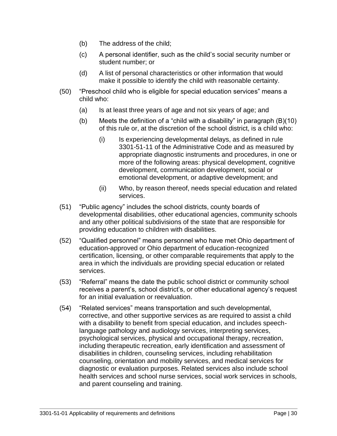- (b) The address of the child;
- (c) A personal identifier, such as the child's social security number or student number; or
- (d) A list of personal characteristics or other information that would make it possible to identify the child with reasonable certainty.
- (50) "Preschool child who is eligible for special education services" means a child who:
	- (a) Is at least three years of age and not six years of age; and
	- (b) Meets the definition of a "child with a disability" in paragraph (B)(10) of this rule or, at the discretion of the school district, is a child who:
		- (i) Is experiencing developmental delays, as defined in rule 3301-51-11 of the Administrative Code and as measured by appropriate diagnostic instruments and procedures, in one or more of the following areas: physical development, cognitive development, communication development, social or emotional development, or adaptive development; and
		- (ii) Who, by reason thereof, needs special education and related services.
- (51) "Public agency" includes the school districts, county boards of developmental disabilities, other educational agencies, community schools and any other political subdivisions of the state that are responsible for providing education to children with disabilities.
- (52) "Qualified personnel" means personnel who have met Ohio department of education-approved or Ohio department of education-recognized certification, licensing, or other comparable requirements that apply to the area in which the individuals are providing special education or related services.
- (53) "Referral" means the date the public school district or community school receives a parent's, school district's, or other educational agency's request for an initial evaluation or reevaluation.
- (54) "Related services" means transportation and such developmental, corrective, and other supportive services as are required to assist a child with a disability to benefit from special education, and includes speechlanguage pathology and audiology services, interpreting services, psychological services, physical and occupational therapy, recreation, including therapeutic recreation, early identification and assessment of disabilities in children, counseling services, including rehabilitation counseling, orientation and mobility services, and medical services for diagnostic or evaluation purposes. Related services also include school health services and school nurse services, social work services in schools, and parent counseling and training.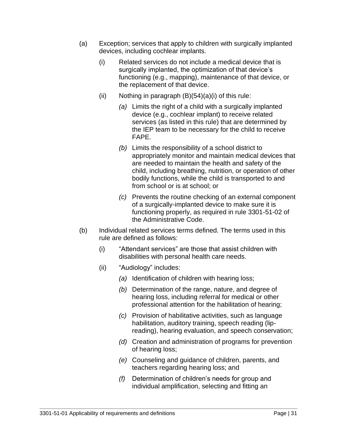- (a) Exception; services that apply to children with surgically implanted devices, including cochlear implants.
	- (i) Related services do not include a medical device that is surgically implanted, the optimization of that device's functioning (e.g., mapping), maintenance of that device, or the replacement of that device.
	- (ii) Nothing in paragraph  $(B)(54)(a)(i)$  of this rule:
		- *(a)* Limits the right of a child with a surgically implanted device (e.g., cochlear implant) to receive related services (as listed in this rule) that are determined by the IEP team to be necessary for the child to receive FAPE.
		- *(b)* Limits the responsibility of a school district to appropriately monitor and maintain medical devices that are needed to maintain the health and safety of the child, including breathing, nutrition, or operation of other bodily functions, while the child is transported to and from school or is at school; or
		- *(c)* Prevents the routine checking of an external component of a surgically-implanted device to make sure it is functioning properly, as required in rule 3301-51-02 of the Administrative Code.
- (b) Individual related services terms defined. The terms used in this rule are defined as follows:
	- (i) "Attendant services" are those that assist children with disabilities with personal health care needs.
	- (ii) "Audiology" includes:
		- *(a)* Identification of children with hearing loss;
		- *(b)* Determination of the range, nature, and degree of hearing loss, including referral for medical or other professional attention for the habilitation of hearing;
		- *(c)* Provision of habilitative activities, such as language habilitation, auditory training, speech reading (lipreading), hearing evaluation, and speech conservation;
		- *(d)* Creation and administration of programs for prevention of hearing loss;
		- *(e)* Counseling and guidance of children, parents, and teachers regarding hearing loss; and
		- *(f)* Determination of children's needs for group and individual amplification, selecting and fitting an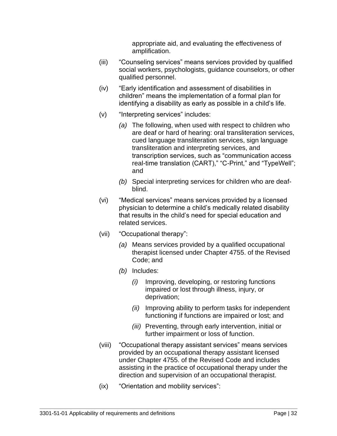appropriate aid, and evaluating the effectiveness of amplification.

- (iii) "Counseling services" means services provided by qualified social workers, psychologists, guidance counselors, or other qualified personnel.
- (iv) "Early identification and assessment of disabilities in children" means the implementation of a formal plan for identifying a disability as early as possible in a child's life.
- (v) "Interpreting services" includes:
	- *(a)* The following, when used with respect to children who are deaf or hard of hearing: oral transliteration services, cued language transliteration services, sign language transliteration and interpreting services, and transcription services, such as "communication access real-time translation (CART)," "C-Print," and "TypeWell"; and
	- *(b)* Special interpreting services for children who are deafblind.
- (vi) "Medical services" means services provided by a licensed physician to determine a child's medically related disability that results in the child's need for special education and related services.
- (vii) "Occupational therapy":
	- *(a)* Means services provided by a qualified occupational therapist licensed under Chapter 4755. of the Revised Code; and
	- *(b)* Includes:
		- *(i)* Improving, developing, or restoring functions impaired or lost through illness, injury, or deprivation;
		- *(ii)* Improving ability to perform tasks for independent functioning if functions are impaired or lost; and
		- *(iii)* Preventing, through early intervention, initial or further impairment or loss of function.
- (viii) "Occupational therapy assistant services" means services provided by an occupational therapy assistant licensed under Chapter 4755. of the Revised Code and includes assisting in the practice of occupational therapy under the direction and supervision of an occupational therapist.
- (ix) "Orientation and mobility services":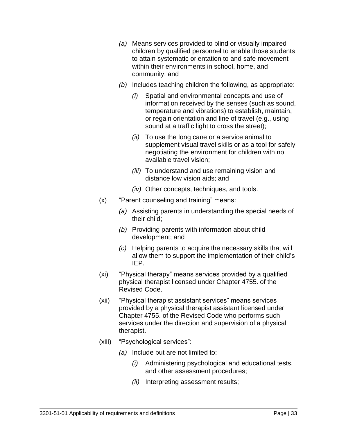- *(a)* Means services provided to blind or visually impaired children by qualified personnel to enable those students to attain systematic orientation to and safe movement within their environments in school, home, and community; and
- *(b)* Includes teaching children the following, as appropriate:
	- *(i)* Spatial and environmental concepts and use of information received by the senses (such as sound, temperature and vibrations) to establish, maintain, or regain orientation and line of travel (e.g., using sound at a traffic light to cross the street);
	- *(ii)* To use the long cane or a service animal to supplement visual travel skills or as a tool for safely negotiating the environment for children with no available travel vision;
	- *(iii)* To understand and use remaining vision and distance low vision aids; and
	- *(iv)* Other concepts, techniques, and tools.
- (x) "Parent counseling and training" means:
	- *(a)* Assisting parents in understanding the special needs of their child;
	- *(b)* Providing parents with information about child development; and
	- *(c)* Helping parents to acquire the necessary skills that will allow them to support the implementation of their child's IEP.
- (xi) "Physical therapy" means services provided by a qualified physical therapist licensed under Chapter 4755. of the Revised Code.
- (xii) "Physical therapist assistant services" means services provided by a physical therapist assistant licensed under Chapter 4755. of the Revised Code who performs such services under the direction and supervision of a physical therapist.
- (xiii) "Psychological services":
	- *(a)* Include but are not limited to:
		- *(i)* Administering psychological and educational tests, and other assessment procedures;
		- *(ii)* Interpreting assessment results;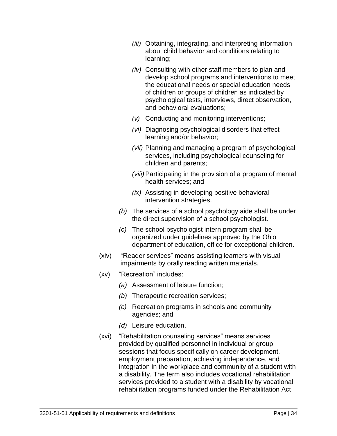- *(iii)* Obtaining, integrating, and interpreting information about child behavior and conditions relating to learning;
- *(iv)* Consulting with other staff members to plan and develop school programs and interventions to meet the educational needs or special education needs of children or groups of children as indicated by psychological tests, interviews, direct observation, and behavioral evaluations;
- *(v)* Conducting and monitoring interventions;
- *(vi)* Diagnosing psychological disorders that effect learning and/or behavior;
- *(vii)* Planning and managing a program of psychological services, including psychological counseling for children and parents;
- *(viii)*Participating in the provision of a program of mental health services; and
- *(ix)* Assisting in developing positive behavioral intervention strategies.
- *(b)* The services of a school psychology aide shall be under the direct supervision of a school psychologist.
- *(c)* The school psychologist intern program shall be organized under guidelines approved by the Ohio department of education, office for exceptional children.
- (xiv) "Reader services" means assisting learners with visual impairments by orally reading written materials.
- (xv) "Recreation" includes:
	- *(a)* Assessment of leisure function;
	- *(b)* Therapeutic recreation services;
	- *(c)* Recreation programs in schools and community agencies; and
	- *(d)* Leisure education.
- (xvi) "Rehabilitation counseling services" means services provided by qualified personnel in individual or group sessions that focus specifically on career development, employment preparation, achieving independence, and integration in the workplace and community of a student with a disability. The term also includes vocational rehabilitation services provided to a student with a disability by vocational rehabilitation programs funded under the Rehabilitation Act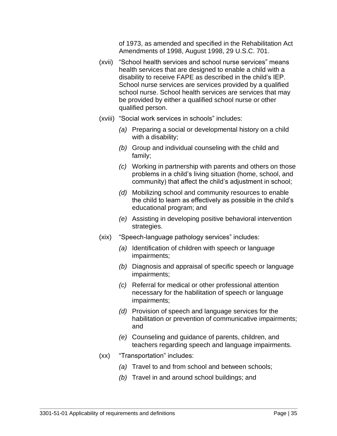of 1973, as amended and specified in the Rehabilitation Act Amendments of 1998, August 1998, 29 U.S.C. 701.

- (xvii) "School health services and school nurse services" means health services that are designed to enable a child with a disability to receive FAPE as described in the child's IEP. School nurse services are services provided by a qualified school nurse. School health services are services that may be provided by either a qualified school nurse or other qualified person.
- (xviii) "Social work services in schools" includes:
	- *(a)* Preparing a social or developmental history on a child with a disability;
	- *(b)* Group and individual counseling with the child and family;
	- *(c)* Working in partnership with parents and others on those problems in a child's living situation (home, school, and community) that affect the child's adjustment in school;
	- *(d)* Mobilizing school and community resources to enable the child to learn as effectively as possible in the child's educational program; and
	- *(e)* Assisting in developing positive behavioral intervention strategies.
- (xix) "Speech-language pathology services" includes:
	- *(a)* Identification of children with speech or language impairments;
	- *(b)* Diagnosis and appraisal of specific speech or language impairments;
	- *(c)* Referral for medical or other professional attention necessary for the habilitation of speech or language impairments;
	- *(d)* Provision of speech and language services for the habilitation or prevention of communicative impairments; and
	- *(e)* Counseling and guidance of parents, children, and teachers regarding speech and language impairments.
- (xx) "Transportation" includes:
	- *(a)* Travel to and from school and between schools;
	- *(b)* Travel in and around school buildings; and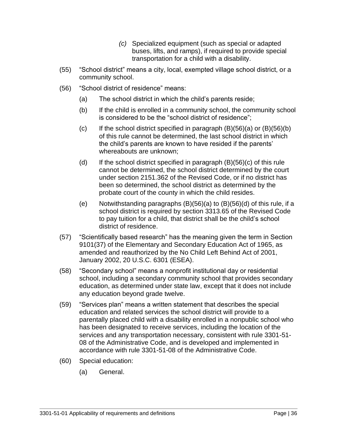- *(c)* Specialized equipment (such as special or adapted buses, lifts, and ramps), if required to provide special transportation for a child with a disability.
- (55) "School district" means a city, local, exempted village school district, or a community school.
- (56) "School district of residence" means:
	- (a) The school district in which the child's parents reside;
	- (b) If the child is enrolled in a community school, the community school is considered to be the "school district of residence";
	- (c) If the school district specified in paragraph  $(B)(56)(a)$  or  $(B)(56)(b)$ of this rule cannot be determined, the last school district in which the child's parents are known to have resided if the parents' whereabouts are unknown;
	- (d) If the school district specified in paragraph  $(B)(56)(c)$  of this rule cannot be determined, the school district determined by the court under section 2151.362 of the Revised Code, or if no district has been so determined, the school district as determined by the probate court of the county in which the child resides.
	- (e) Notwithstanding paragraphs (B)(56)(a) to (B)(56)(d) of this rule, if a school district is required by section 3313.65 of the Revised Code to pay tuition for a child, that district shall be the child's school district of residence.
- (57) "Scientifically based research" has the meaning given the term in Section 9101(37) of the Elementary and Secondary Education Act of 1965, as amended and reauthorized by the No Child Left Behind Act of 2001, January 2002, 20 U.S.C. 6301 (ESEA).
- (58) "Secondary school" means a nonprofit institutional day or residential school, including a secondary community school that provides secondary education, as determined under state law, except that it does not include any education beyond grade twelve.
- (59) "Services plan" means a written statement that describes the special education and related services the school district will provide to a parentally placed child with a disability enrolled in a nonpublic school who has been designated to receive services, including the location of the services and any transportation necessary, consistent with rule 3301-51- 08 of the Administrative Code, and is developed and implemented in accordance with rule 3301-51-08 of the Administrative Code.
- (60) Special education:
	- (a) General.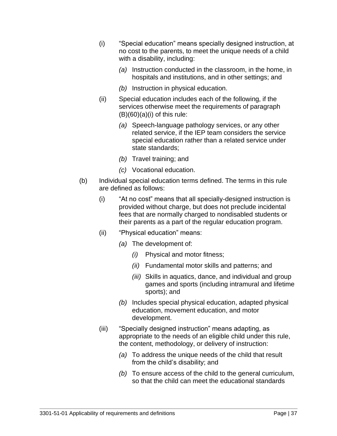- (i) "Special education" means specially designed instruction, at no cost to the parents, to meet the unique needs of a child with a disability, including:
	- *(a)* Instruction conducted in the classroom, in the home, in hospitals and institutions, and in other settings; and
	- *(b)* Instruction in physical education.
- (ii) Special education includes each of the following, if the services otherwise meet the requirements of paragraph  $(B)(60)(a)(i)$  of this rule:
	- *(a)* Speech-language pathology services, or any other related service, if the IEP team considers the service special education rather than a related service under state standards;
	- *(b)* Travel training; and
	- *(c)* Vocational education.
- (b) Individual special education terms defined. The terms in this rule are defined as follows:
	- (i) "At no cost" means that all specially-designed instruction is provided without charge, but does not preclude incidental fees that are normally charged to nondisabled students or their parents as a part of the regular education program.
	- (ii) "Physical education" means:
		- *(a)* The development of:
			- *(i)* Physical and motor fitness;
			- *(ii)* Fundamental motor skills and patterns; and
			- *(iii)* Skills in aquatics, dance, and individual and group games and sports (including intramural and lifetime sports); and
		- *(b)* Includes special physical education, adapted physical education, movement education, and motor development.
	- (iii) "Specially designed instruction" means adapting, as appropriate to the needs of an eligible child under this rule, the content, methodology, or delivery of instruction:
		- *(a)* To address the unique needs of the child that result from the child's disability; and
		- *(b)* To ensure access of the child to the general curriculum, so that the child can meet the educational standards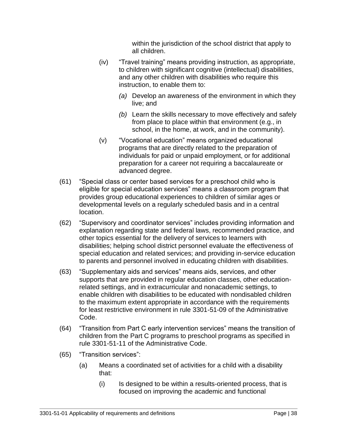within the jurisdiction of the school district that apply to all children.

- (iv) "Travel training" means providing instruction, as appropriate, to children with significant cognitive (intellectual) disabilities, and any other children with disabilities who require this instruction, to enable them to:
	- *(a)* Develop an awareness of the environment in which they live; and
	- *(b)* Learn the skills necessary to move effectively and safely from place to place within that environment (e.g., in school, in the home, at work, and in the community).
- (v) "Vocational education" means organized educational programs that are directly related to the preparation of individuals for paid or unpaid employment, or for additional preparation for a career not requiring a baccalaureate or advanced degree.
- (61) "Special class or center based services for a preschool child who is eligible for special education services" means a classroom program that provides group educational experiences to children of similar ages or developmental levels on a regularly scheduled basis and in a central location.
- (62) "Supervisory and coordinator services" includes providing information and explanation regarding state and federal laws, recommended practice, and other topics essential for the delivery of services to learners with disabilities; helping school district personnel evaluate the effectiveness of special education and related services; and providing in-service education to parents and personnel involved in educating children with disabilities.
- (63) "Supplementary aids and services" means aids, services, and other supports that are provided in regular education classes, other educationrelated settings, and in extracurricular and nonacademic settings, to enable children with disabilities to be educated with nondisabled children to the maximum extent appropriate in accordance with the requirements for least restrictive environment in rule 3301-51-09 of the Administrative Code.
- (64) "Transition from Part C early intervention services" means the transition of children from the Part C programs to preschool programs as specified in rule 3301-51-11 of the Administrative Code.
- (65) "Transition services":
	- (a) Means a coordinated set of activities for a child with a disability that:
		- (i) Is designed to be within a results-oriented process, that is focused on improving the academic and functional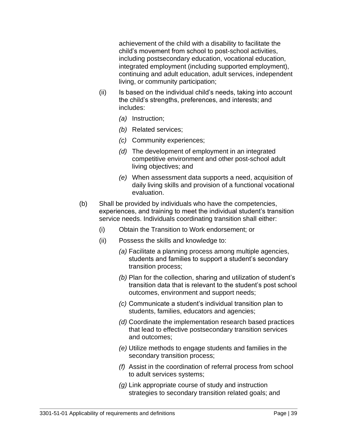achievement of the child with a disability to facilitate the child's movement from school to post-school activities, including postsecondary education, vocational education, integrated employment (including supported employment), continuing and adult education, adult services, independent living, or community participation;

- (ii) Is based on the individual child's needs, taking into account the child's strengths, preferences, and interests; and includes:
	- *(a)* Instruction;
	- *(b)* Related services;
	- *(c)* Community experiences;
	- *(d)* The development of employment in an integrated competitive environment and other post-school adult living objectives; and
	- *(e)* When assessment data supports a need, acquisition of daily living skills and provision of a functional vocational evaluation.
- (b) Shall be provided by individuals who have the competencies, experiences, and training to meet the individual student's transition service needs. Individuals coordinating transition shall either:
	- (i) Obtain the Transition to Work endorsement; or
	- (ii) Possess the skills and knowledge to:
		- *(a)* Facilitate a planning process among multiple agencies, students and families to support a student's secondary transition process;
		- *(b)* Plan for the collection, sharing and utilization of student's transition data that is relevant to the student's post school outcomes, environment and support needs;
		- *(c)* Communicate a student's individual transition plan to students, families, educators and agencies;
		- *(d)* Coordinate the implementation research based practices that lead to effective postsecondary transition services and outcomes;
		- *(e)* Utilize methods to engage students and families in the secondary transition process;
		- *(f)* Assist in the coordination of referral process from school to adult services systems;
		- *(g)* Link appropriate course of study and instruction strategies to secondary transition related goals; and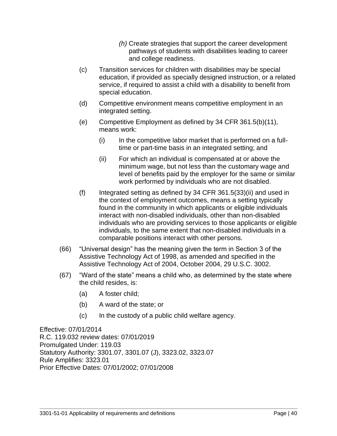- *(h)* Create strategies that support the career development pathways of students with disabilities leading to career and college readiness.
- (c) Transition services for children with disabilities may be special education, if provided as specially designed instruction, or a related service, if required to assist a child with a disability to benefit from special education.
- (d) Competitive environment means competitive employment in an integrated setting.
- (e) Competitive Employment as defined by 34 CFR 361.5(b)(11), means work:
	- $(i)$  In the competitive labor market that is performed on a fulltime or part-time basis in an integrated setting; and
	- (ii) For which an individual is compensated at or above the minimum wage, but not less than the customary wage and level of benefits paid by the employer for the same or similar work performed by individuals who are not disabled.
- (f) Integrated setting as defined by 34 CFR  $361.5(33)$  (ii) and used in the context of employment outcomes, means a setting typically found in the community in which applicants or eligible individuals interact with non-disabled individuals, other than non-disabled individuals who are providing services to those applicants or eligible individuals, to the same extent that non-disabled individuals in a comparable positions interact with other persons.
- (66) "Universal design" has the meaning given the term in Section 3 of the Assistive Technology Act of 1998, as amended and specified in the Assistive Technology Act of 2004, October 2004, 29 U.S.C. 3002.
- (67) "Ward of the state" means a child who, as determined by the state where the child resides, is:
	- (a) A foster child;
	- (b) A ward of the state; or
	- (c) In the custody of a public child welfare agency.

Effective: 07/01/2014 R.C. 119.032 review dates: 07/01/2019 Promulgated Under: 119.03 Statutory Authority: 3301.07, 3301.07 (J), 3323.02, 3323.07 Rule Amplifies: 3323.01 Prior Effective Dates: 07/01/2002; 07/01/2008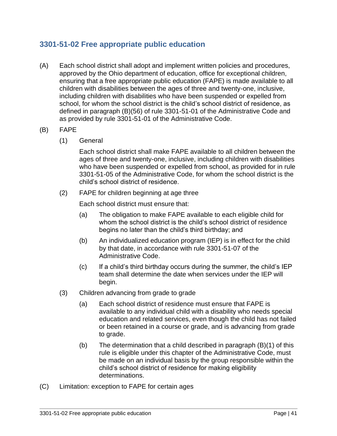# **3301-51-02 Free appropriate public education**

(A) Each school district shall adopt and implement written policies and procedures, approved by the Ohio department of education, office for exceptional children, ensuring that a free appropriate public education (FAPE) is made available to all children with disabilities between the ages of three and twenty-one, inclusive, including children with disabilities who have been suspended or expelled from school, for whom the school district is the child's school district of residence, as defined in paragraph (B)(56) of rule 3301-51-01 of the Administrative Code and as provided by rule 3301-51-01 of the Administrative Code.

#### (B) FAPE

(1) General

Each school district shall make FAPE available to all children between the ages of three and twenty-one, inclusive, including children with disabilities who have been suspended or expelled from school, as provided for in rule 3301-51-05 of the Administrative Code, for whom the school district is the child's school district of residence.

(2) FAPE for children beginning at age three

Each school district must ensure that:

- (a) The obligation to make FAPE available to each eligible child for whom the school district is the child's school district of residence begins no later than the child's third birthday; and
- (b) An individualized education program (IEP) is in effect for the child by that date, in accordance with rule 3301-51-07 of the Administrative Code.
- (c) If a child's third birthday occurs during the summer, the child's IEP team shall determine the date when services under the IEP will begin.
- (3) Children advancing from grade to grade
	- (a) Each school district of residence must ensure that FAPE is available to any individual child with a disability who needs special education and related services, even though the child has not failed or been retained in a course or grade, and is advancing from grade to grade.
	- (b) The determination that a child described in paragraph (B)(1) of this rule is eligible under this chapter of the Administrative Code, must be made on an individual basis by the group responsible within the child's school district of residence for making eligibility determinations.
- (C) Limitation: exception to FAPE for certain ages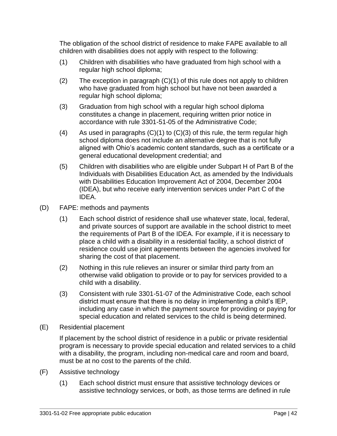The obligation of the school district of residence to make FAPE available to all children with disabilities does not apply with respect to the following:

- (1) Children with disabilities who have graduated from high school with a regular high school diploma;
- (2) The exception in paragraph (C)(1) of this rule does not apply to children who have graduated from high school but have not been awarded a regular high school diploma;
- (3) Graduation from high school with a regular high school diploma constitutes a change in placement, requiring written prior notice in accordance with rule 3301-51-05 of the Administrative Code;
- $(4)$  As used in paragraphs  $(C)(1)$  to  $(C)(3)$  of this rule, the term regular high school diploma does not include an alternative degree that is not fully aligned with Ohio's academic content standards, such as a certificate or a general educational development credential; and
- (5) Children with disabilities who are eligible under Subpart H of Part B of the Individuals with Disabilities Education Act, as amended by the Individuals with Disabilities Education Improvement Act of 2004, December 2004 (IDEA), but who receive early intervention services under Part C of the IDEA.
- (D) FAPE: methods and payments
	- (1) Each school district of residence shall use whatever state, local, federal, and private sources of support are available in the school district to meet the requirements of Part B of the IDEA. For example, if it is necessary to place a child with a disability in a residential facility, a school district of residence could use joint agreements between the agencies involved for sharing the cost of that placement.
	- (2) Nothing in this rule relieves an insurer or similar third party from an otherwise valid obligation to provide or to pay for services provided to a child with a disability.
	- (3) Consistent with rule 3301-51-07 of the Administrative Code, each school district must ensure that there is no delay in implementing a child's IEP, including any case in which the payment source for providing or paying for special education and related services to the child is being determined.
- (E) Residential placement

If placement by the school district of residence in a public or private residential program is necessary to provide special education and related services to a child with a disability, the program, including non-medical care and room and board, must be at no cost to the parents of the child.

- (F) Assistive technology
	- (1) Each school district must ensure that assistive technology devices or assistive technology services, or both, as those terms are defined in rule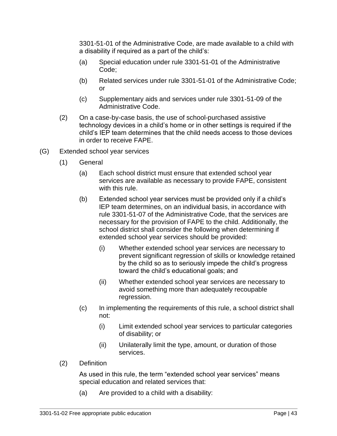3301-51-01 of the Administrative Code, are made available to a child with a disability if required as a part of the child's:

- (a) Special education under rule 3301-51-01 of the Administrative Code;
- (b) Related services under rule 3301-51-01 of the Administrative Code; or
- (c) Supplementary aids and services under rule 3301-51-09 of the Administrative Code.
- (2) On a case-by-case basis, the use of school-purchased assistive technology devices in a child's home or in other settings is required if the child's IEP team determines that the child needs access to those devices in order to receive FAPE.
- (G) Extended school year services
	- (1) General
		- (a) Each school district must ensure that extended school year services are available as necessary to provide FAPE, consistent with this rule.
		- (b) Extended school year services must be provided only if a child's IEP team determines, on an individual basis, in accordance with rule 3301-51-07 of the Administrative Code, that the services are necessary for the provision of FAPE to the child. Additionally, the school district shall consider the following when determining if extended school year services should be provided:
			- (i) Whether extended school year services are necessary to prevent significant regression of skills or knowledge retained by the child so as to seriously impede the child's progress toward the child's educational goals; and
			- (ii) Whether extended school year services are necessary to avoid something more than adequately recoupable regression.
		- (c) In implementing the requirements of this rule, a school district shall not:
			- (i) Limit extended school year services to particular categories of disability; or
			- (ii) Unilaterally limit the type, amount, or duration of those services.
	- (2) Definition

As used in this rule, the term "extended school year services" means special education and related services that:

(a) Are provided to a child with a disability: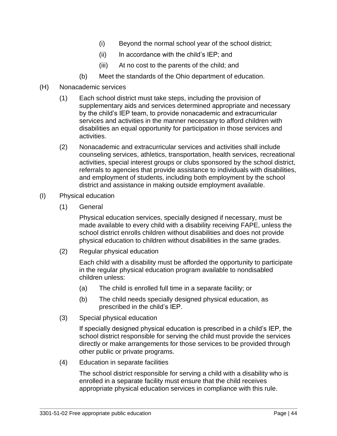- (i) Beyond the normal school year of the school district;
- (ii) In accordance with the child's IEP; and
- (iii) At no cost to the parents of the child; and
- (b) Meet the standards of the Ohio department of education.
- (H) Nonacademic services
	- (1) Each school district must take steps, including the provision of supplementary aids and services determined appropriate and necessary by the child's IEP team, to provide nonacademic and extracurricular services and activities in the manner necessary to afford children with disabilities an equal opportunity for participation in those services and activities.
	- (2) Nonacademic and extracurricular services and activities shall include counseling services, athletics, transportation, health services, recreational activities, special interest groups or clubs sponsored by the school district, referrals to agencies that provide assistance to individuals with disabilities, and employment of students, including both employment by the school district and assistance in making outside employment available.
- (I) Physical education
	- (1) General

Physical education services, specially designed if necessary, must be made available to every child with a disability receiving FAPE, unless the school district enrolls children without disabilities and does not provide physical education to children without disabilities in the same grades.

(2) Regular physical education

Each child with a disability must be afforded the opportunity to participate in the regular physical education program available to nondisabled children unless:

- (a) The child is enrolled full time in a separate facility; or
- (b) The child needs specially designed physical education, as prescribed in the child's IEP.
- (3) Special physical education

If specially designed physical education is prescribed in a child's IEP, the school district responsible for serving the child must provide the services directly or make arrangements for those services to be provided through other public or private programs.

(4) Education in separate facilities

The school district responsible for serving a child with a disability who is enrolled in a separate facility must ensure that the child receives appropriate physical education services in compliance with this rule.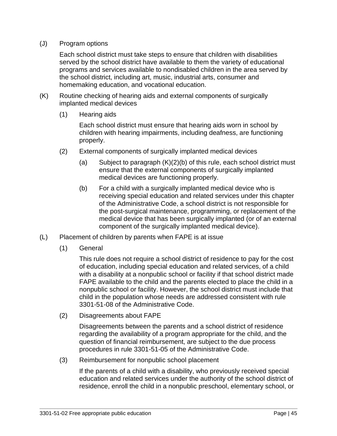(J) Program options

Each school district must take steps to ensure that children with disabilities served by the school district have available to them the variety of educational programs and services available to nondisabled children in the area served by the school district, including art, music, industrial arts, consumer and homemaking education, and vocational education.

- (K) Routine checking of hearing aids and external components of surgically implanted medical devices
	- (1) Hearing aids

Each school district must ensure that hearing aids worn in school by children with hearing impairments, including deafness, are functioning properly.

- (2) External components of surgically implanted medical devices
	- (a) Subject to paragraph  $(K)(2)(b)$  of this rule, each school district must ensure that the external components of surgically implanted medical devices are functioning properly.
	- (b) For a child with a surgically implanted medical device who is receiving special education and related services under this chapter of the Administrative Code, a school district is not responsible for the post-surgical maintenance, programming, or replacement of the medical device that has been surgically implanted (or of an external component of the surgically implanted medical device).
- (L) Placement of children by parents when FAPE is at issue
	- (1) General

This rule does not require a school district of residence to pay for the cost of education, including special education and related services, of a child with a disability at a nonpublic school or facility if that school district made FAPE available to the child and the parents elected to place the child in a nonpublic school or facility. However, the school district must include that child in the population whose needs are addressed consistent with rule 3301-51-08 of the Administrative Code.

(2) Disagreements about FAPE

Disagreements between the parents and a school district of residence regarding the availability of a program appropriate for the child, and the question of financial reimbursement, are subject to the due process procedures in rule 3301-51-05 of the Administrative Code.

(3) Reimbursement for nonpublic school placement

If the parents of a child with a disability, who previously received special education and related services under the authority of the school district of residence, enroll the child in a nonpublic preschool, elementary school, or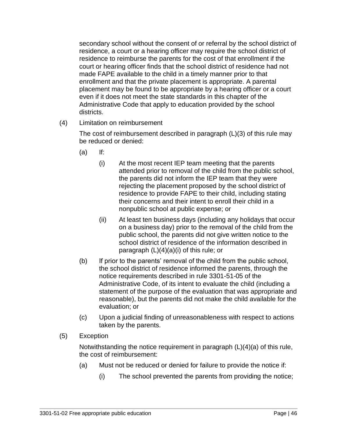secondary school without the consent of or referral by the school district of residence, a court or a hearing officer may require the school district of residence to reimburse the parents for the cost of that enrollment if the court or hearing officer finds that the school district of residence had not made FAPE available to the child in a timely manner prior to that enrollment and that the private placement is appropriate. A parental placement may be found to be appropriate by a hearing officer or a court even if it does not meet the state standards in this chapter of the Administrative Code that apply to education provided by the school districts.

(4) Limitation on reimbursement

The cost of reimbursement described in paragraph (L)(3) of this rule may be reduced or denied:

- $(a)$  If:
	- (i) At the most recent IEP team meeting that the parents attended prior to removal of the child from the public school, the parents did not inform the IEP team that they were rejecting the placement proposed by the school district of residence to provide FAPE to their child, including stating their concerns and their intent to enroll their child in a nonpublic school at public expense; or
	- (ii) At least ten business days (including any holidays that occur on a business day) prior to the removal of the child from the public school, the parents did not give written notice to the school district of residence of the information described in paragraph (L)(4)(a)(i) of this rule; or
- (b) If prior to the parents' removal of the child from the public school, the school district of residence informed the parents, through the notice requirements described in rule 3301-51-05 of the Administrative Code, of its intent to evaluate the child (including a statement of the purpose of the evaluation that was appropriate and reasonable), but the parents did not make the child available for the evaluation; or
- (c) Upon a judicial finding of unreasonableness with respect to actions taken by the parents.
- (5) Exception

Notwithstanding the notice requirement in paragraph (L)(4)(a) of this rule, the cost of reimbursement:

- (a) Must not be reduced or denied for failure to provide the notice if:
	- (i) The school prevented the parents from providing the notice;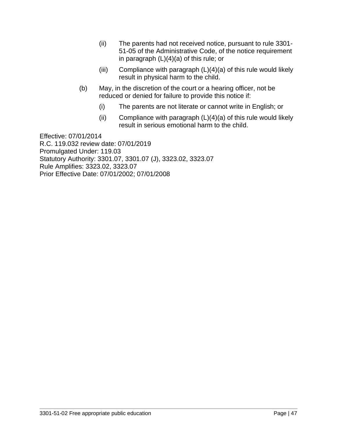- (ii) The parents had not received notice, pursuant to rule 3301- 51-05 of the Administrative Code, of the notice requirement in paragraph (L)(4)(a) of this rule; or
- (iii) Compliance with paragraph  $(L)(4)(a)$  of this rule would likely result in physical harm to the child.
- (b) May, in the discretion of the court or a hearing officer, not be reduced or denied for failure to provide this notice if:
	- (i) The parents are not literate or cannot write in English; or
	- (ii) Compliance with paragraph (L)(4)(a) of this rule would likely result in serious emotional harm to the child.

Effective: 07/01/2014 R.C. 119.032 review date: 07/01/2019 Promulgated Under: 119.03 Statutory Authority: 3301.07, 3301.07 (J), 3323.02, 3323.07 Rule Amplifies: 3323.02, 3323.07 Prior Effective Date: 07/01/2002; 07/01/2008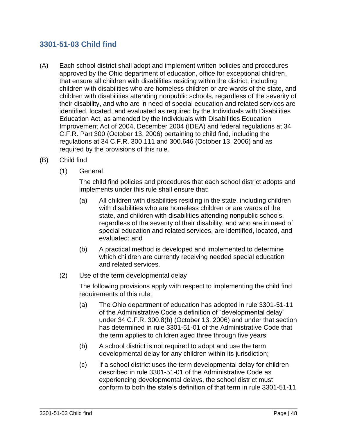### **3301-51-03 Child find**

- (A) Each school district shall adopt and implement written policies and procedures approved by the Ohio department of education, office for exceptional children, that ensure all children with disabilities residing within the district, including children with disabilities who are homeless children or are wards of the state, and children with disabilities attending nonpublic schools, regardless of the severity of their disability, and who are in need of special education and related services are identified, located, and evaluated as required by the Individuals with Disabilities Education Act, as amended by the Individuals with Disabilities Education Improvement Act of 2004, December 2004 (IDEA) and federal regulations at 34 C.F.R. Part 300 (October 13, 2006) pertaining to child find, including the regulations at 34 C.F.R. 300.111 and 300.646 (October 13, 2006) and as required by the provisions of this rule.
- (B) Child find
	- (1) General

The child find policies and procedures that each school district adopts and implements under this rule shall ensure that:

- (a) All children with disabilities residing in the state, including children with disabilities who are homeless children or are wards of the state, and children with disabilities attending nonpublic schools, regardless of the severity of their disability, and who are in need of special education and related services, are identified, located, and evaluated; and
- (b) A practical method is developed and implemented to determine which children are currently receiving needed special education and related services.
- (2) Use of the term developmental delay

The following provisions apply with respect to implementing the child find requirements of this rule:

- (a) The Ohio department of education has adopted in rule 3301-51-11 of the Administrative Code a definition of "developmental delay" under 34 C.F.R. 300.8(b) (October 13, 2006) and under that section has determined in rule 3301-51-01 of the Administrative Code that the term applies to children aged three through five years;
- (b) A school district is not required to adopt and use the term developmental delay for any children within its jurisdiction;
- (c) If a school district uses the term developmental delay for children described in rule 3301-51-01 of the Administrative Code as experiencing developmental delays, the school district must conform to both the state's definition of that term in rule 3301-51-11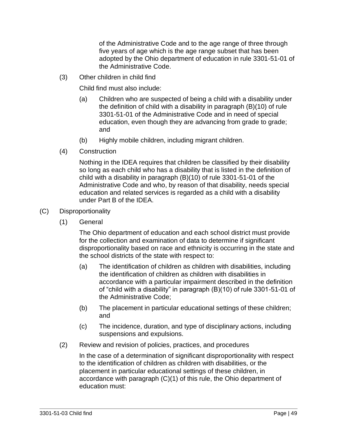of the Administrative Code and to the age range of three through five years of age which is the age range subset that has been adopted by the Ohio department of education in rule 3301-51-01 of the Administrative Code.

(3) Other children in child find

Child find must also include:

- (a) Children who are suspected of being a child with a disability under the definition of child with a disability in paragraph (B)(10) of rule 3301-51-01 of the Administrative Code and in need of special education, even though they are advancing from grade to grade; and
- (b) Highly mobile children, including migrant children.
- (4) Construction

Nothing in the IDEA requires that children be classified by their disability so long as each child who has a disability that is listed in the definition of child with a disability in paragraph (B)(10) of rule 3301-51-01 of the Administrative Code and who, by reason of that disability, needs special education and related services is regarded as a child with a disability under Part B of the IDEA.

- (C) Disproportionality
	- (1) General

The Ohio department of education and each school district must provide for the collection and examination of data to determine if significant disproportionality based on race and ethnicity is occurring in the state and the school districts of the state with respect to:

- (a) The identification of children as children with disabilities, including the identification of children as children with disabilities in accordance with a particular impairment described in the definition of "child with a disability" in paragraph (B)(10) of rule 3301-51-01 of the Administrative Code;
- (b) The placement in particular educational settings of these children; and
- (c) The incidence, duration, and type of disciplinary actions, including suspensions and expulsions.
- (2) Review and revision of policies, practices, and procedures

In the case of a determination of significant disproportionality with respect to the identification of children as children with disabilities, or the placement in particular educational settings of these children, in accordance with paragraph (C)(1) of this rule, the Ohio department of education must: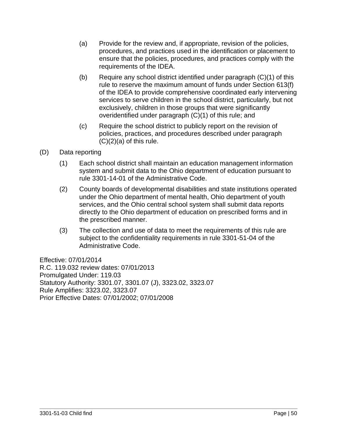- (a) Provide for the review and, if appropriate, revision of the policies, procedures, and practices used in the identification or placement to ensure that the policies, procedures, and practices comply with the requirements of the IDEA.
- (b) Require any school district identified under paragraph (C)(1) of this rule to reserve the maximum amount of funds under Section 613(f) of the IDEA to provide comprehensive coordinated early intervening services to serve children in the school district, particularly, but not exclusively, children in those groups that were significantly overidentified under paragraph (C)(1) of this rule; and
- (c) Require the school district to publicly report on the revision of policies, practices, and procedures described under paragraph  $(C)(2)(a)$  of this rule.
- (D) Data reporting
	- (1) Each school district shall maintain an education management information system and submit data to the Ohio department of education pursuant to rule 3301-14-01 of the Administrative Code.
	- (2) County boards of developmental disabilities and state institutions operated under the Ohio department of mental health, Ohio department of youth services, and the Ohio central school system shall submit data reports directly to the Ohio department of education on prescribed forms and in the prescribed manner.
	- (3) The collection and use of data to meet the requirements of this rule are subject to the confidentiality requirements in rule 3301-51-04 of the Administrative Code.

Effective: 07/01/2014 R.C. 119.032 review dates: 07/01/2013 Promulgated Under: 119.03 Statutory Authority: 3301.07, 3301.07 (J), 3323.02, 3323.07 Rule Amplifies: 3323.02, 3323.07 Prior Effective Dates: 07/01/2002; 07/01/2008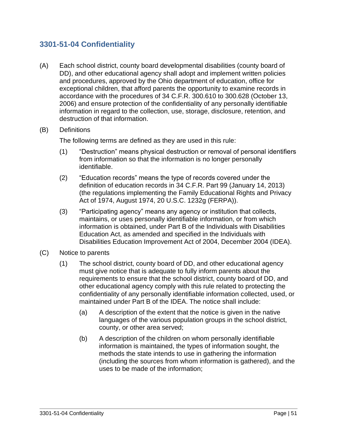# **3301-51-04 Confidentiality**

- (A) Each school district, county board developmental disabilities (county board of DD), and other educational agency shall adopt and implement written policies and procedures, approved by the Ohio department of education, office for exceptional children, that afford parents the opportunity to examine records in accordance with the procedures of 34 C.F.R. 300.610 to 300.628 (October 13, 2006) and ensure protection of the confidentiality of any personally identifiable information in regard to the collection, use, storage, disclosure, retention, and destruction of that information.
- (B) Definitions

The following terms are defined as they are used in this rule:

- (1) "Destruction" means physical destruction or removal of personal identifiers from information so that the information is no longer personally identifiable.
- (2) "Education records" means the type of records covered under the definition of education records in 34 C.F.R. Part 99 (January 14, 2013) (the regulations implementing the Family Educational Rights and Privacy Act of 1974, August 1974, 20 U.S.C. 1232g (FERPA)).
- (3) "Participating agency" means any agency or institution that collects, maintains, or uses personally identifiable information, or from which information is obtained, under Part B of the Individuals with Disabilities Education Act, as amended and specified in the Individuals with Disabilities Education Improvement Act of 2004, December 2004 (IDEA).
- (C) Notice to parents
	- (1) The school district, county board of DD, and other educational agency must give notice that is adequate to fully inform parents about the requirements to ensure that the school district, county board of DD, and other educational agency comply with this rule related to protecting the confidentiality of any personally identifiable information collected, used, or maintained under Part B of the IDEA. The notice shall include:
		- (a) A description of the extent that the notice is given in the native languages of the various population groups in the school district, county, or other area served;
		- (b) A description of the children on whom personally identifiable information is maintained, the types of information sought, the methods the state intends to use in gathering the information (including the sources from whom information is gathered), and the uses to be made of the information;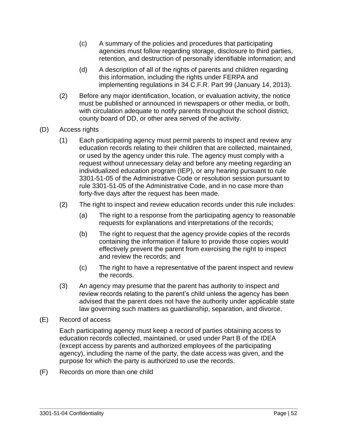- (c) A summary of the policies and procedures that participating agencies must follow regarding storage, disclosure to third parties, retention, and destruction of personally identifiable information; and
- (d) A description of all of the rights of parents and children regarding this information, including the rights under FERPA and implementing regulations in 34 C.F.R. Part 99 (January 14, 2013).
- (2) Before any major identification, location, or evaluation activity, the notice must be published or announced in newspapers or other media, or both, with circulation adequate to notify parents throughout the school district, county board of DD, or other area served of the activity.
- (D) Access rights
	- (1) Each participating agency must permit parents to inspect and review any education records relating to their children that are collected, maintained, or used by the agency under this rule. The agency must comply with a request without unnecessary delay and before any meeting regarding an individualized education program (IEP), or any hearing pursuant to rule 3301-51-05 of the Administrative Code or resolution session pursuant to rule 3301-51-05 of the Administrative Code, and in no case more than forty-five days after the request has been made.
	- (2) The right to inspect and review education records under this rule includes:
		- (a) The right to a response from the participating agency to reasonable requests for explanations and interpretations of the records;
		- (b) The right to request that the agency provide copies of the records containing the information if failure to provide those copies would effectively prevent the parent from exercising the right to inspect and review the records; and
		- (c) The right to have a representative of the parent inspect and review the records.
	- (3) An agency may presume that the parent has authority to inspect and review records relating to the parent's child unless the agency has been advised that the parent does not have the authority under applicable state law governing such matters as guardianship, separation, and divorce.
- (E) Record of access

Each participating agency must keep a record of parties obtaining access to education records collected, maintained, or used under Part B of the IDEA (except access by parents and authorized employees of the participating agency), including the name of the party, the date access was given, and the purpose for which the party is authorized to use the records.

(F) Records on more than one child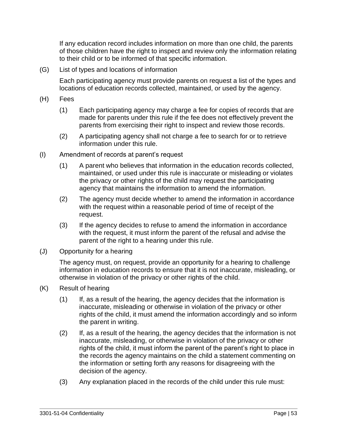If any education record includes information on more than one child, the parents of those children have the right to inspect and review only the information relating to their child or to be informed of that specific information.

(G) List of types and locations of information

Each participating agency must provide parents on request a list of the types and locations of education records collected, maintained, or used by the agency.

- (H) Fees
	- (1) Each participating agency may charge a fee for copies of records that are made for parents under this rule if the fee does not effectively prevent the parents from exercising their right to inspect and review those records.
	- (2) A participating agency shall not charge a fee to search for or to retrieve information under this rule.
- (I) Amendment of records at parent's request
	- (1) A parent who believes that information in the education records collected, maintained, or used under this rule is inaccurate or misleading or violates the privacy or other rights of the child may request the participating agency that maintains the information to amend the information.
	- (2) The agency must decide whether to amend the information in accordance with the request within a reasonable period of time of receipt of the request.
	- (3) If the agency decides to refuse to amend the information in accordance with the request, it must inform the parent of the refusal and advise the parent of the right to a hearing under this rule.
- (J) Opportunity for a hearing

The agency must, on request, provide an opportunity for a hearing to challenge information in education records to ensure that it is not inaccurate, misleading, or otherwise in violation of the privacy or other rights of the child.

- (K) Result of hearing
	- (1) If, as a result of the hearing, the agency decides that the information is inaccurate, misleading or otherwise in violation of the privacy or other rights of the child, it must amend the information accordingly and so inform the parent in writing.
	- (2) If, as a result of the hearing, the agency decides that the information is not inaccurate, misleading, or otherwise in violation of the privacy or other rights of the child, it must inform the parent of the parent's right to place in the records the agency maintains on the child a statement commenting on the information or setting forth any reasons for disagreeing with the decision of the agency.
	- (3) Any explanation placed in the records of the child under this rule must: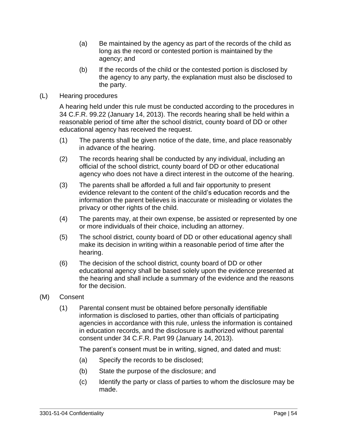- (a) Be maintained by the agency as part of the records of the child as long as the record or contested portion is maintained by the agency; and
- (b) If the records of the child or the contested portion is disclosed by the agency to any party, the explanation must also be disclosed to the party.
- (L) Hearing procedures

A hearing held under this rule must be conducted according to the procedures in 34 C.F.R. 99.22 (January 14, 2013). The records hearing shall be held within a reasonable period of time after the school district, county board of DD or other educational agency has received the request.

- (1) The parents shall be given notice of the date, time, and place reasonably in advance of the hearing.
- (2) The records hearing shall be conducted by any individual, including an official of the school district, county board of DD or other educational agency who does not have a direct interest in the outcome of the hearing.
- (3) The parents shall be afforded a full and fair opportunity to present evidence relevant to the content of the child's education records and the information the parent believes is inaccurate or misleading or violates the privacy or other rights of the child.
- (4) The parents may, at their own expense, be assisted or represented by one or more individuals of their choice, including an attorney.
- (5) The school district, county board of DD or other educational agency shall make its decision in writing within a reasonable period of time after the hearing.
- (6) The decision of the school district, county board of DD or other educational agency shall be based solely upon the evidence presented at the hearing and shall include a summary of the evidence and the reasons for the decision.
- (M) Consent
	- (1) Parental consent must be obtained before personally identifiable information is disclosed to parties, other than officials of participating agencies in accordance with this rule, unless the information is contained in education records, and the disclosure is authorized without parental consent under 34 C.F.R. Part 99 (January 14, 2013).

The parent's consent must be in writing, signed, and dated and must:

- (a) Specify the records to be disclosed;
- (b) State the purpose of the disclosure; and
- (c) Identify the party or class of parties to whom the disclosure may be made.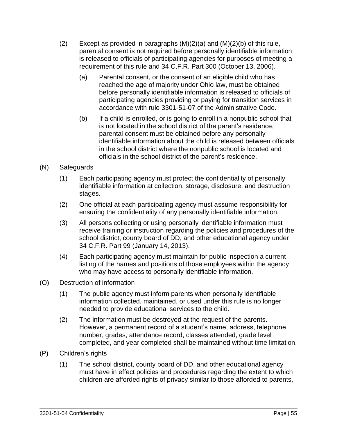- (2) Except as provided in paragraphs  $(M)(2)(a)$  and  $(M)(2)(b)$  of this rule, parental consent is not required before personally identifiable information is released to officials of participating agencies for purposes of meeting a requirement of this rule and 34 C.F.R. Part 300 (October 13, 2006).
	- (a) Parental consent, or the consent of an eligible child who has reached the age of majority under Ohio law, must be obtained before personally identifiable information is released to officials of participating agencies providing or paying for transition services in accordance with rule 3301-51-07 of the Administrative Code.
	- (b) If a child is enrolled, or is going to enroll in a nonpublic school that is not located in the school district of the parent's residence, parental consent must be obtained before any personally identifiable information about the child is released between officials in the school district where the nonpublic school is located and officials in the school district of the parent's residence.
- (N) Safeguards
	- (1) Each participating agency must protect the confidentiality of personally identifiable information at collection, storage, disclosure, and destruction stages.
	- (2) One official at each participating agency must assume responsibility for ensuring the confidentiality of any personally identifiable information.
	- (3) All persons collecting or using personally identifiable information must receive training or instruction regarding the policies and procedures of the school district, county board of DD, and other educational agency under 34 C.F.R. Part 99 (January 14, 2013).
	- (4) Each participating agency must maintain for public inspection a current listing of the names and positions of those employees within the agency who may have access to personally identifiable information.
- (O) Destruction of information
	- (1) The public agency must inform parents when personally identifiable information collected, maintained, or used under this rule is no longer needed to provide educational services to the child.
	- (2) The information must be destroyed at the request of the parents. However, a permanent record of a student's name, address, telephone number, grades, attendance record, classes attended, grade level completed, and year completed shall be maintained without time limitation.
- (P) Children's rights
	- (1) The school district, county board of DD, and other educational agency must have in effect policies and procedures regarding the extent to which children are afforded rights of privacy similar to those afforded to parents,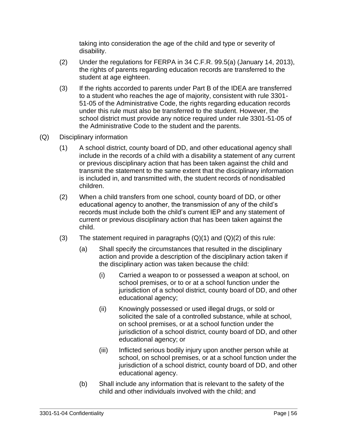taking into consideration the age of the child and type or severity of disability.

- (2) Under the regulations for FERPA in 34 C.F.R. 99.5(a) (January 14, 2013), the rights of parents regarding education records are transferred to the student at age eighteen.
- (3) If the rights accorded to parents under Part B of the IDEA are transferred to a student who reaches the age of majority, consistent with rule 3301- 51-05 of the Administrative Code, the rights regarding education records under this rule must also be transferred to the student. However, the school district must provide any notice required under rule 3301-51-05 of the Administrative Code to the student and the parents.
- (Q) Disciplinary information
	- (1) A school district, county board of DD, and other educational agency shall include in the records of a child with a disability a statement of any current or previous disciplinary action that has been taken against the child and transmit the statement to the same extent that the disciplinary information is included in, and transmitted with, the student records of nondisabled children.
	- (2) When a child transfers from one school, county board of DD, or other educational agency to another, the transmission of any of the child's records must include both the child's current IEP and any statement of current or previous disciplinary action that has been taken against the child.
	- (3) The statement required in paragraphs  $(Q)(1)$  and  $(Q)(2)$  of this rule:
		- (a) Shall specify the circumstances that resulted in the disciplinary action and provide a description of the disciplinary action taken if the disciplinary action was taken because the child:
			- (i) Carried a weapon to or possessed a weapon at school, on school premises, or to or at a school function under the jurisdiction of a school district, county board of DD, and other educational agency;
			- (ii) Knowingly possessed or used illegal drugs, or sold or solicited the sale of a controlled substance, while at school, on school premises, or at a school function under the jurisdiction of a school district, county board of DD, and other educational agency; or
			- (iii) Inflicted serious bodily injury upon another person while at school, on school premises, or at a school function under the jurisdiction of a school district, county board of DD, and other educational agency.
		- (b) Shall include any information that is relevant to the safety of the child and other individuals involved with the child; and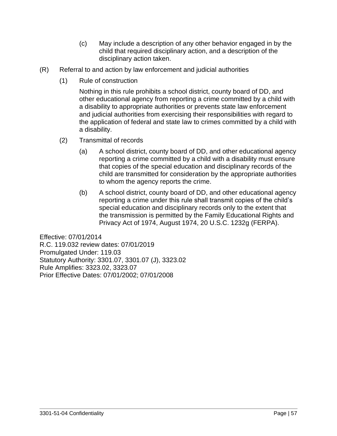- (c) May include a description of any other behavior engaged in by the child that required disciplinary action, and a description of the disciplinary action taken.
- (R) Referral to and action by law enforcement and judicial authorities
	- (1) Rule of construction

Nothing in this rule prohibits a school district, county board of DD, and other educational agency from reporting a crime committed by a child with a disability to appropriate authorities or prevents state law enforcement and judicial authorities from exercising their responsibilities with regard to the application of federal and state law to crimes committed by a child with a disability.

- (2) Transmittal of records
	- (a) A school district, county board of DD, and other educational agency reporting a crime committed by a child with a disability must ensure that copies of the special education and disciplinary records of the child are transmitted for consideration by the appropriate authorities to whom the agency reports the crime.
	- (b) A school district, county board of DD, and other educational agency reporting a crime under this rule shall transmit copies of the child's special education and disciplinary records only to the extent that the transmission is permitted by the Family Educational Rights and Privacy Act of 1974, August 1974, 20 U.S.C. 1232g (FERPA).

Effective: 07/01/2014 R.C. 119.032 review dates: 07/01/2019 Promulgated Under: 119.03 Statutory Authority: 3301.07, 3301.07 (J), 3323.02 Rule Amplifies: 3323.02, 3323.07 Prior Effective Dates: 07/01/2002; 07/01/2008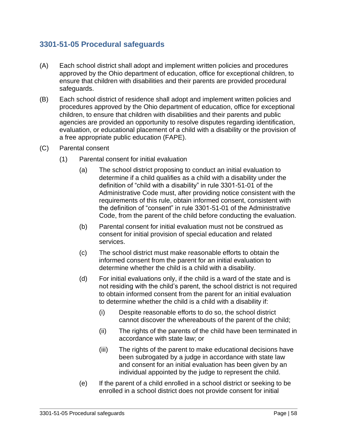# **3301-51-05 Procedural safeguards**

- (A) Each school district shall adopt and implement written policies and procedures approved by the Ohio department of education, office for exceptional children, to ensure that children with disabilities and their parents are provided procedural safeguards.
- (B) Each school district of residence shall adopt and implement written policies and procedures approved by the Ohio department of education, office for exceptional children, to ensure that children with disabilities and their parents and public agencies are provided an opportunity to resolve disputes regarding identification, evaluation, or educational placement of a child with a disability or the provision of a free appropriate public education (FAPE).
- (C) Parental consent
	- (1) Parental consent for initial evaluation
		- (a) The school district proposing to conduct an initial evaluation to determine if a child qualifies as a child with a disability under the definition of "child with a disability" in rule 3301-51-01 of the Administrative Code must, after providing notice consistent with the requirements of this rule, obtain informed consent, consistent with the definition of "consent" in rule 3301-51-01 of the Administrative Code, from the parent of the child before conducting the evaluation.
		- (b) Parental consent for initial evaluation must not be construed as consent for initial provision of special education and related services.
		- (c) The school district must make reasonable efforts to obtain the informed consent from the parent for an initial evaluation to determine whether the child is a child with a disability.
		- (d) For initial evaluations only, if the child is a ward of the state and is not residing with the child's parent, the school district is not required to obtain informed consent from the parent for an initial evaluation to determine whether the child is a child with a disability if:
			- (i) Despite reasonable efforts to do so, the school district cannot discover the whereabouts of the parent of the child;
			- (ii) The rights of the parents of the child have been terminated in accordance with state law; or
			- (iii) The rights of the parent to make educational decisions have been subrogated by a judge in accordance with state law and consent for an initial evaluation has been given by an individual appointed by the judge to represent the child.
		- (e) If the parent of a child enrolled in a school district or seeking to be enrolled in a school district does not provide consent for initial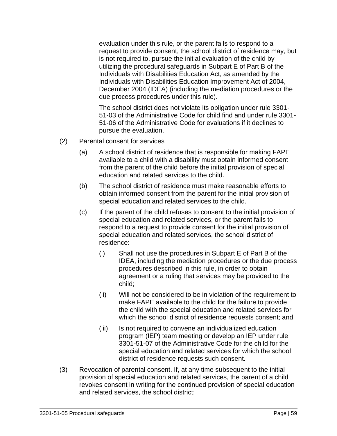evaluation under this rule, or the parent fails to respond to a request to provide consent, the school district of residence may, but is not required to, pursue the initial evaluation of the child by utilizing the procedural safeguards in Subpart E of Part B of the Individuals with Disabilities Education Act, as amended by the Individuals with Disabilities Education Improvement Act of 2004, December 2004 (IDEA) (including the mediation procedures or the due process procedures under this rule).

The school district does not violate its obligation under rule 3301- 51-03 of the Administrative Code for child find and under rule 3301- 51-06 of the Administrative Code for evaluations if it declines to pursue the evaluation.

- (2) Parental consent for services
	- (a) A school district of residence that is responsible for making FAPE available to a child with a disability must obtain informed consent from the parent of the child before the initial provision of special education and related services to the child.
	- (b) The school district of residence must make reasonable efforts to obtain informed consent from the parent for the initial provision of special education and related services to the child.
	- (c) If the parent of the child refuses to consent to the initial provision of special education and related services, or the parent fails to respond to a request to provide consent for the initial provision of special education and related services, the school district of residence:
		- (i) Shall not use the procedures in Subpart E of Part B of the IDEA, including the mediation procedures or the due process procedures described in this rule, in order to obtain agreement or a ruling that services may be provided to the child;
		- (ii) Will not be considered to be in violation of the requirement to make FAPE available to the child for the failure to provide the child with the special education and related services for which the school district of residence requests consent; and
		- (iii) Is not required to convene an individualized education program (IEP) team meeting or develop an IEP under rule 3301-51-07 of the Administrative Code for the child for the special education and related services for which the school district of residence requests such consent.
- (3) Revocation of parental consent. If, at any time subsequent to the initial provision of special education and related services, the parent of a child revokes consent in writing for the continued provision of special education and related services, the school district: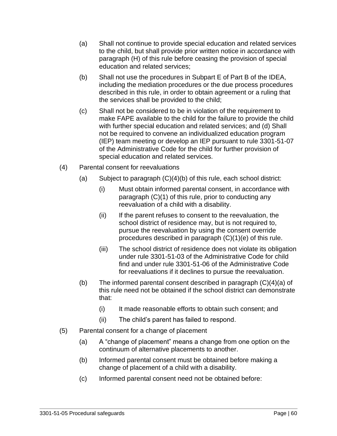- (a) Shall not continue to provide special education and related services to the child, but shall provide prior written notice in accordance with paragraph (H) of this rule before ceasing the provision of special education and related services;
- (b) Shall not use the procedures in Subpart E of Part B of the IDEA, including the mediation procedures or the due process procedures described in this rule, in order to obtain agreement or a ruling that the services shall be provided to the child;
- (c) Shall not be considered to be in violation of the requirement to make FAPE available to the child for the failure to provide the child with further special education and related services; and (d) Shall not be required to convene an individualized education program (IEP) team meeting or develop an IEP pursuant to rule 3301-51-07 of the Administrative Code for the child for further provision of special education and related services.
- (4) Parental consent for reevaluations
	- (a) Subject to paragraph  $(C)(4)(b)$  of this rule, each school district:
		- (i) Must obtain informed parental consent, in accordance with paragraph (C)(1) of this rule, prior to conducting any reevaluation of a child with a disability.
		- (ii) If the parent refuses to consent to the reevaluation, the school district of residence may, but is not required to, pursue the reevaluation by using the consent override procedures described in paragraph (C)(1)(e) of this rule.
		- (iii) The school district of residence does not violate its obligation under rule 3301-51-03 of the Administrative Code for child find and under rule 3301-51-06 of the Administrative Code for reevaluations if it declines to pursue the reevaluation.
	- (b) The informed parental consent described in paragraph (C)(4)(a) of this rule need not be obtained if the school district can demonstrate that:
		- (i) It made reasonable efforts to obtain such consent; and
		- (ii) The child's parent has failed to respond.
- (5) Parental consent for a change of placement
	- (a) A "change of placement" means a change from one option on the continuum of alternative placements to another.
	- (b) Informed parental consent must be obtained before making a change of placement of a child with a disability.
	- (c) Informed parental consent need not be obtained before: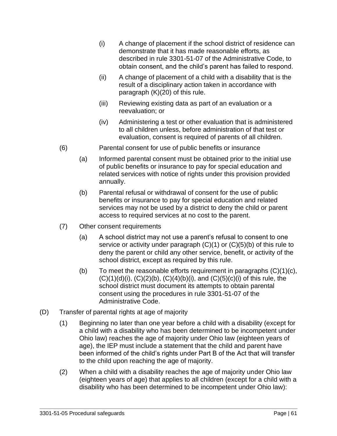- (i) A change of placement if the school district of residence can demonstrate that it has made reasonable efforts, as described in rule 3301-51-07 of the Administrative Code, to obtain consent, and the child's parent has failed to respond.
- (ii) A change of placement of a child with a disability that is the result of a disciplinary action taken in accordance with paragraph (K)(20) of this rule.
- (iii) Reviewing existing data as part of an evaluation or a reevaluation; or
- (iv) Administering a test or other evaluation that is administered to all children unless, before administration of that test or evaluation, consent is required of parents of all children.
- (6) Parental consent for use of public benefits or insurance
	- (a) Informed parental consent must be obtained prior to the initial use of public benefits or insurance to pay for special education and related services with notice of rights under this provision provided annually.
	- (b) Parental refusal or withdrawal of consent for the use of public benefits or insurance to pay for special education and related services may not be used by a district to deny the child or parent access to required services at no cost to the parent.
- (7) Other consent requirements
	- (a) A school district may not use a parent's refusal to consent to one service or activity under paragraph  $(C)(1)$  or  $(C)(5)(b)$  of this rule to deny the parent or child any other service, benefit, or activity of the school district, except as required by this rule.
	- (b) To meet the reasonable efforts requirement in paragraphs  $(C)(1)(c)$ ,  $(C)(1)(d)(i)$ ,  $(C)(2)(b)$ ,  $(C)(4)(b)(i)$ , and  $(C)(5)(c)(i)$  of this rule, the school district must document its attempts to obtain parental consent using the procedures in rule 3301-51-07 of the Administrative Code.
- (D) Transfer of parental rights at age of majority
	- (1) Beginning no later than one year before a child with a disability (except for a child with a disability who has been determined to be incompetent under Ohio law) reaches the age of majority under Ohio law (eighteen years of age), the IEP must include a statement that the child and parent have been informed of the child's rights under Part B of the Act that will transfer to the child upon reaching the age of majority.
	- (2) When a child with a disability reaches the age of majority under Ohio law (eighteen years of age) that applies to all children (except for a child with a disability who has been determined to be incompetent under Ohio law):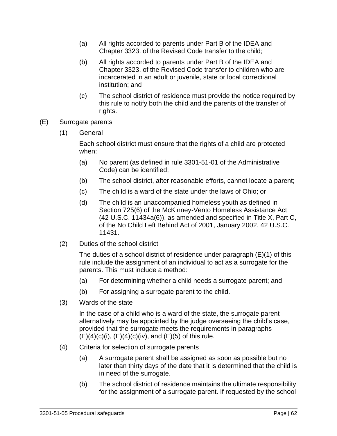- (a) All rights accorded to parents under Part B of the IDEA and Chapter 3323. of the Revised Code transfer to the child;
- (b) All rights accorded to parents under Part B of the IDEA and Chapter 3323. of the Revised Code transfer to children who are incarcerated in an adult or juvenile, state or local correctional institution; and
- (c) The school district of residence must provide the notice required by this rule to notify both the child and the parents of the transfer of rights.
- (E) Surrogate parents
	- (1) General

Each school district must ensure that the rights of a child are protected when:

- (a) No parent (as defined in rule 3301-51-01 of the Administrative Code) can be identified;
- (b) The school district, after reasonable efforts, cannot locate a parent;
- (c) The child is a ward of the state under the laws of Ohio; or
- (d) The child is an unaccompanied homeless youth as defined in Section 725(6) of the McKinney-Vento Homeless Assistance Act (42 U.S.C. 11434a(6)), as amended and specified in Title X, Part C, of the No Child Left Behind Act of 2001, January 2002, 42 U.S.C. 11431.
- (2) Duties of the school district

The duties of a school district of residence under paragraph (E)(1) of this rule include the assignment of an individual to act as a surrogate for the parents. This must include a method:

- (a) For determining whether a child needs a surrogate parent; and
- (b) For assigning a surrogate parent to the child.
- (3) Wards of the state

In the case of a child who is a ward of the state, the surrogate parent alternatively may be appointed by the judge overseeing the child's case, provided that the surrogate meets the requirements in paragraphs  $(E)(4)(c)(i)$ ,  $(E)(4)(c)(iv)$ , and  $(E)(5)$  of this rule.

- (4) Criteria for selection of surrogate parents
	- (a) A surrogate parent shall be assigned as soon as possible but no later than thirty days of the date that it is determined that the child is in need of the surrogate.
	- (b) The school district of residence maintains the ultimate responsibility for the assignment of a surrogate parent. If requested by the school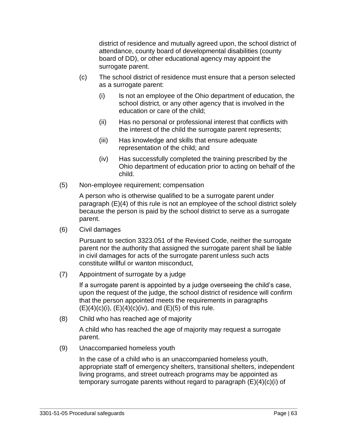district of residence and mutually agreed upon, the school district of attendance, county board of developmental disabilities (county board of DD), or other educational agency may appoint the surrogate parent.

- (c) The school district of residence must ensure that a person selected as a surrogate parent:
	- (i) Is not an employee of the Ohio department of education, the school district, or any other agency that is involved in the education or care of the child;
	- (ii) Has no personal or professional interest that conflicts with the interest of the child the surrogate parent represents;
	- (iii) Has knowledge and skills that ensure adequate representation of the child; and
	- (iv) Has successfully completed the training prescribed by the Ohio department of education prior to acting on behalf of the child.
- (5) Non-employee requirement; compensation

A person who is otherwise qualified to be a surrogate parent under paragraph (E)(4) of this rule is not an employee of the school district solely because the person is paid by the school district to serve as a surrogate parent.

(6) Civil damages

Pursuant to section 3323.051 of the Revised Code, neither the surrogate parent nor the authority that assigned the surrogate parent shall be liable in civil damages for acts of the surrogate parent unless such acts constitute willful or wanton misconduct,

(7) Appointment of surrogate by a judge

If a surrogate parent is appointed by a judge overseeing the child's case, upon the request of the judge, the school district of residence will confirm that the person appointed meets the requirements in paragraphs  $(E)(4)(c)(i)$ ,  $(E)(4)(c)(iv)$ , and  $(E)(5)$  of this rule.

(8) Child who has reached age of majority

A child who has reached the age of majority may request a surrogate parent.

(9) Unaccompanied homeless youth

In the case of a child who is an unaccompanied homeless youth, appropriate staff of emergency shelters, transitional shelters, independent living programs, and street outreach programs may be appointed as temporary surrogate parents without regard to paragraph (E)(4)(c)(i) of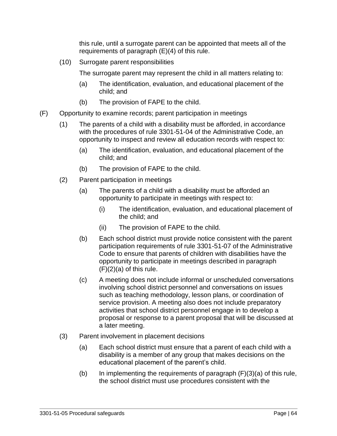this rule, until a surrogate parent can be appointed that meets all of the requirements of paragraph (E)(4) of this rule.

(10) Surrogate parent responsibilities

The surrogate parent may represent the child in all matters relating to:

- (a) The identification, evaluation, and educational placement of the child; and
- (b) The provision of FAPE to the child.
- (F) Opportunity to examine records; parent participation in meetings
	- (1) The parents of a child with a disability must be afforded, in accordance with the procedures of rule 3301-51-04 of the Administrative Code, an opportunity to inspect and review all education records with respect to:
		- (a) The identification, evaluation, and educational placement of the child; and
		- (b) The provision of FAPE to the child.
	- (2) Parent participation in meetings
		- (a) The parents of a child with a disability must be afforded an opportunity to participate in meetings with respect to:
			- (i) The identification, evaluation, and educational placement of the child; and
			- (ii) The provision of FAPE to the child.
		- (b) Each school district must provide notice consistent with the parent participation requirements of rule 3301-51-07 of the Administrative Code to ensure that parents of children with disabilities have the opportunity to participate in meetings described in paragraph  $(F)(2)(a)$  of this rule.
		- (c) A meeting does not include informal or unscheduled conversations involving school district personnel and conversations on issues such as teaching methodology, lesson plans, or coordination of service provision. A meeting also does not include preparatory activities that school district personnel engage in to develop a proposal or response to a parent proposal that will be discussed at a later meeting.
	- (3) Parent involvement in placement decisions
		- (a) Each school district must ensure that a parent of each child with a disability is a member of any group that makes decisions on the educational placement of the parent's child.
		- (b) In implementing the requirements of paragraph  $(F)(3)(a)$  of this rule, the school district must use procedures consistent with the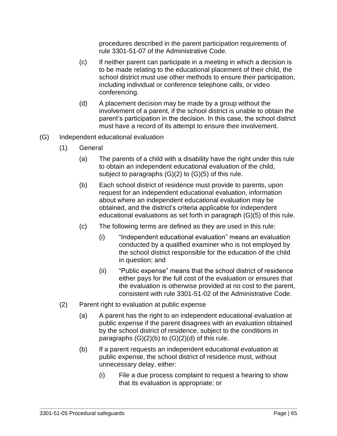procedures described in the parent participation requirements of rule 3301-51-07 of the Administrative Code.

- (c) If neither parent can participate in a meeting in which a decision is to be made relating to the educational placement of their child, the school district must use other methods to ensure their participation, including individual or conference telephone calls, or video conferencing.
- (d) A placement decision may be made by a group without the involvement of a parent, if the school district is unable to obtain the parent's participation in the decision. In this case, the school district must have a record of its attempt to ensure their involvement.
- (G) Independent educational evaluation
	- (1) General
		- (a) The parents of a child with a disability have the right under this rule to obtain an independent educational evaluation of the child, subject to paragraphs (G)(2) to (G)(5) of this rule.
		- (b) Each school district of residence must provide to parents, upon request for an independent educational evaluation, information about where an independent educational evaluation may be obtained, and the district's criteria applicable for independent educational evaluations as set forth in paragraph (G)(5) of this rule.
		- (c) The following terms are defined as they are used in this rule:
			- (i) "Independent educational evaluation" means an evaluation conducted by a qualified examiner who is not employed by the school district responsible for the education of the child in question; and
			- (ii) "Public expense" means that the school district of residence either pays for the full cost of the evaluation or ensures that the evaluation is otherwise provided at no cost to the parent, consistent with rule 3301-51-02 of the Administrative Code.
	- (2) Parent right to evaluation at public expense
		- (a) A parent has the right to an independent educational evaluation at public expense if the parent disagrees with an evaluation obtained by the school district of residence, subject to the conditions in paragraphs  $(G)(2)(b)$  to  $(G)(2)(d)$  of this rule.
		- (b) If a parent requests an independent educational evaluation at public expense, the school district of residence must, without unnecessary delay, either:
			- (i) File a due process complaint to request a hearing to show that its evaluation is appropriate; or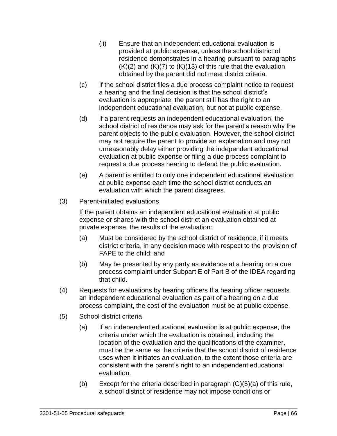- (ii) Ensure that an independent educational evaluation is provided at public expense, unless the school district of residence demonstrates in a hearing pursuant to paragraphs  $(K)(2)$  and  $(K)(7)$  to  $(K)(13)$  of this rule that the evaluation obtained by the parent did not meet district criteria.
- (c) If the school district files a due process complaint notice to request a hearing and the final decision is that the school district's evaluation is appropriate, the parent still has the right to an independent educational evaluation, but not at public expense.
- (d) If a parent requests an independent educational evaluation, the school district of residence may ask for the parent's reason why the parent objects to the public evaluation. However, the school district may not require the parent to provide an explanation and may not unreasonably delay either providing the independent educational evaluation at public expense or filing a due process complaint to request a due process hearing to defend the public evaluation.
- (e) A parent is entitled to only one independent educational evaluation at public expense each time the school district conducts an evaluation with which the parent disagrees.
- (3) Parent-initiated evaluations

If the parent obtains an independent educational evaluation at public expense or shares with the school district an evaluation obtained at private expense, the results of the evaluation:

- (a) Must be considered by the school district of residence, if it meets district criteria, in any decision made with respect to the provision of FAPE to the child; and
- (b) May be presented by any party as evidence at a hearing on a due process complaint under Subpart E of Part B of the IDEA regarding that child.
- (4) Requests for evaluations by hearing officers If a hearing officer requests an independent educational evaluation as part of a hearing on a due process complaint, the cost of the evaluation must be at public expense.
- (5) School district criteria
	- (a) If an independent educational evaluation is at public expense, the criteria under which the evaluation is obtained, including the location of the evaluation and the qualifications of the examiner, must be the same as the criteria that the school district of residence uses when it initiates an evaluation, to the extent those criteria are consistent with the parent's right to an independent educational evaluation.
	- (b) Except for the criteria described in paragraph (G)(5)(a) of this rule, a school district of residence may not impose conditions or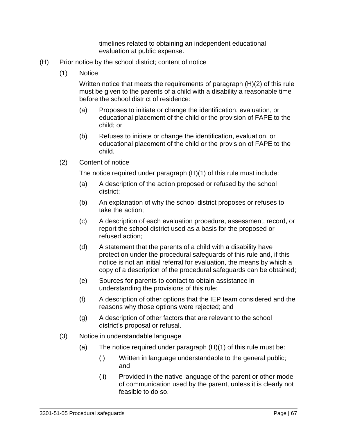timelines related to obtaining an independent educational evaluation at public expense.

- (H) Prior notice by the school district; content of notice
	- (1) Notice

Written notice that meets the requirements of paragraph (H)(2) of this rule must be given to the parents of a child with a disability a reasonable time before the school district of residence:

- (a) Proposes to initiate or change the identification, evaluation, or educational placement of the child or the provision of FAPE to the child; or
- (b) Refuses to initiate or change the identification, evaluation, or educational placement of the child or the provision of FAPE to the child.
- (2) Content of notice

The notice required under paragraph (H)(1) of this rule must include:

- (a) A description of the action proposed or refused by the school district;
- (b) An explanation of why the school district proposes or refuses to take the action;
- (c) A description of each evaluation procedure, assessment, record, or report the school district used as a basis for the proposed or refused action;
- (d) A statement that the parents of a child with a disability have protection under the procedural safeguards of this rule and, if this notice is not an initial referral for evaluation, the means by which a copy of a description of the procedural safeguards can be obtained;
- (e) Sources for parents to contact to obtain assistance in understanding the provisions of this rule;
- (f) A description of other options that the IEP team considered and the reasons why those options were rejected; and
- (g) A description of other factors that are relevant to the school district's proposal or refusal.
- (3) Notice in understandable language
	- (a) The notice required under paragraph  $(H)(1)$  of this rule must be:
		- (i) Written in language understandable to the general public; and
		- (ii) Provided in the native language of the parent or other mode of communication used by the parent, unless it is clearly not feasible to do so.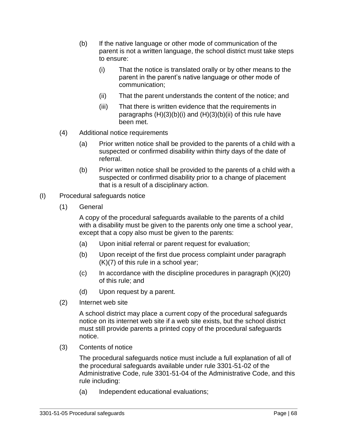- (b) If the native language or other mode of communication of the parent is not a written language, the school district must take steps to ensure:
	- (i) That the notice is translated orally or by other means to the parent in the parent's native language or other mode of communication;
	- (ii) That the parent understands the content of the notice; and
	- (iii) That there is written evidence that the requirements in paragraphs  $(H)(3)(b)(i)$  and  $(H)(3)(b)(ii)$  of this rule have been met.
- (4) Additional notice requirements
	- (a) Prior written notice shall be provided to the parents of a child with a suspected or confirmed disability within thirty days of the date of referral.
	- (b) Prior written notice shall be provided to the parents of a child with a suspected or confirmed disability prior to a change of placement that is a result of a disciplinary action.
- (I) Procedural safeguards notice
	- (1) General

A copy of the procedural safeguards available to the parents of a child with a disability must be given to the parents only one time a school year, except that a copy also must be given to the parents:

- (a) Upon initial referral or parent request for evaluation;
- (b) Upon receipt of the first due process complaint under paragraph (K)(7) of this rule in a school year;
- $\alpha$  In accordance with the discipline procedures in paragraph  $(K)(20)$ of this rule; and
- (d) Upon request by a parent.
- (2) Internet web site

A school district may place a current copy of the procedural safeguards notice on its internet web site if a web site exists, but the school district must still provide parents a printed copy of the procedural safeguards notice.

(3) Contents of notice

The procedural safeguards notice must include a full explanation of all of the procedural safeguards available under rule 3301-51-02 of the Administrative Code, rule 3301-51-04 of the Administrative Code, and this rule including:

(a) Independent educational evaluations;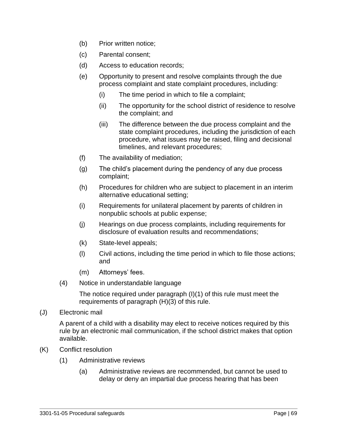- (b) Prior written notice;
- (c) Parental consent;
- (d) Access to education records;
- (e) Opportunity to present and resolve complaints through the due process complaint and state complaint procedures, including:
	- (i) The time period in which to file a complaint;
	- (ii) The opportunity for the school district of residence to resolve the complaint; and
	- (iii) The difference between the due process complaint and the state complaint procedures, including the jurisdiction of each procedure, what issues may be raised, filing and decisional timelines, and relevant procedures;
- (f) The availability of mediation;
- (g) The child's placement during the pendency of any due process complaint;
- (h) Procedures for children who are subject to placement in an interim alternative educational setting;
- (i) Requirements for unilateral placement by parents of children in nonpublic schools at public expense;
- (j) Hearings on due process complaints, including requirements for disclosure of evaluation results and recommendations;
- (k) State-level appeals;
- (l) Civil actions, including the time period in which to file those actions; and
- (m) Attorneys' fees.
- (4) Notice in understandable language

The notice required under paragraph (I)(1) of this rule must meet the requirements of paragraph (H)(3) of this rule.

(J) Electronic mail

A parent of a child with a disability may elect to receive notices required by this rule by an electronic mail communication, if the school district makes that option available.

- (K) Conflict resolution
	- (1) Administrative reviews
		- (a) Administrative reviews are recommended, but cannot be used to delay or deny an impartial due process hearing that has been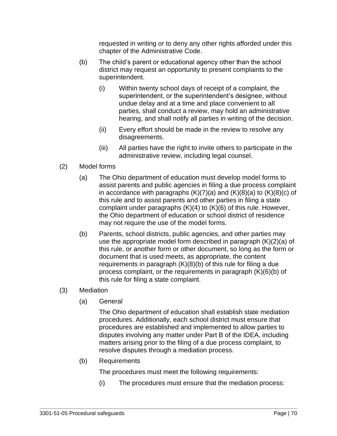requested in writing or to deny any other rights afforded under this chapter of the Administrative Code.

- (b) The child's parent or educational agency other than the school district may request an opportunity to present complaints to the superintendent.
	- (i) Within twenty school days of receipt of a complaint, the superintendent, or the superintendent's designee, without undue delay and at a time and place convenient to all parties, shall conduct a review, may hold an administrative hearing, and shall notify all parties in writing of the decision.
	- (ii) Every effort should be made in the review to resolve any disagreements.
	- (iii) All parties have the right to invite others to participate in the administrative review, including legal counsel.
- (2) Model forms
	- (a) The Ohio department of education must develop model forms to assist parents and public agencies in filing a due process complaint in accordance with paragraphs  $(K)(7)(a)$  and  $(K)(8)(a)$  to  $(K)(8)(c)$  of this rule and to assist parents and other parties in filing a state complaint under paragraphs (K)(4) to (K)(6) of this rule. However, the Ohio department of education or school district of residence may not require the use of the model forms.
	- (b) Parents, school districts, public agencies, and other parties may use the appropriate model form described in paragraph (K)(2)(a) of this rule, or another form or other document, so long as the form or document that is used meets, as appropriate, the content requirements in paragraph (K)(8)(b) of this rule for filing a due process complaint, or the requirements in paragraph (K)(6)(b) of this rule for filing a state complaint.
- (3) Mediation
	- (a) General

The Ohio department of education shall establish state mediation procedures. Additionally, each school district must ensure that procedures are established and implemented to allow parties to disputes involving any matter under Part B of the IDEA, including matters arising prior to the filing of a due process complaint, to resolve disputes through a mediation process.

(b) Requirements

The procedures must meet the following requirements:

(i) The procedures must ensure that the mediation process: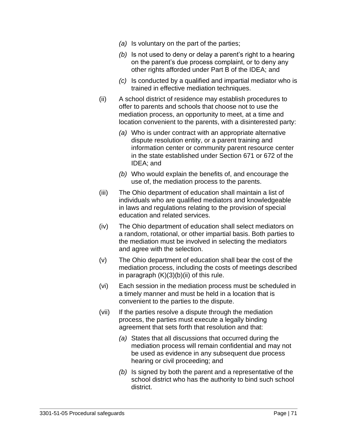- *(a)* Is voluntary on the part of the parties;
- *(b)* Is not used to deny or delay a parent's right to a hearing on the parent's due process complaint, or to deny any other rights afforded under Part B of the IDEA; and
- *(c)* Is conducted by a qualified and impartial mediator who is trained in effective mediation techniques.
- (ii) A school district of residence may establish procedures to offer to parents and schools that choose not to use the mediation process, an opportunity to meet, at a time and location convenient to the parents, with a disinterested party:
	- *(a)* Who is under contract with an appropriate alternative dispute resolution entity, or a parent training and information center or community parent resource center in the state established under Section 671 or 672 of the IDEA; and
	- *(b)* Who would explain the benefits of, and encourage the use of, the mediation process to the parents.
- (iii) The Ohio department of education shall maintain a list of individuals who are qualified mediators and knowledgeable in laws and regulations relating to the provision of special education and related services.
- (iv) The Ohio department of education shall select mediators on a random, rotational, or other impartial basis. Both parties to the mediation must be involved in selecting the mediators and agree with the selection.
- (v) The Ohio department of education shall bear the cost of the mediation process, including the costs of meetings described in paragraph  $(K)(3)(b)(ii)$  of this rule.
- (vi) Each session in the mediation process must be scheduled in a timely manner and must be held in a location that is convenient to the parties to the dispute.
- (vii) If the parties resolve a dispute through the mediation process, the parties must execute a legally binding agreement that sets forth that resolution and that:
	- *(a)* States that all discussions that occurred during the mediation process will remain confidential and may not be used as evidence in any subsequent due process hearing or civil proceeding; and
	- *(b)* Is signed by both the parent and a representative of the school district who has the authority to bind such school district.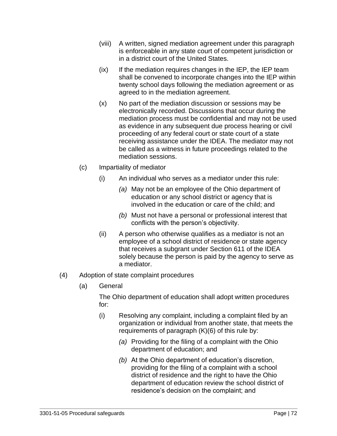- (viii) A written, signed mediation agreement under this paragraph is enforceable in any state court of competent jurisdiction or in a district court of the United States.
- (ix) If the mediation requires changes in the IEP, the IEP team shall be convened to incorporate changes into the IEP within twenty school days following the mediation agreement or as agreed to in the mediation agreement.
- (x) No part of the mediation discussion or sessions may be electronically recorded. Discussions that occur during the mediation process must be confidential and may not be used as evidence in any subsequent due process hearing or civil proceeding of any federal court or state court of a state receiving assistance under the IDEA. The mediator may not be called as a witness in future proceedings related to the mediation sessions.
- (c) Impartiality of mediator
	- (i) An individual who serves as a mediator under this rule:
		- *(a)* May not be an employee of the Ohio department of education or any school district or agency that is involved in the education or care of the child; and
		- *(b)* Must not have a personal or professional interest that conflicts with the person's objectivity.
	- (ii) A person who otherwise qualifies as a mediator is not an employee of a school district of residence or state agency that receives a subgrant under Section 611 of the IDEA solely because the person is paid by the agency to serve as a mediator.

## (4) Adoption of state complaint procedures

(a) General

The Ohio department of education shall adopt written procedures for:

- (i) Resolving any complaint, including a complaint filed by an organization or individual from another state, that meets the requirements of paragraph (K)(6) of this rule by:
	- *(a)* Providing for the filing of a complaint with the Ohio department of education; and
	- *(b)* At the Ohio department of education's discretion, providing for the filing of a complaint with a school district of residence and the right to have the Ohio department of education review the school district of residence's decision on the complaint; and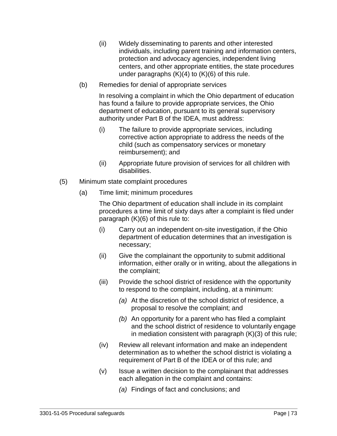- (ii) Widely disseminating to parents and other interested individuals, including parent training and information centers, protection and advocacy agencies, independent living centers, and other appropriate entities, the state procedures under paragraphs  $(K)(4)$  to  $(K)(6)$  of this rule.
- (b) Remedies for denial of appropriate services

In resolving a complaint in which the Ohio department of education has found a failure to provide appropriate services, the Ohio department of education, pursuant to its general supervisory authority under Part B of the IDEA, must address:

- (i) The failure to provide appropriate services, including corrective action appropriate to address the needs of the child (such as compensatory services or monetary reimbursement); and
- (ii) Appropriate future provision of services for all children with disabilities.
- (5) Minimum state complaint procedures
	- (a) Time limit; minimum procedures

The Ohio department of education shall include in its complaint procedures a time limit of sixty days after a complaint is filed under paragraph (K)(6) of this rule to:

- (i) Carry out an independent on-site investigation, if the Ohio department of education determines that an investigation is necessary;
- (ii) Give the complainant the opportunity to submit additional information, either orally or in writing, about the allegations in the complaint;
- (iii) Provide the school district of residence with the opportunity to respond to the complaint, including, at a minimum:
	- *(a)* At the discretion of the school district of residence, a proposal to resolve the complaint; and
	- *(b)* An opportunity for a parent who has filed a complaint and the school district of residence to voluntarily engage in mediation consistent with paragraph (K)(3) of this rule;
- (iv) Review all relevant information and make an independent determination as to whether the school district is violating a requirement of Part B of the IDEA or of this rule; and
- (v) Issue a written decision to the complainant that addresses each allegation in the complaint and contains:
	- *(a)* Findings of fact and conclusions; and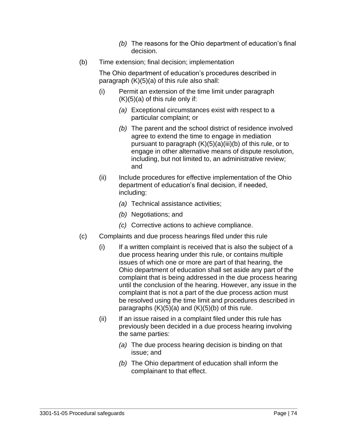- *(b)* The reasons for the Ohio department of education's final decision.
- (b) Time extension; final decision; implementation

The Ohio department of education's procedures described in paragraph (K)(5)(a) of this rule also shall:

- (i) Permit an extension of the time limit under paragraph  $(K)(5)(a)$  of this rule only if:
	- *(a)* Exceptional circumstances exist with respect to a particular complaint; or
	- *(b)* The parent and the school district of residence involved agree to extend the time to engage in mediation pursuant to paragraph (K)(5)(a)(iii)(b) of this rule, or to engage in other alternative means of dispute resolution, including, but not limited to, an administrative review; and
- (ii) Include procedures for effective implementation of the Ohio department of education's final decision, if needed, including:
	- *(a)* Technical assistance activities;
	- *(b)* Negotiations; and
	- *(c)* Corrective actions to achieve compliance.
- (c) Complaints and due process hearings filed under this rule
	- $(i)$  If a written complaint is received that is also the subject of a due process hearing under this rule, or contains multiple issues of which one or more are part of that hearing, the Ohio department of education shall set aside any part of the complaint that is being addressed in the due process hearing until the conclusion of the hearing. However, any issue in the complaint that is not a part of the due process action must be resolved using the time limit and procedures described in paragraphs  $(K)(5)(a)$  and  $(K)(5)(b)$  of this rule.
	- (ii) If an issue raised in a complaint filed under this rule has previously been decided in a due process hearing involving the same parties:
		- *(a)* The due process hearing decision is binding on that issue; and
		- *(b)* The Ohio department of education shall inform the complainant to that effect.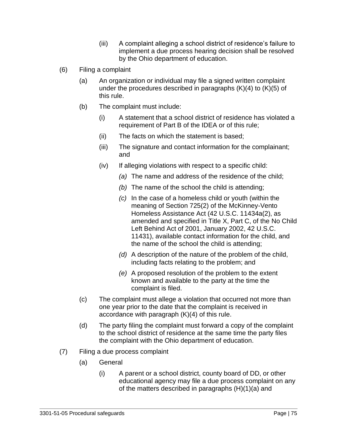- (iii) A complaint alleging a school district of residence's failure to implement a due process hearing decision shall be resolved by the Ohio department of education.
- (6) Filing a complaint
	- (a) An organization or individual may file a signed written complaint under the procedures described in paragraphs  $(K)(4)$  to  $(K)(5)$  of this rule.
	- (b) The complaint must include:
		- (i) A statement that a school district of residence has violated a requirement of Part B of the IDEA or of this rule;
		- (ii) The facts on which the statement is based;
		- (iii) The signature and contact information for the complainant; and
		- $(iv)$  If alleging violations with respect to a specific child:
			- *(a)* The name and address of the residence of the child;
			- *(b)* The name of the school the child is attending;
			- *(c)* In the case of a homeless child or youth (within the meaning of Section 725(2) of the McKinney-Vento Homeless Assistance Act (42 U.S.C. 11434a(2), as amended and specified in Title X, Part C, of the No Child Left Behind Act of 2001, January 2002, 42 U.S.C. 11431), available contact information for the child, and the name of the school the child is attending;
			- *(d)* A description of the nature of the problem of the child, including facts relating to the problem; and
			- *(e)* A proposed resolution of the problem to the extent known and available to the party at the time the complaint is filed.
	- (c) The complaint must allege a violation that occurred not more than one year prior to the date that the complaint is received in accordance with paragraph (K)(4) of this rule.
	- (d) The party filing the complaint must forward a copy of the complaint to the school district of residence at the same time the party files the complaint with the Ohio department of education.
- (7) Filing a due process complaint
	- (a) General
		- (i) A parent or a school district, county board of DD, or other educational agency may file a due process complaint on any of the matters described in paragraphs (H)(1)(a) and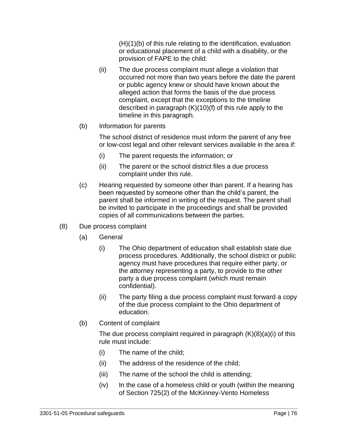(H)(1)(b) of this rule relating to the identification, evaluation or educational placement of a child with a disability, or the provision of FAPE to the child.

- (ii) The due process complaint must allege a violation that occurred not more than two years before the date the parent or public agency knew or should have known about the alleged action that forms the basis of the due process complaint, except that the exceptions to the timeline described in paragraph (K)(10)(f) of this rule apply to the timeline in this paragraph.
- (b) Information for parents

The school district of residence must inform the parent of any free or low-cost legal and other relevant services available in the area if:

- (i) The parent requests the information; or
- (ii) The parent or the school district files a due process complaint under this rule.
- (c) Hearing requested by someone other than parent. If a hearing has been requested by someone other than the child's parent, the parent shall be informed in writing of the request. The parent shall be invited to participate in the proceedings and shall be provided copies of all communications between the parties.
- (8) Due process complaint
	- (a) General
		- (i) The Ohio department of education shall establish state due process procedures. Additionally, the school district or public agency must have procedures that require either party, or the attorney representing a party, to provide to the other party a due process complaint (which must remain confidential).
		- (ii) The party filing a due process complaint must forward a copy of the due process complaint to the Ohio department of education.
	- (b) Content of complaint

The due process complaint required in paragraph (K)(8)(a)(i) of this rule must include:

- (i) The name of the child;
- (ii) The address of the residence of the child;
- (iii) The name of the school the child is attending;
- (iv) In the case of a homeless child or youth (within the meaning of Section 725(2) of the McKinney-Vento Homeless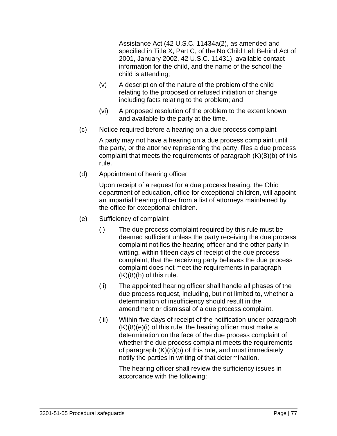Assistance Act (42 U.S.C. 11434a(2), as amended and specified in Title X, Part C, of the No Child Left Behind Act of 2001, January 2002, 42 U.S.C. 11431), available contact information for the child, and the name of the school the child is attending;

- (v) A description of the nature of the problem of the child relating to the proposed or refused initiation or change, including facts relating to the problem; and
- (vi) A proposed resolution of the problem to the extent known and available to the party at the time.
- (c) Notice required before a hearing on a due process complaint

A party may not have a hearing on a due process complaint until the party, or the attorney representing the party, files a due process complaint that meets the requirements of paragraph (K)(8)(b) of this rule.

(d) Appointment of hearing officer

Upon receipt of a request for a due process hearing, the Ohio department of education, office for exceptional children, will appoint an impartial hearing officer from a list of attorneys maintained by the office for exceptional children.

- (e) Sufficiency of complaint
	- (i) The due process complaint required by this rule must be deemed sufficient unless the party receiving the due process complaint notifies the hearing officer and the other party in writing, within fifteen days of receipt of the due process complaint, that the receiving party believes the due process complaint does not meet the requirements in paragraph  $(K)(8)(b)$  of this rule.
	- (ii) The appointed hearing officer shall handle all phases of the due process request, including, but not limited to, whether a determination of insufficiency should result in the amendment or dismissal of a due process complaint.
	- (iii) Within five days of receipt of the notification under paragraph  $(K)(8)(e)(i)$  of this rule, the hearing officer must make a determination on the face of the due process complaint of whether the due process complaint meets the requirements of paragraph (K)(8)(b) of this rule, and must immediately notify the parties in writing of that determination.

The hearing officer shall review the sufficiency issues in accordance with the following: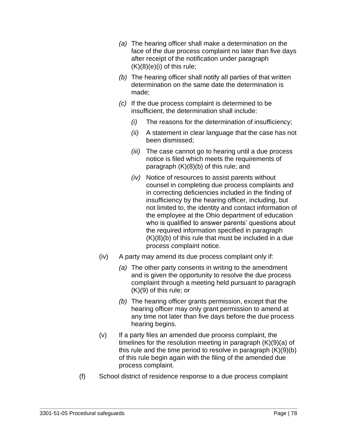- *(a)* The hearing officer shall make a determination on the face of the due process complaint no later than five days after receipt of the notification under paragraph  $(K)(8)(e)(i)$  of this rule;
- *(b)* The hearing officer shall notify all parties of that written determination on the same date the determination is made;
- *(c)* If the due process complaint is determined to be insufficient, the determination shall include:
	- *(i)* The reasons for the determination of insufficiency;
	- *(ii)* A statement in clear language that the case has not been dismissed;
	- *(iii)* The case cannot go to hearing until a due process notice is filed which meets the requirements of paragraph (K)(8)(b) of this rule; and
	- *(iv)* Notice of resources to assist parents without counsel in completing due process complaints and in correcting deficiencies included in the finding of insufficiency by the hearing officer, including, but not limited to, the identity and contact information of the employee at the Ohio department of education who is qualified to answer parents' questions about the required information specified in paragraph (K)(8)(b) of this rule that must be included in a due process complaint notice.
- (iv) A party may amend its due process complaint only if:
	- *(a)* The other party consents in writing to the amendment and is given the opportunity to resolve the due process complaint through a meeting held pursuant to paragraph (K)(9) of this rule; or
	- *(b)* The hearing officer grants permission, except that the hearing officer may only grant permission to amend at any time not later than five days before the due process hearing begins.
- (v) If a party files an amended due process complaint, the timelines for the resolution meeting in paragraph (K)(9)(a) of this rule and the time period to resolve in paragraph (K)(9)(b) of this rule begin again with the filing of the amended due process complaint.
- (f) School district of residence response to a due process complaint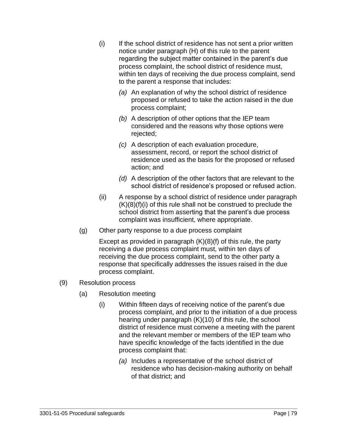- (i) If the school district of residence has not sent a prior written notice under paragraph (H) of this rule to the parent regarding the subject matter contained in the parent's due process complaint, the school district of residence must, within ten days of receiving the due process complaint, send to the parent a response that includes:
	- *(a)* An explanation of why the school district of residence proposed or refused to take the action raised in the due process complaint;
	- *(b)* A description of other options that the IEP team considered and the reasons why those options were rejected;
	- *(c)* A description of each evaluation procedure, assessment, record, or report the school district of residence used as the basis for the proposed or refused action; and
	- *(d)* A description of the other factors that are relevant to the school district of residence's proposed or refused action.
- (ii) A response by a school district of residence under paragraph  $(K)(8)(f)(i)$  of this rule shall not be construed to preclude the school district from asserting that the parent's due process complaint was insufficient, where appropriate.
- (g) Other party response to a due process complaint

Except as provided in paragraph (K)(8)(f) of this rule, the party receiving a due process complaint must, within ten days of receiving the due process complaint, send to the other party a response that specifically addresses the issues raised in the due process complaint.

- (9) Resolution process
	- (a) Resolution meeting
		- (i) Within fifteen days of receiving notice of the parent's due process complaint, and prior to the initiation of a due process hearing under paragraph (K)(10) of this rule, the school district of residence must convene a meeting with the parent and the relevant member or members of the IEP team who have specific knowledge of the facts identified in the due process complaint that:
			- *(a)* Includes a representative of the school district of residence who has decision-making authority on behalf of that district; and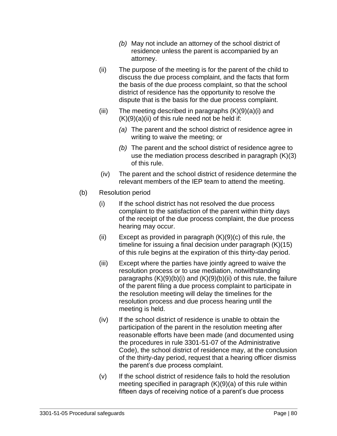- *(b)* May not include an attorney of the school district of residence unless the parent is accompanied by an attorney.
- (ii) The purpose of the meeting is for the parent of the child to discuss the due process complaint, and the facts that form the basis of the due process complaint, so that the school district of residence has the opportunity to resolve the dispute that is the basis for the due process complaint.
- (iii) The meeting described in paragraphs  $(K)(9)(a)(i)$  and  $(K)(9)(a)(ii)$  of this rule need not be held if:
	- *(a)* The parent and the school district of residence agree in writing to waive the meeting; or
	- *(b)* The parent and the school district of residence agree to use the mediation process described in paragraph (K)(3) of this rule.
- (iv) The parent and the school district of residence determine the relevant members of the IEP team to attend the meeting.
- (b) Resolution period
	- (i) If the school district has not resolved the due process complaint to the satisfaction of the parent within thirty days of the receipt of the due process complaint, the due process hearing may occur.
	- (ii) Except as provided in paragraph  $(K)(9)(c)$  of this rule, the timeline for issuing a final decision under paragraph (K)(15) of this rule begins at the expiration of this thirty-day period.
	- (iii) Except where the parties have jointly agreed to waive the resolution process or to use mediation, notwithstanding paragraphs  $(K)(9)(b)(i)$  and  $(K)(9)(b)(ii)$  of this rule, the failure of the parent filing a due process complaint to participate in the resolution meeting will delay the timelines for the resolution process and due process hearing until the meeting is held.
	- (iv) If the school district of residence is unable to obtain the participation of the parent in the resolution meeting after reasonable efforts have been made (and documented using the procedures in rule 3301-51-07 of the Administrative Code), the school district of residence may, at the conclusion of the thirty-day period, request that a hearing officer dismiss the parent's due process complaint.
	- (v) If the school district of residence fails to hold the resolution meeting specified in paragraph (K)(9)(a) of this rule within fifteen days of receiving notice of a parent's due process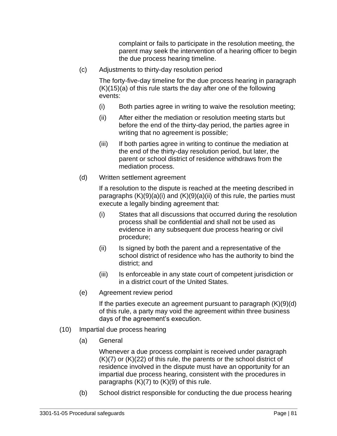complaint or fails to participate in the resolution meeting, the parent may seek the intervention of a hearing officer to begin the due process hearing timeline.

(c) Adjustments to thirty-day resolution period

The forty-five-day timeline for the due process hearing in paragraph (K)(15)(a) of this rule starts the day after one of the following events:

- (i) Both parties agree in writing to waive the resolution meeting;
- (ii) After either the mediation or resolution meeting starts but before the end of the thirty-day period, the parties agree in writing that no agreement is possible;
- (iii) If both parties agree in writing to continue the mediation at the end of the thirty-day resolution period, but later, the parent or school district of residence withdraws from the mediation process.
- (d) Written settlement agreement

If a resolution to the dispute is reached at the meeting described in paragraphs  $(K)(9)(a)(i)$  and  $(K)(9)(a)(ii)$  of this rule, the parties must execute a legally binding agreement that:

- (i) States that all discussions that occurred during the resolution process shall be confidential and shall not be used as evidence in any subsequent due process hearing or civil procedure;
- (ii) Is signed by both the parent and a representative of the school district of residence who has the authority to bind the district; and
- (iii) Is enforceable in any state court of competent jurisdiction or in a district court of the United States.
- (e) Agreement review period

If the parties execute an agreement pursuant to paragraph  $(K)(9)(d)$ of this rule, a party may void the agreement within three business days of the agreement's execution.

- (10) Impartial due process hearing
	- (a) General

Whenever a due process complaint is received under paragraph (K)(7) or (K)(22) of this rule, the parents or the school district of residence involved in the dispute must have an opportunity for an impartial due process hearing, consistent with the procedures in paragraphs  $(K)(7)$  to  $(K)(9)$  of this rule.

(b) School district responsible for conducting the due process hearing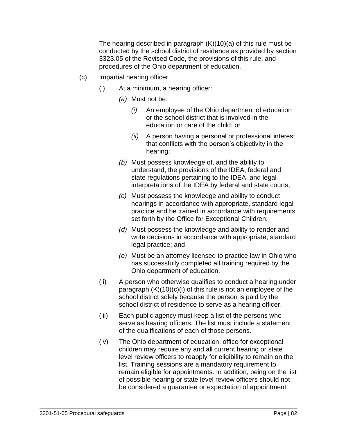The hearing described in paragraph (K)(10)(a) of this rule must be conducted by the school district of residence as provided by section 3323.05 of the Revised Code, the provisions of this rule, and procedures of the Ohio department of education.

- (c) Impartial hearing officer
	- (i) At a minimum, a hearing officer:
		- *(a)* Must not be:
			- *(i)* An employee of the Ohio department of education or the school district that is involved in the education or care of the child; or
			- *(ii)* A person having a personal or professional interest that conflicts with the person's objectivity in the hearing;
		- *(b)* Must possess knowledge of, and the ability to understand, the provisions of the IDEA, federal and state regulations pertaining to the IDEA, and legal interpretations of the IDEA by federal and state courts;
		- *(c)* Must possess the knowledge and ability to conduct hearings in accordance with appropriate, standard legal practice and be trained in accordance with requirements set forth by the Office for Exceptional Children;
		- *(d)* Must possess the knowledge and ability to render and write decisions in accordance with appropriate, standard legal practice; and
		- *(e)* Must be an attorney licensed to practice law in Ohio who has successfully completed all training required by the Ohio department of education.
	- (ii) A person who otherwise qualifies to conduct a hearing under paragraph (K)(10)(c)(i) of this rule is not an employee of the school district solely because the person is paid by the school district of residence to serve as a hearing officer.
	- (iii) Each public agency must keep a list of the persons who serve as hearing officers. The list must include a statement of the qualifications of each of those persons.
	- (iv) The Ohio department of education, office for exceptional children may require any and all current hearing or state level review officers to reapply for eligibility to remain on the list. Training sessions are a mandatory requirement to remain eligible for appointments. In addition, being on the list of possible hearing or state level review officers should not be considered a guarantee or expectation of appointment.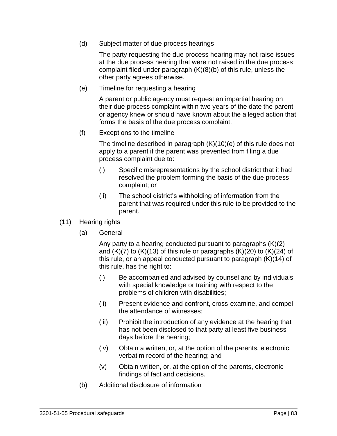(d) Subject matter of due process hearings

The party requesting the due process hearing may not raise issues at the due process hearing that were not raised in the due process complaint filed under paragraph (K)(8)(b) of this rule, unless the other party agrees otherwise.

(e) Timeline for requesting a hearing

A parent or public agency must request an impartial hearing on their due process complaint within two years of the date the parent or agency knew or should have known about the alleged action that forms the basis of the due process complaint.

(f) Exceptions to the timeline

The timeline described in paragraph (K)(10)(e) of this rule does not apply to a parent if the parent was prevented from filing a due process complaint due to:

- (i) Specific misrepresentations by the school district that it had resolved the problem forming the basis of the due process complaint; or
- (ii) The school district's withholding of information from the parent that was required under this rule to be provided to the parent.
- (11) Hearing rights
	- (a) General

Any party to a hearing conducted pursuant to paragraphs (K)(2) and  $(K)(7)$  to  $(K)(13)$  of this rule or paragraphs  $(K)(20)$  to  $(K)(24)$  of this rule, or an appeal conducted pursuant to paragraph (K)(14) of this rule, has the right to:

- (i) Be accompanied and advised by counsel and by individuals with special knowledge or training with respect to the problems of children with disabilities;
- (ii) Present evidence and confront, cross-examine, and compel the attendance of witnesses;
- (iii) Prohibit the introduction of any evidence at the hearing that has not been disclosed to that party at least five business days before the hearing;
- (iv) Obtain a written, or, at the option of the parents, electronic, verbatim record of the hearing; and
- (v) Obtain written, or, at the option of the parents, electronic findings of fact and decisions.
- (b) Additional disclosure of information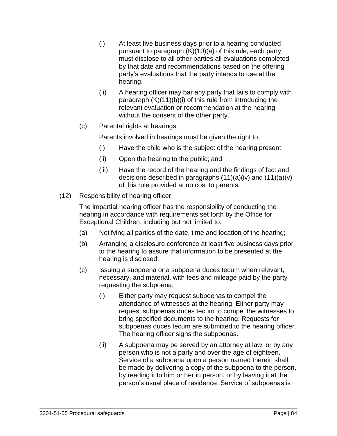- (i) At least five business days prior to a hearing conducted pursuant to paragraph (K)(10)(a) of this rule, each party must disclose to all other parties all evaluations completed by that date and recommendations based on the offering party's evaluations that the party intends to use at the hearing.
- (ii) A hearing officer may bar any party that fails to comply with paragraph (K)(11)(b)(i) of this rule from introducing the relevant evaluation or recommendation at the hearing without the consent of the other party.
- (c) Parental rights at hearings

Parents involved in hearings must be given the right to:

- (i) Have the child who is the subject of the hearing present;
- (ii) Open the hearing to the public; and
- (iii) Have the record of the hearing and the findings of fact and decisions described in paragraphs (11)(a)(iv) and (11)(a)(v) of this rule provided at no cost to parents.
- (12) Responsibility of hearing officer

The impartial hearing officer has the responsibility of conducting the hearing in accordance with requirements set forth by the Office for Exceptional Children, including but not limited to:

- (a) Notifying all parties of the date, time and location of the hearing;
- (b) Arranging a disclosure conference at least five business days prior to the hearing to assure that information to be presented at the hearing is disclosed;
- (c) Issuing a subpoena or a subpoena duces tecum when relevant, necessary, and material, with fees and mileage paid by the party requesting the subpoena;
	- (i) Either party may request subpoenas to compel the attendance of witnesses at the hearing. Either party may request subpoenas duces tecum to compel the witnesses to bring specified documents to the hearing. Requests for subpoenas duces tecum are submitted to the hearing officer. The hearing officer signs the subpoenas.
	- (ii) A subpoena may be served by an attorney at law, or by any person who is not a party and over the age of eighteen. Service of a subpoena upon a person named therein shall be made by delivering a copy of the subpoena to the person, by reading it to him or her in person, or by leaving it at the person's usual place of residence. Service of subpoenas is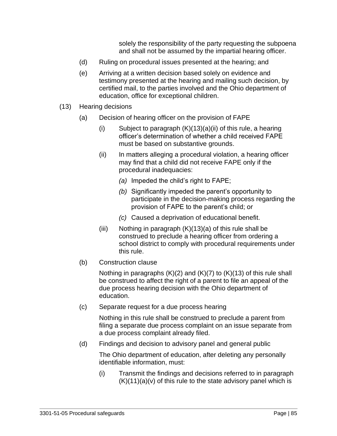solely the responsibility of the party requesting the subpoena and shall not be assumed by the impartial hearing officer.

- (d) Ruling on procedural issues presented at the hearing; and
- (e) Arriving at a written decision based solely on evidence and testimony presented at the hearing and mailing such decision, by certified mail, to the parties involved and the Ohio department of education, office for exceptional children.
- (13) Hearing decisions
	- (a) Decision of hearing officer on the provision of FAPE
		- (i) Subject to paragraph  $(K)(13)(a)(ii)$  of this rule, a hearing officer's determination of whether a child received FAPE must be based on substantive grounds.
		- (ii) In matters alleging a procedural violation, a hearing officer may find that a child did not receive FAPE only if the procedural inadequacies:
			- *(a)* Impeded the child's right to FAPE;
			- *(b)* Significantly impeded the parent's opportunity to participate in the decision-making process regarding the provision of FAPE to the parent's child; or
			- *(c)* Caused a deprivation of educational benefit.
		- (iii) Nothing in paragraph  $(K)(13)(a)$  of this rule shall be construed to preclude a hearing officer from ordering a school district to comply with procedural requirements under this rule.
	- (b) Construction clause

Nothing in paragraphs  $(K)(2)$  and  $(K)(7)$  to  $(K)(13)$  of this rule shall be construed to affect the right of a parent to file an appeal of the due process hearing decision with the Ohio department of education.

(c) Separate request for a due process hearing

Nothing in this rule shall be construed to preclude a parent from filing a separate due process complaint on an issue separate from a due process complaint already filed.

(d) Findings and decision to advisory panel and general public

The Ohio department of education, after deleting any personally identifiable information, must:

(i) Transmit the findings and decisions referred to in paragraph  $(K)(11)(a)(v)$  of this rule to the state advisory panel which is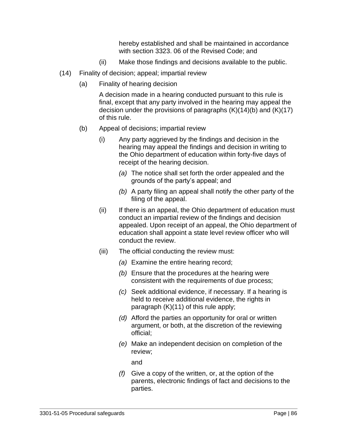hereby established and shall be maintained in accordance with section 3323. 06 of the Revised Code; and

- (ii) Make those findings and decisions available to the public.
- (14) Finality of decision; appeal; impartial review
	- (a) Finality of hearing decision

A decision made in a hearing conducted pursuant to this rule is final, except that any party involved in the hearing may appeal the decision under the provisions of paragraphs  $(K)(14)(b)$  and  $(K)(17)$ of this rule.

- (b) Appeal of decisions; impartial review
	- (i) Any party aggrieved by the findings and decision in the hearing may appeal the findings and decision in writing to the Ohio department of education within forty-five days of receipt of the hearing decision.
		- *(a)* The notice shall set forth the order appealed and the grounds of the party's appeal; and
		- *(b)* A party filing an appeal shall notify the other party of the filing of the appeal.
	- (ii) If there is an appeal, the Ohio department of education must conduct an impartial review of the findings and decision appealed. Upon receipt of an appeal, the Ohio department of education shall appoint a state level review officer who will conduct the review.
	- (iii) The official conducting the review must:
		- *(a)* Examine the entire hearing record;
		- *(b)* Ensure that the procedures at the hearing were consistent with the requirements of due process;
		- *(c)* Seek additional evidence, if necessary. If a hearing is held to receive additional evidence, the rights in paragraph (K)(11) of this rule apply;
		- *(d)* Afford the parties an opportunity for oral or written argument, or both, at the discretion of the reviewing official;
		- *(e)* Make an independent decision on completion of the review;

and

*(f)* Give a copy of the written, or, at the option of the parents, electronic findings of fact and decisions to the parties.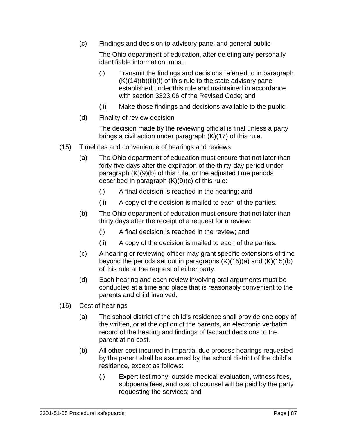(c) Findings and decision to advisory panel and general public

The Ohio department of education, after deleting any personally identifiable information, must:

- (i) Transmit the findings and decisions referred to in paragraph  $(K)(14)(b)(iii)(f)$  of this rule to the state advisory panel established under this rule and maintained in accordance with section 3323.06 of the Revised Code; and
- (ii) Make those findings and decisions available to the public.
- (d) Finality of review decision

The decision made by the reviewing official is final unless a party brings a civil action under paragraph (K)(17) of this rule.

- (15) Timelines and convenience of hearings and reviews
	- (a) The Ohio department of education must ensure that not later than forty-five days after the expiration of the thirty-day period under paragraph (K)(9)(b) of this rule, or the adjusted time periods described in paragraph (K)(9)(c) of this rule:
		- (i) A final decision is reached in the hearing; and
		- (ii) A copy of the decision is mailed to each of the parties.
	- (b) The Ohio department of education must ensure that not later than thirty days after the receipt of a request for a review:
		- (i) A final decision is reached in the review; and
		- (ii) A copy of the decision is mailed to each of the parties.
	- (c) A hearing or reviewing officer may grant specific extensions of time beyond the periods set out in paragraphs (K)(15)(a) and (K)(15)(b) of this rule at the request of either party.
	- (d) Each hearing and each review involving oral arguments must be conducted at a time and place that is reasonably convenient to the parents and child involved.
- (16) Cost of hearings
	- (a) The school district of the child's residence shall provide one copy of the written, or at the option of the parents, an electronic verbatim record of the hearing and findings of fact and decisions to the parent at no cost.
	- (b) All other cost incurred in impartial due process hearings requested by the parent shall be assumed by the school district of the child's residence, except as follows:
		- (i) Expert testimony, outside medical evaluation, witness fees, subpoena fees, and cost of counsel will be paid by the party requesting the services; and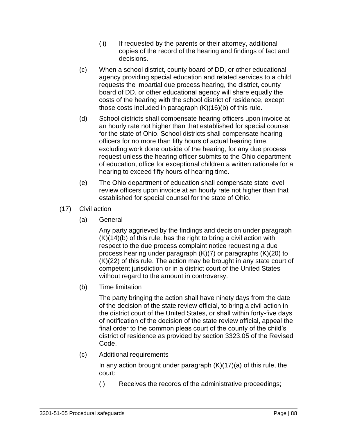- (ii) If requested by the parents or their attorney, additional copies of the record of the hearing and findings of fact and decisions.
- (c) When a school district, county board of DD, or other educational agency providing special education and related services to a child requests the impartial due process hearing, the district, county board of DD, or other educational agency will share equally the costs of the hearing with the school district of residence, except those costs included in paragraph (K)(16)(b) of this rule.
- (d) School districts shall compensate hearing officers upon invoice at an hourly rate not higher than that established for special counsel for the state of Ohio. School districts shall compensate hearing officers for no more than fifty hours of actual hearing time, excluding work done outside of the hearing, for any due process request unless the hearing officer submits to the Ohio department of education, office for exceptional children a written rationale for a hearing to exceed fifty hours of hearing time.
- (e) The Ohio department of education shall compensate state level review officers upon invoice at an hourly rate not higher than that established for special counsel for the state of Ohio.
- (17) Civil action
	- (a) General

Any party aggrieved by the findings and decision under paragraph (K)(14)(b) of this rule, has the right to bring a civil action with respect to the due process complaint notice requesting a due process hearing under paragraph (K)(7) or paragraphs (K)(20) to (K)(22) of this rule. The action may be brought in any state court of competent jurisdiction or in a district court of the United States without regard to the amount in controversy.

(b) Time limitation

The party bringing the action shall have ninety days from the date of the decision of the state review official, to bring a civil action in the district court of the United States, or shall within forty-five days of notification of the decision of the state review official, appeal the final order to the common pleas court of the county of the child's district of residence as provided by section 3323.05 of the Revised Code.

(c) Additional requirements

In any action brought under paragraph  $(K)(17)(a)$  of this rule, the court:

(i) Receives the records of the administrative proceedings;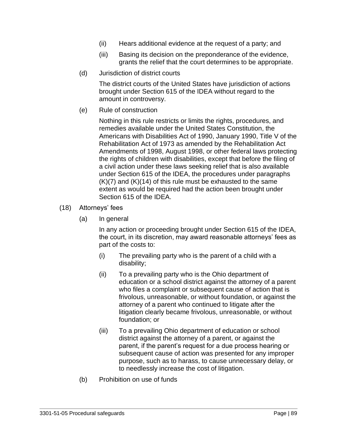- (ii) Hears additional evidence at the request of a party; and
- (iii) Basing its decision on the preponderance of the evidence, grants the relief that the court determines to be appropriate.
- (d) Jurisdiction of district courts

The district courts of the United States have jurisdiction of actions brought under Section 615 of the IDEA without regard to the amount in controversy.

(e) Rule of construction

Nothing in this rule restricts or limits the rights, procedures, and remedies available under the United States Constitution, the Americans with Disabilities Act of 1990, January 1990, Title V of the Rehabilitation Act of 1973 as amended by the Rehabilitation Act Amendments of 1998, August 1998, or other federal laws protecting the rights of children with disabilities, except that before the filing of a civil action under these laws seeking relief that is also available under Section 615 of the IDEA, the procedures under paragraphs  $(K)(7)$  and  $(K)(14)$  of this rule must be exhausted to the same extent as would be required had the action been brought under Section 615 of the IDEA.

- (18) Attorneys' fees
	- (a) In general

In any action or proceeding brought under Section 615 of the IDEA, the court, in its discretion, may award reasonable attorneys' fees as part of the costs to:

- (i) The prevailing party who is the parent of a child with a disability;
- (ii) To a prevailing party who is the Ohio department of education or a school district against the attorney of a parent who files a complaint or subsequent cause of action that is frivolous, unreasonable, or without foundation, or against the attorney of a parent who continued to litigate after the litigation clearly became frivolous, unreasonable, or without foundation; or
- (iii) To a prevailing Ohio department of education or school district against the attorney of a parent, or against the parent, if the parent's request for a due process hearing or subsequent cause of action was presented for any improper purpose, such as to harass, to cause unnecessary delay, or to needlessly increase the cost of litigation.
- (b) Prohibition on use of funds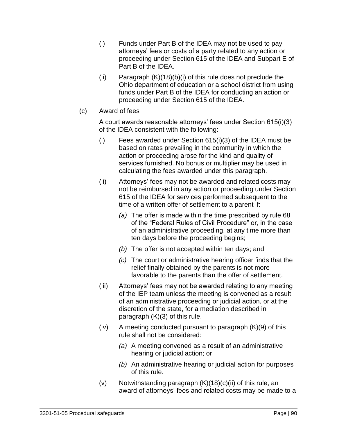- (i) Funds under Part B of the IDEA may not be used to pay attorneys' fees or costs of a party related to any action or proceeding under Section 615 of the IDEA and Subpart E of Part B of the IDEA.
- (ii) Paragraph (K)(18)(b)(i) of this rule does not preclude the Ohio department of education or a school district from using funds under Part B of the IDEA for conducting an action or proceeding under Section 615 of the IDEA.
- (c) Award of fees

A court awards reasonable attorneys' fees under Section 615(i)(3) of the IDEA consistent with the following:

- (i) Fees awarded under Section 615(i)(3) of the IDEA must be based on rates prevailing in the community in which the action or proceeding arose for the kind and quality of services furnished. No bonus or multiplier may be used in calculating the fees awarded under this paragraph.
- (ii) Attorneys' fees may not be awarded and related costs may not be reimbursed in any action or proceeding under Section 615 of the IDEA for services performed subsequent to the time of a written offer of settlement to a parent if:
	- *(a)* The offer is made within the time prescribed by rule 68 of the "Federal Rules of Civil Procedure" or, in the case of an administrative proceeding, at any time more than ten days before the proceeding begins;
	- *(b)* The offer is not accepted within ten days; and
	- *(c)* The court or administrative hearing officer finds that the relief finally obtained by the parents is not more favorable to the parents than the offer of settlement.
- (iii) Attorneys' fees may not be awarded relating to any meeting of the IEP team unless the meeting is convened as a result of an administrative proceeding or judicial action, or at the discretion of the state, for a mediation described in paragraph (K)(3) of this rule.
- (iv) A meeting conducted pursuant to paragraph (K)(9) of this rule shall not be considered:
	- *(a)* A meeting convened as a result of an administrative hearing or judicial action; or
	- *(b)* An administrative hearing or judicial action for purposes of this rule.
- (v) Notwithstanding paragraph  $(K)(18)(c)(ii)$  of this rule, an award of attorneys' fees and related costs may be made to a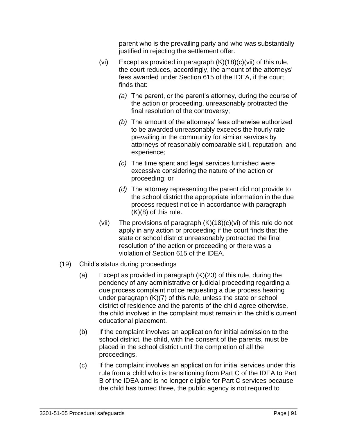parent who is the prevailing party and who was substantially justified in rejecting the settlement offer.

- (vi) Except as provided in paragraph (K)(18)(c)(vii) of this rule, the court reduces, accordingly, the amount of the attorneys' fees awarded under Section 615 of the IDEA, if the court finds that:
	- *(a)* The parent, or the parent's attorney, during the course of the action or proceeding, unreasonably protracted the final resolution of the controversy;
	- *(b)* The amount of the attorneys' fees otherwise authorized to be awarded unreasonably exceeds the hourly rate prevailing in the community for similar services by attorneys of reasonably comparable skill, reputation, and experience;
	- *(c)* The time spent and legal services furnished were excessive considering the nature of the action or proceeding; or
	- *(d)* The attorney representing the parent did not provide to the school district the appropriate information in the due process request notice in accordance with paragraph (K)(8) of this rule.
- (vii) The provisions of paragraph  $(K)(18)(c)(vi)$  of this rule do not apply in any action or proceeding if the court finds that the state or school district unreasonably protracted the final resolution of the action or proceeding or there was a violation of Section 615 of the IDEA.
- (19) Child's status during proceedings
	- (a) Except as provided in paragraph (K)(23) of this rule, during the pendency of any administrative or judicial proceeding regarding a due process complaint notice requesting a due process hearing under paragraph (K)(7) of this rule, unless the state or school district of residence and the parents of the child agree otherwise, the child involved in the complaint must remain in the child's current educational placement.
	- (b) If the complaint involves an application for initial admission to the school district, the child, with the consent of the parents, must be placed in the school district until the completion of all the proceedings.
	- (c) If the complaint involves an application for initial services under this rule from a child who is transitioning from Part C of the IDEA to Part B of the IDEA and is no longer eligible for Part C services because the child has turned three, the public agency is not required to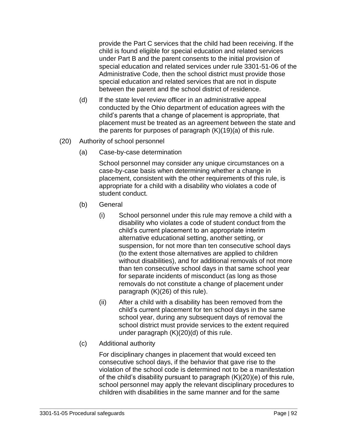provide the Part C services that the child had been receiving. If the child is found eligible for special education and related services under Part B and the parent consents to the initial provision of special education and related services under rule 3301-51-06 of the Administrative Code, then the school district must provide those special education and related services that are not in dispute between the parent and the school district of residence.

- (d) If the state level review officer in an administrative appeal conducted by the Ohio department of education agrees with the child's parents that a change of placement is appropriate, that placement must be treated as an agreement between the state and the parents for purposes of paragraph (K)(19)(a) of this rule.
- (20) Authority of school personnel
	- (a) Case-by-case determination

School personnel may consider any unique circumstances on a case-by-case basis when determining whether a change in placement, consistent with the other requirements of this rule, is appropriate for a child with a disability who violates a code of student conduct.

- (b) General
	- (i) School personnel under this rule may remove a child with a disability who violates a code of student conduct from the child's current placement to an appropriate interim alternative educational setting, another setting, or suspension, for not more than ten consecutive school days (to the extent those alternatives are applied to children without disabilities), and for additional removals of not more than ten consecutive school days in that same school year for separate incidents of misconduct (as long as those removals do not constitute a change of placement under paragraph (K)(26) of this rule).
	- (ii) After a child with a disability has been removed from the child's current placement for ten school days in the same school year, during any subsequent days of removal the school district must provide services to the extent required under paragraph (K)(20)(d) of this rule.
- (c) Additional authority

For disciplinary changes in placement that would exceed ten consecutive school days, if the behavior that gave rise to the violation of the school code is determined not to be a manifestation of the child's disability pursuant to paragraph (K)(20)(e) of this rule, school personnel may apply the relevant disciplinary procedures to children with disabilities in the same manner and for the same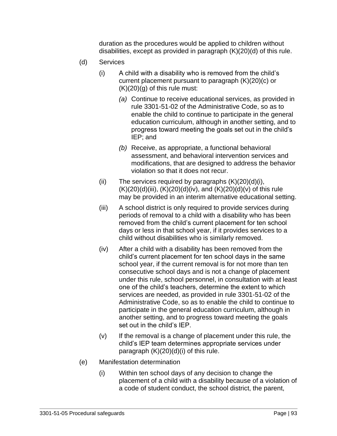duration as the procedures would be applied to children without disabilities, except as provided in paragraph (K)(20)(d) of this rule.

- (d) Services
	- (i) A child with a disability who is removed from the child's current placement pursuant to paragraph (K)(20)(c) or  $(K)(20)(q)$  of this rule must:
		- *(a)* Continue to receive educational services, as provided in rule 3301-51-02 of the Administrative Code, so as to enable the child to continue to participate in the general education curriculum, although in another setting, and to progress toward meeting the goals set out in the child's IEP; and
		- *(b)* Receive, as appropriate, a functional behavioral assessment, and behavioral intervention services and modifications, that are designed to address the behavior violation so that it does not recur.
	- (ii) The services required by paragraphs  $(K)(20)(d)(i)$ ,  $(K)(20)(d)(iii)$ ,  $(K)(20)(d)(iv)$ , and  $(K)(20)(d)(v)$  of this rule may be provided in an interim alternative educational setting.
	- (iii) A school district is only required to provide services during periods of removal to a child with a disability who has been removed from the child's current placement for ten school days or less in that school year, if it provides services to a child without disabilities who is similarly removed.
	- (iv) After a child with a disability has been removed from the child's current placement for ten school days in the same school year, if the current removal is for not more than ten consecutive school days and is not a change of placement under this rule, school personnel, in consultation with at least one of the child's teachers, determine the extent to which services are needed, as provided in rule 3301-51-02 of the Administrative Code, so as to enable the child to continue to participate in the general education curriculum, although in another setting, and to progress toward meeting the goals set out in the child's IEP.
	- (v) If the removal is a change of placement under this rule, the child's IEP team determines appropriate services under paragraph (K)(20)(d)(i) of this rule.
- (e) Manifestation determination
	- (i) Within ten school days of any decision to change the placement of a child with a disability because of a violation of a code of student conduct, the school district, the parent,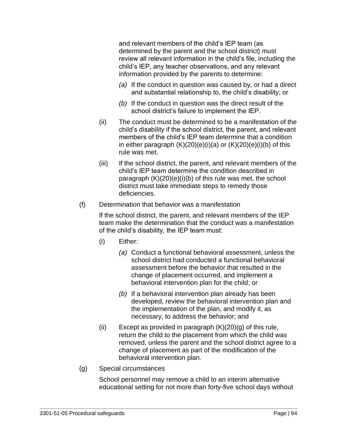and relevant members of the child's IEP team (as determined by the parent and the school district) must review all relevant information in the child's file, including the child's IEP, any teacher observations, and any relevant information provided by the parents to determine:

- *(a)* If the conduct in question was caused by, or had a direct and substantial relationship to, the child's disability; or
- *(b)* If the conduct in question was the direct result of the school district's failure to implement the IEP.
- (ii) The conduct must be determined to be a manifestation of the child's disability if the school district, the parent, and relevant members of the child's IEP team determine that a condition in either paragraph  $(K)(20)(e)(i)(a)$  or  $(K)(20)(e)(i)(b)$  of this rule was met.
- (iii) If the school district, the parent, and relevant members of the child's IEP team determine the condition described in paragraph (K)(20)(e)(i)(b) of this rule was met, the school district must take immediate steps to remedy those deficiencies.
- (f) Determination that behavior was a manifestation

If the school district, the parent, and relevant members of the IEP team make the determination that the conduct was a manifestation of the child's disability, the IEP team must:

- (i) Either:
	- *(a)* Conduct a functional behavioral assessment, unless the school district had conducted a functional behavioral assessment before the behavior that resulted in the change of placement occurred, and implement a behavioral intervention plan for the child; or
	- *(b)* If a behavioral intervention plan already has been developed, review the behavioral intervention plan and the implementation of the plan, and modify it, as necessary, to address the behavior; and
- (ii) Except as provided in paragraph  $(K)(20)(g)$  of this rule, return the child to the placement from which the child was removed, unless the parent and the school district agree to a change of placement as part of the modification of the behavioral intervention plan.
- (g) Special circumstances

School personnel may remove a child to an interim alternative educational setting for not more than forty-five school days without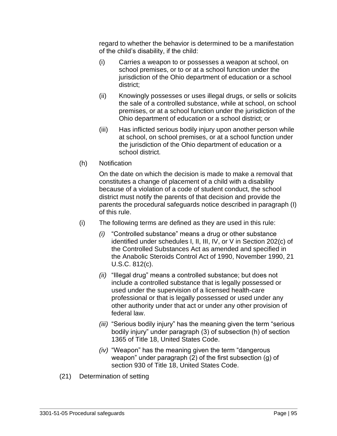regard to whether the behavior is determined to be a manifestation of the child's disability, if the child:

- (i) Carries a weapon to or possesses a weapon at school, on school premises, or to or at a school function under the jurisdiction of the Ohio department of education or a school district;
- (ii) Knowingly possesses or uses illegal drugs, or sells or solicits the sale of a controlled substance, while at school, on school premises, or at a school function under the jurisdiction of the Ohio department of education or a school district; or
- (iii) Has inflicted serious bodily injury upon another person while at school, on school premises, or at a school function under the jurisdiction of the Ohio department of education or a school district.
- (h) Notification

On the date on which the decision is made to make a removal that constitutes a change of placement of a child with a disability because of a violation of a code of student conduct, the school district must notify the parents of that decision and provide the parents the procedural safeguards notice described in paragraph (I) of this rule.

- (i) The following terms are defined as they are used in this rule:
	- *(i)* "Controlled substance" means a drug or other substance identified under schedules I, II, III, IV, or V in Section 202(c) of the Controlled Substances Act as amended and specified in the Anabolic Steroids Control Act of 1990, November 1990, 21 U.S.C. 812(c).
	- *(ii)* "Illegal drug" means a controlled substance; but does not include a controlled substance that is legally possessed or used under the supervision of a licensed health-care professional or that is legally possessed or used under any other authority under that act or under any other provision of federal law.
	- *(iii)* "Serious bodily injury" has the meaning given the term "serious bodily injury" under paragraph (3) of subsection (h) of section 1365 of Title 18, United States Code.
	- *(iv)* "Weapon" has the meaning given the term "dangerous weapon" under paragraph (2) of the first subsection (g) of section 930 of Title 18, United States Code.
- (21) Determination of setting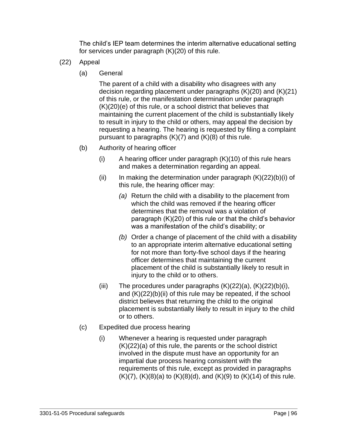The child's IEP team determines the interim alternative educational setting for services under paragraph (K)(20) of this rule.

- (22) Appeal
	- (a) General

The parent of a child with a disability who disagrees with any decision regarding placement under paragraphs (K)(20) and (K)(21) of this rule, or the manifestation determination under paragraph (K)(20)(e) of this rule, or a school district that believes that maintaining the current placement of the child is substantially likely to result in injury to the child or others, may appeal the decision by requesting a hearing. The hearing is requested by filing a complaint pursuant to paragraphs (K)(7) and (K)(8) of this rule.

- (b) Authority of hearing officer
	- (i) A hearing officer under paragraph (K)(10) of this rule hears and makes a determination regarding an appeal.
	- (ii) In making the determination under paragraph  $(K)(22)(b)(i)$  of this rule, the hearing officer may:
		- *(a)* Return the child with a disability to the placement from which the child was removed if the hearing officer determines that the removal was a violation of paragraph (K)(20) of this rule or that the child's behavior was a manifestation of the child's disability; or
		- *(b)* Order a change of placement of the child with a disability to an appropriate interim alternative educational setting for not more than forty-five school days if the hearing officer determines that maintaining the current placement of the child is substantially likely to result in injury to the child or to others.
	- (iii) The procedures under paragraphs  $(K)(22)(a)$ ,  $(K)(22)(b)(i)$ , and (K)(22)(b)(ii) of this rule may be repeated, if the school district believes that returning the child to the original placement is substantially likely to result in injury to the child or to others.
- (c) Expedited due process hearing
	- (i) Whenever a hearing is requested under paragraph (K)(22)(a) of this rule, the parents or the school district involved in the dispute must have an opportunity for an impartial due process hearing consistent with the requirements of this rule, except as provided in paragraphs  $(K)(7)$ ,  $(K)(8)(a)$  to  $(K)(8)(d)$ , and  $(K)(9)$  to  $(K)(14)$  of this rule.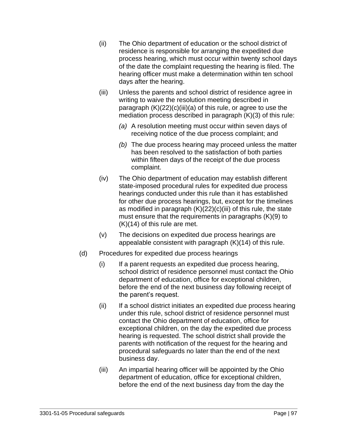- (ii) The Ohio department of education or the school district of residence is responsible for arranging the expedited due process hearing, which must occur within twenty school days of the date the complaint requesting the hearing is filed. The hearing officer must make a determination within ten school days after the hearing.
- (iii) Unless the parents and school district of residence agree in writing to waive the resolution meeting described in paragraph (K)(22)(c)(iii)(a) of this rule, or agree to use the mediation process described in paragraph (K)(3) of this rule:
	- *(a)* A resolution meeting must occur within seven days of receiving notice of the due process complaint; and
	- *(b)* The due process hearing may proceed unless the matter has been resolved to the satisfaction of both parties within fifteen days of the receipt of the due process complaint.
- (iv) The Ohio department of education may establish different state-imposed procedural rules for expedited due process hearings conducted under this rule than it has established for other due process hearings, but, except for the timelines as modified in paragraph  $(K)(22)(c)(iii)$  of this rule, the state must ensure that the requirements in paragraphs (K)(9) to (K)(14) of this rule are met.
- (v) The decisions on expedited due process hearings are appealable consistent with paragraph (K)(14) of this rule.
- (d) Procedures for expedited due process hearings
	- (i) If a parent requests an expedited due process hearing, school district of residence personnel must contact the Ohio department of education, office for exceptional children, before the end of the next business day following receipt of the parent's request.
	- (ii) If a school district initiates an expedited due process hearing under this rule, school district of residence personnel must contact the Ohio department of education, office for exceptional children, on the day the expedited due process hearing is requested. The school district shall provide the parents with notification of the request for the hearing and procedural safeguards no later than the end of the next business day.
	- (iii) An impartial hearing officer will be appointed by the Ohio department of education, office for exceptional children, before the end of the next business day from the day the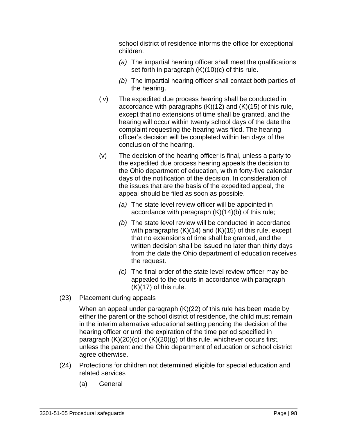school district of residence informs the office for exceptional children.

- *(a)* The impartial hearing officer shall meet the qualifications set forth in paragraph (K)(10)(c) of this rule.
- *(b)* The impartial hearing officer shall contact both parties of the hearing.
- (iv) The expedited due process hearing shall be conducted in accordance with paragraphs (K)(12) and (K)(15) of this rule, except that no extensions of time shall be granted, and the hearing will occur within twenty school days of the date the complaint requesting the hearing was filed. The hearing officer's decision will be completed within ten days of the conclusion of the hearing.
- (v) The decision of the hearing officer is final, unless a party to the expedited due process hearing appeals the decision to the Ohio department of education, within forty-five calendar days of the notification of the decision. In consideration of the issues that are the basis of the expedited appeal, the appeal should be filed as soon as possible.
	- *(a)* The state level review officer will be appointed in accordance with paragraph (K)(14)(b) of this rule;
	- *(b)* The state level review will be conducted in accordance with paragraphs  $(K)(14)$  and  $(K)(15)$  of this rule, except that no extensions of time shall be granted, and the written decision shall be issued no later than thirty days from the date the Ohio department of education receives the request.
	- *(c)* The final order of the state level review officer may be appealed to the courts in accordance with paragraph  $(K)(17)$  of this rule.
- (23) Placement during appeals

When an appeal under paragraph (K)(22) of this rule has been made by either the parent or the school district of residence, the child must remain in the interim alternative educational setting pending the decision of the hearing officer or until the expiration of the time period specified in paragraph (K)(20)(c) or (K)(20)(g) of this rule, whichever occurs first, unless the parent and the Ohio department of education or school district agree otherwise.

- (24) Protections for children not determined eligible for special education and related services
	- (a) General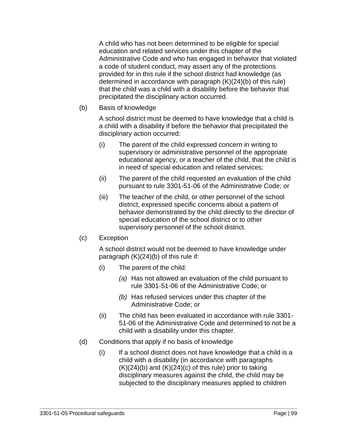A child who has not been determined to be eligible for special education and related services under this chapter of the Administrative Code and who has engaged in behavior that violated a code of student conduct, may assert any of the protections provided for in this rule if the school district had knowledge (as determined in accordance with paragraph (K)(24)(b) of this rule) that the child was a child with a disability before the behavior that precipitated the disciplinary action occurred.

(b) Basis of knowledge

A school district must be deemed to have knowledge that a child is a child with a disability if before the behavior that precipitated the disciplinary action occurred:

- (i) The parent of the child expressed concern in writing to supervisory or administrative personnel of the appropriate educational agency, or a teacher of the child, that the child is in need of special education and related services;
- (ii) The parent of the child requested an evaluation of the child pursuant to rule 3301-51-06 of the Administrative Code; or
- (iii) The teacher of the child, or other personnel of the school district, expressed specific concerns about a pattern of behavior demonstrated by the child directly to the director of special education of the school district or to other supervisory personnel of the school district.
- (c) Exception

A school district would not be deemed to have knowledge under paragraph  $(K)(24)(b)$  of this rule if:

- (i) The parent of the child:
	- *(a)* Has not allowed an evaluation of the child pursuant to rule 3301-51-06 of the Administrative Code; or
	- *(b)* Has refused services under this chapter of the Administrative Code; or
- (ii) The child has been evaluated in accordance with rule 3301- 51-06 of the Administrative Code and determined to not be a child with a disability under this chapter.
- (d) Conditions that apply if no basis of knowledge
	- $(i)$  If a school district does not have knowledge that a child is a child with a disability (in accordance with paragraphs  $(K)(24)(b)$  and  $(K)(24)(c)$  of this rule) prior to taking disciplinary measures against the child, the child may be subjected to the disciplinary measures applied to children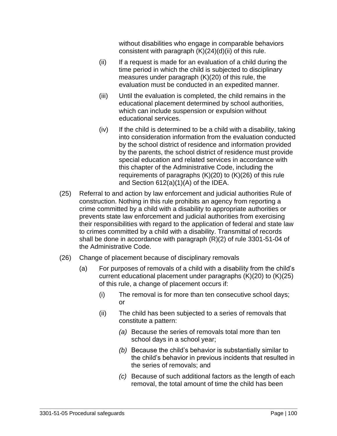without disabilities who engage in comparable behaviors consistent with paragraph  $(K)(24)(d)(ii)$  of this rule.

- (ii) If a request is made for an evaluation of a child during the time period in which the child is subjected to disciplinary measures under paragraph (K)(20) of this rule, the evaluation must be conducted in an expedited manner.
- (iii) Until the evaluation is completed, the child remains in the educational placement determined by school authorities, which can include suspension or expulsion without educational services.
- (iv) If the child is determined to be a child with a disability, taking into consideration information from the evaluation conducted by the school district of residence and information provided by the parents, the school district of residence must provide special education and related services in accordance with this chapter of the Administrative Code, including the requirements of paragraphs (K)(20) to (K)(26) of this rule and Section 612(a)(1)(A) of the IDEA.
- (25) Referral to and action by law enforcement and judicial authorities Rule of construction. Nothing in this rule prohibits an agency from reporting a crime committed by a child with a disability to appropriate authorities or prevents state law enforcement and judicial authorities from exercising their responsibilities with regard to the application of federal and state law to crimes committed by a child with a disability. Transmittal of records shall be done in accordance with paragraph (R)(2) of rule 3301-51-04 of the Administrative Code.
- (26) Change of placement because of disciplinary removals
	- (a) For purposes of removals of a child with a disability from the child's current educational placement under paragraphs (K)(20) to (K)(25) of this rule, a change of placement occurs if:
		- (i) The removal is for more than ten consecutive school days; or
		- (ii) The child has been subjected to a series of removals that constitute a pattern:
			- *(a)* Because the series of removals total more than ten school days in a school year;
			- *(b)* Because the child's behavior is substantially similar to the child's behavior in previous incidents that resulted in the series of removals; and
			- *(c)* Because of such additional factors as the length of each removal, the total amount of time the child has been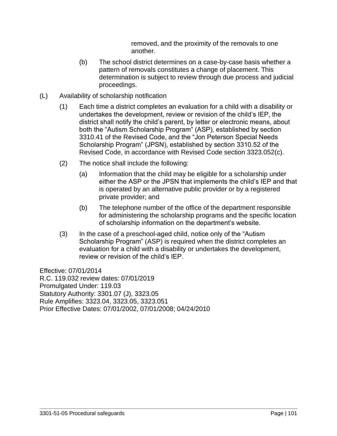removed, and the proximity of the removals to one another.

- (b) The school district determines on a case-by-case basis whether a pattern of removals constitutes a change of placement. This determination is subject to review through due process and judicial proceedings.
- (L) Availability of scholarship notification
	- (1) Each time a district completes an evaluation for a child with a disability or undertakes the development, review or revision of the child's IEP, the district shall notify the child's parent, by letter or electronic means, about both the "Autism Scholarship Program" (ASP), established by section 3310.41 of the Revised Code, and the "Jon Peterson Special Needs Scholarship Program" (JPSN), established by section 3310.52 of the Revised Code, in accordance with Revised Code section 3323.052(c).
	- (2) The notice shall include the following:
		- (a) Information that the child may be eligible for a scholarship under either the ASP or the JPSN that implements the child's IEP and that is operated by an alternative public provider or by a registered private provider; and
		- (b) The telephone number of the office of the department responsible for administering the scholarship programs and the specific location of scholarship information on the department's website.
	- (3) In the case of a preschool-aged child, notice only of the "Autism Scholarship Program" (ASP) is required when the district completes an evaluation for a child with a disability or undertakes the development, review or revision of the child's IEP.

Effective: 07/01/2014 R.C. 119.032 review dates: 07/01/2019 Promulgated Under: 119.03 Statutory Authority: 3301.07 (J), 3323.05 Rule Amplifies: 3323.04, 3323.05, 3323.051 Prior Effective Dates: 07/01/2002, 07/01/2008; 04/24/2010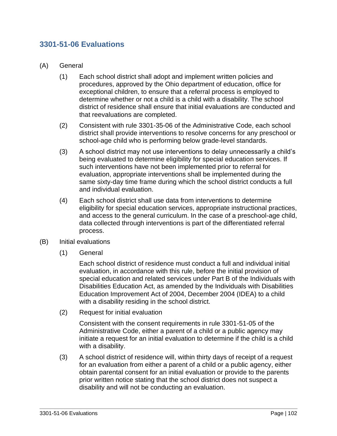## **3301-51-06 Evaluations**

- (A) General
	- (1) Each school district shall adopt and implement written policies and procedures, approved by the Ohio department of education, office for exceptional children, to ensure that a referral process is employed to determine whether or not a child is a child with a disability. The school district of residence shall ensure that initial evaluations are conducted and that reevaluations are completed.
	- (2) Consistent with rule 3301-35-06 of the Administrative Code, each school district shall provide interventions to resolve concerns for any preschool or school-age child who is performing below grade-level standards.
	- (3) A school district may not use interventions to delay unnecessarily a child's being evaluated to determine eligibility for special education services. If such interventions have not been implemented prior to referral for evaluation, appropriate interventions shall be implemented during the same sixty-day time frame during which the school district conducts a full and individual evaluation.
	- (4) Each school district shall use data from interventions to determine eligibility for special education services, appropriate instructional practices, and access to the general curriculum. In the case of a preschool-age child, data collected through interventions is part of the differentiated referral process.
- (B) Initial evaluations
	- (1) General

Each school district of residence must conduct a full and individual initial evaluation, in accordance with this rule, before the initial provision of special education and related services under Part B of the Individuals with Disabilities Education Act, as amended by the Individuals with Disabilities Education Improvement Act of 2004, December 2004 (IDEA) to a child with a disability residing in the school district.

(2) Request for initial evaluation

Consistent with the consent requirements in rule 3301-51-05 of the Administrative Code, either a parent of a child or a public agency may initiate a request for an initial evaluation to determine if the child is a child with a disability.

(3) A school district of residence will, within thirty days of receipt of a request for an evaluation from either a parent of a child or a public agency, either obtain parental consent for an initial evaluation or provide to the parents prior written notice stating that the school district does not suspect a disability and will not be conducting an evaluation.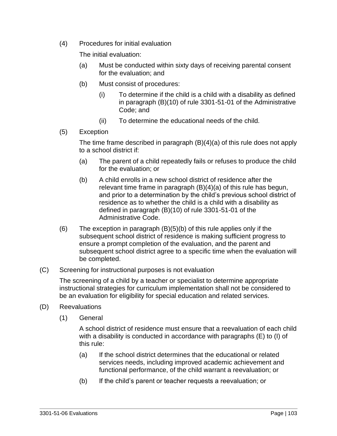(4) Procedures for initial evaluation

The initial evaluation:

- (a) Must be conducted within sixty days of receiving parental consent for the evaluation; and
- (b) Must consist of procedures:
	- (i) To determine if the child is a child with a disability as defined in paragraph (B)(10) of rule 3301-51-01 of the Administrative Code; and
	- (ii) To determine the educational needs of the child.
- (5) Exception

The time frame described in paragraph (B)(4)(a) of this rule does not apply to a school district if:

- (a) The parent of a child repeatedly fails or refuses to produce the child for the evaluation; or
- (b) A child enrolls in a new school district of residence after the relevant time frame in paragraph (B)(4)(a) of this rule has begun, and prior to a determination by the child's previous school district of residence as to whether the child is a child with a disability as defined in paragraph (B)(10) of rule 3301-51-01 of the Administrative Code.
- (6) The exception in paragraph (B)(5)(b) of this rule applies only if the subsequent school district of residence is making sufficient progress to ensure a prompt completion of the evaluation, and the parent and subsequent school district agree to a specific time when the evaluation will be completed.

## (C) Screening for instructional purposes is not evaluation

The screening of a child by a teacher or specialist to determine appropriate instructional strategies for curriculum implementation shall not be considered to be an evaluation for eligibility for special education and related services.

- (D) Reevaluations
	- (1) General

A school district of residence must ensure that a reevaluation of each child with a disability is conducted in accordance with paragraphs (E) to (I) of this rule:

- (a) If the school district determines that the educational or related services needs, including improved academic achievement and functional performance, of the child warrant a reevaluation; or
- (b) If the child's parent or teacher requests a reevaluation; or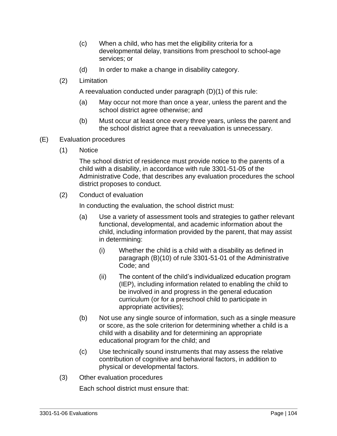- (c) When a child, who has met the eligibility criteria for a developmental delay, transitions from preschool to school-age services; or
- (d) In order to make a change in disability category.
- (2) Limitation

A reevaluation conducted under paragraph (D)(1) of this rule:

- (a) May occur not more than once a year, unless the parent and the school district agree otherwise; and
- (b) Must occur at least once every three years, unless the parent and the school district agree that a reevaluation is unnecessary.
- (E) Evaluation procedures
	- (1) Notice

The school district of residence must provide notice to the parents of a child with a disability, in accordance with rule 3301-51-05 of the Administrative Code, that describes any evaluation procedures the school district proposes to conduct.

(2) Conduct of evaluation

In conducting the evaluation, the school district must:

- (a) Use a variety of assessment tools and strategies to gather relevant functional, developmental, and academic information about the child, including information provided by the parent, that may assist in determining:
	- (i) Whether the child is a child with a disability as defined in paragraph (B)(10) of rule 3301-51-01 of the Administrative Code; and
	- (ii) The content of the child's individualized education program (IEP), including information related to enabling the child to be involved in and progress in the general education curriculum (or for a preschool child to participate in appropriate activities);
- (b) Not use any single source of information, such as a single measure or score, as the sole criterion for determining whether a child is a child with a disability and for determining an appropriate educational program for the child; and
- (c) Use technically sound instruments that may assess the relative contribution of cognitive and behavioral factors, in addition to physical or developmental factors.
- (3) Other evaluation procedures

Each school district must ensure that: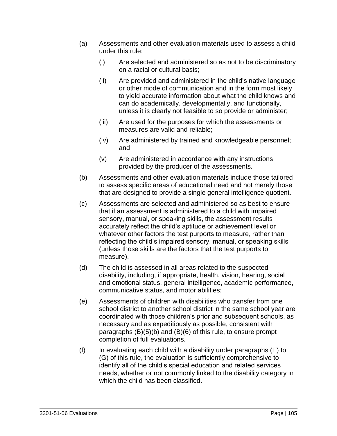- (a) Assessments and other evaluation materials used to assess a child under this rule:
	- (i) Are selected and administered so as not to be discriminatory on a racial or cultural basis;
	- (ii) Are provided and administered in the child's native language or other mode of communication and in the form most likely to yield accurate information about what the child knows and can do academically, developmentally, and functionally, unless it is clearly not feasible to so provide or administer;
	- (iii) Are used for the purposes for which the assessments or measures are valid and reliable;
	- (iv) Are administered by trained and knowledgeable personnel; and
	- (v) Are administered in accordance with any instructions provided by the producer of the assessments.
- (b) Assessments and other evaluation materials include those tailored to assess specific areas of educational need and not merely those that are designed to provide a single general intelligence quotient.
- (c) Assessments are selected and administered so as best to ensure that if an assessment is administered to a child with impaired sensory, manual, or speaking skills, the assessment results accurately reflect the child's aptitude or achievement level or whatever other factors the test purports to measure, rather than reflecting the child's impaired sensory, manual, or speaking skills (unless those skills are the factors that the test purports to measure).
- (d) The child is assessed in all areas related to the suspected disability, including, if appropriate, health, vision, hearing, social and emotional status, general intelligence, academic performance, communicative status, and motor abilities;
- (e) Assessments of children with disabilities who transfer from one school district to another school district in the same school year are coordinated with those children's prior and subsequent schools, as necessary and as expeditiously as possible, consistent with paragraphs (B)(5)(b) and (B)(6) of this rule, to ensure prompt completion of full evaluations.
- $(f)$  In evaluating each child with a disability under paragraphs  $(E)$  to (G) of this rule, the evaluation is sufficiently comprehensive to identify all of the child's special education and related services needs, whether or not commonly linked to the disability category in which the child has been classified.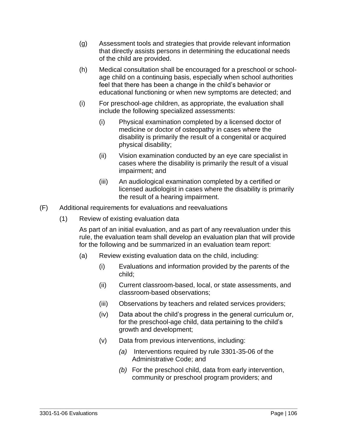- (g) Assessment tools and strategies that provide relevant information that directly assists persons in determining the educational needs of the child are provided.
- (h) Medical consultation shall be encouraged for a preschool or schoolage child on a continuing basis, especially when school authorities feel that there has been a change in the child's behavior or educational functioning or when new symptoms are detected; and
- (i) For preschool-age children, as appropriate, the evaluation shall include the following specialized assessments:
	- (i) Physical examination completed by a licensed doctor of medicine or doctor of osteopathy in cases where the disability is primarily the result of a congenital or acquired physical disability;
	- (ii) Vision examination conducted by an eye care specialist in cases where the disability is primarily the result of a visual impairment; and
	- (iii) An audiological examination completed by a certified or licensed audiologist in cases where the disability is primarily the result of a hearing impairment.
- (F) Additional requirements for evaluations and reevaluations
	- (1) Review of existing evaluation data

As part of an initial evaluation, and as part of any reevaluation under this rule, the evaluation team shall develop an evaluation plan that will provide for the following and be summarized in an evaluation team report:

- (a) Review existing evaluation data on the child, including:
	- (i) Evaluations and information provided by the parents of the child;
	- (ii) Current classroom-based, local, or state assessments, and classroom-based observations;
	- (iii) Observations by teachers and related services providers;
	- (iv) Data about the child's progress in the general curriculum or, for the preschool-age child, data pertaining to the child's growth and development;
	- (v) Data from previous interventions, including:
		- *(a)* Interventions required by rule 3301-35-06 of the Administrative Code; and
		- *(b)* For the preschool child, data from early intervention, community or preschool program providers; and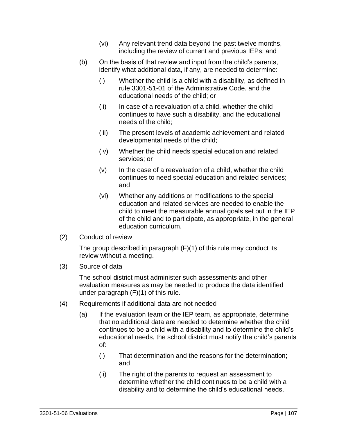- (vi) Any relevant trend data beyond the past twelve months, including the review of current and previous IEPs; and
- (b) On the basis of that review and input from the child's parents, identify what additional data, if any, are needed to determine:
	- (i) Whether the child is a child with a disability, as defined in rule 3301-51-01 of the Administrative Code, and the educational needs of the child; or
	- (ii) In case of a reevaluation of a child, whether the child continues to have such a disability, and the educational needs of the child;
	- (iii) The present levels of academic achievement and related developmental needs of the child;
	- (iv) Whether the child needs special education and related services; or
	- $(v)$  In the case of a reevaluation of a child, whether the child continues to need special education and related services; and
	- (vi) Whether any additions or modifications to the special education and related services are needed to enable the child to meet the measurable annual goals set out in the IEP of the child and to participate, as appropriate, in the general education curriculum.
- (2) Conduct of review

The group described in paragraph (F)(1) of this rule may conduct its review without a meeting.

(3) Source of data

The school district must administer such assessments and other evaluation measures as may be needed to produce the data identified under paragraph (F)(1) of this rule.

- (4) Requirements if additional data are not needed
	- (a) If the evaluation team or the IEP team, as appropriate, determine that no additional data are needed to determine whether the child continues to be a child with a disability and to determine the child's educational needs, the school district must notify the child's parents of:
		- (i) That determination and the reasons for the determination; and
		- (ii) The right of the parents to request an assessment to determine whether the child continues to be a child with a disability and to determine the child's educational needs.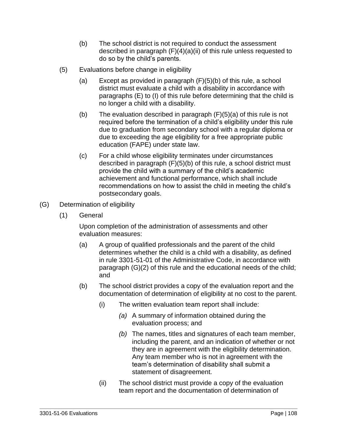- (b) The school district is not required to conduct the assessment described in paragraph  $(F)(4)(a)(ii)$  of this rule unless requested to do so by the child's parents.
- (5) Evaluations before change in eligibility
	- (a) Except as provided in paragraph (F)(5)(b) of this rule, a school district must evaluate a child with a disability in accordance with paragraphs (E) to (I) of this rule before determining that the child is no longer a child with a disability.
	- (b) The evaluation described in paragraph  $(F)(5)(a)$  of this rule is not required before the termination of a child's eligibility under this rule due to graduation from secondary school with a regular diploma or due to exceeding the age eligibility for a free appropriate public education (FAPE) under state law.
	- (c) For a child whose eligibility terminates under circumstances described in paragraph (F)(5)(b) of this rule, a school district must provide the child with a summary of the child's academic achievement and functional performance, which shall include recommendations on how to assist the child in meeting the child's postsecondary goals.
- (G) Determination of eligibility
	- (1) General

Upon completion of the administration of assessments and other evaluation measures:

- (a) A group of qualified professionals and the parent of the child determines whether the child is a child with a disability, as defined in rule 3301-51-01 of the Administrative Code, in accordance with paragraph (G)(2) of this rule and the educational needs of the child; and
- (b) The school district provides a copy of the evaluation report and the documentation of determination of eligibility at no cost to the parent.
	- (i) The written evaluation team report shall include:
		- *(a)* A summary of information obtained during the evaluation process; and
		- *(b)* The names, titles and signatures of each team member, including the parent, and an indication of whether or not they are in agreement with the eligibility determination. Any team member who is not in agreement with the team's determination of disability shall submit a statement of disagreement.
	- (ii) The school district must provide a copy of the evaluation team report and the documentation of determination of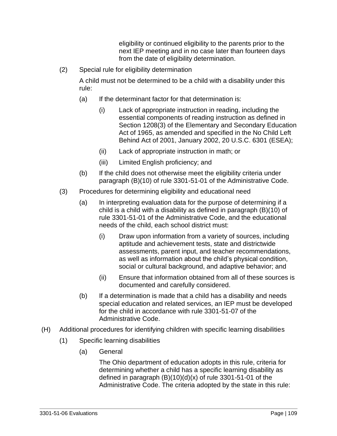eligibility or continued eligibility to the parents prior to the next IEP meeting and in no case later than fourteen days from the date of eligibility determination.

(2) Special rule for eligibility determination

A child must not be determined to be a child with a disability under this rule:

- (a) If the determinant factor for that determination is:
	- (i) Lack of appropriate instruction in reading, including the essential components of reading instruction as defined in Section 1208(3) of the Elementary and Secondary Education Act of 1965, as amended and specified in the No Child Left Behind Act of 2001, January 2002, 20 U.S.C. 6301 (ESEA);
	- (ii) Lack of appropriate instruction in math; or
	- (iii) Limited English proficiency; and
- (b) If the child does not otherwise meet the eligibility criteria under paragraph (B)(10) of rule 3301-51-01 of the Administrative Code.
- (3) Procedures for determining eligibility and educational need
	- (a) In interpreting evaluation data for the purpose of determining if a child is a child with a disability as defined in paragraph (B)(10) of rule 3301-51-01 of the Administrative Code, and the educational needs of the child, each school district must:
		- (i) Draw upon information from a variety of sources, including aptitude and achievement tests, state and districtwide assessments, parent input, and teacher recommendations, as well as information about the child's physical condition, social or cultural background, and adaptive behavior; and
		- (ii) Ensure that information obtained from all of these sources is documented and carefully considered.
	- (b) If a determination is made that a child has a disability and needs special education and related services, an IEP must be developed for the child in accordance with rule 3301-51-07 of the Administrative Code.
- (H) Additional procedures for identifying children with specific learning disabilities
	- (1) Specific learning disabilities
		- (a) General

The Ohio department of education adopts in this rule, criteria for determining whether a child has a specific learning disability as defined in paragraph  $(B)(10)(d)(x)$  of rule 3301-51-01 of the Administrative Code. The criteria adopted by the state in this rule: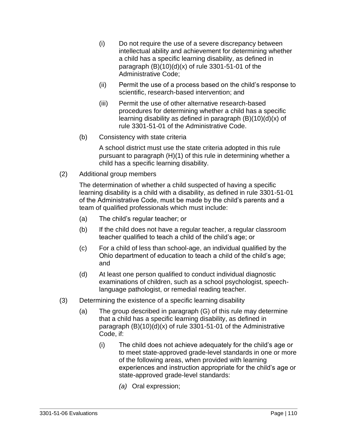- (i) Do not require the use of a severe discrepancy between intellectual ability and achievement for determining whether a child has a specific learning disability, as defined in paragraph (B)(10)(d)(x) of rule 3301-51-01 of the Administrative Code;
- (ii) Permit the use of a process based on the child's response to scientific, research-based intervention; and
- (iii) Permit the use of other alternative research-based procedures for determining whether a child has a specific learning disability as defined in paragraph (B)(10)(d)(x) of rule 3301-51-01 of the Administrative Code.
- (b) Consistency with state criteria

A school district must use the state criteria adopted in this rule pursuant to paragraph (H)(1) of this rule in determining whether a child has a specific learning disability.

(2) Additional group members

The determination of whether a child suspected of having a specific learning disability is a child with a disability, as defined in rule 3301-51-01 of the Administrative Code, must be made by the child's parents and a team of qualified professionals which must include:

- (a) The child's regular teacher; or
- (b) If the child does not have a regular teacher, a regular classroom teacher qualified to teach a child of the child's age; or
- (c) For a child of less than school-age, an individual qualified by the Ohio department of education to teach a child of the child's age; and
- (d) At least one person qualified to conduct individual diagnostic examinations of children, such as a school psychologist, speechlanguage pathologist, or remedial reading teacher.
- (3) Determining the existence of a specific learning disability
	- (a) The group described in paragraph (G) of this rule may determine that a child has a specific learning disability, as defined in paragraph  $(B)(10)(d)(x)$  of rule 3301-51-01 of the Administrative Code, if:
		- (i) The child does not achieve adequately for the child's age or to meet state-approved grade-level standards in one or more of the following areas, when provided with learning experiences and instruction appropriate for the child's age or state-approved grade-level standards:
			- *(a)* Oral expression;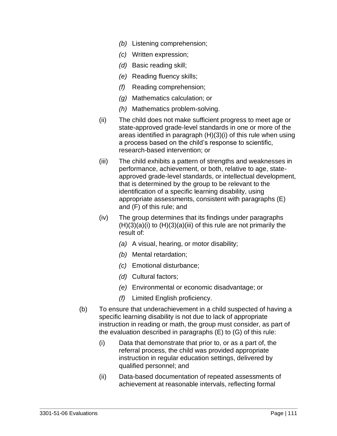- *(b)* Listening comprehension;
- *(c)* Written expression;
- *(d)* Basic reading skill;
- *(e)* Reading fluency skills;
- *(f)* Reading comprehension;
- *(g)* Mathematics calculation; or
- *(h)* Mathematics problem-solving.
- (ii) The child does not make sufficient progress to meet age or state-approved grade-level standards in one or more of the areas identified in paragraph (H)(3)(i) of this rule when using a process based on the child's response to scientific, research-based intervention; or
- (iii) The child exhibits a pattern of strengths and weaknesses in performance, achievement, or both, relative to age, stateapproved grade-level standards, or intellectual development, that is determined by the group to be relevant to the identification of a specific learning disability, using appropriate assessments, consistent with paragraphs (E) and (F) of this rule; and
- (iv) The group determines that its findings under paragraphs  $(H)(3)(a)(i)$  to  $(H)(3)(a)(iii)$  of this rule are not primarily the result of:
	- *(a)* A visual, hearing, or motor disability;
	- *(b)* Mental retardation;
	- *(c)* Emotional disturbance;
	- *(d)* Cultural factors;
	- *(e)* Environmental or economic disadvantage; or
	- *(f)* Limited English proficiency.
- (b) To ensure that underachievement in a child suspected of having a specific learning disability is not due to lack of appropriate instruction in reading or math, the group must consider, as part of the evaluation described in paragraphs (E) to (G) of this rule:
	- (i) Data that demonstrate that prior to, or as a part of, the referral process, the child was provided appropriate instruction in regular education settings, delivered by qualified personnel; and
	- (ii) Data-based documentation of repeated assessments of achievement at reasonable intervals, reflecting formal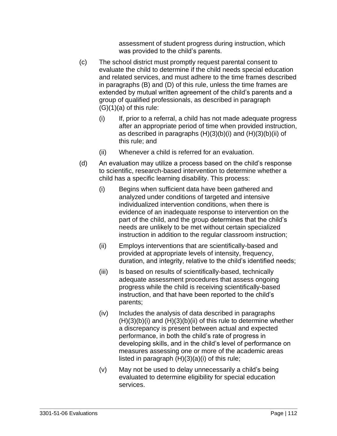assessment of student progress during instruction, which was provided to the child's parents.

- (c) The school district must promptly request parental consent to evaluate the child to determine if the child needs special education and related services, and must adhere to the time frames described in paragraphs (B) and (D) of this rule, unless the time frames are extended by mutual written agreement of the child's parents and a group of qualified professionals, as described in paragraph  $(G)(1)(a)$  of this rule:
	- (i) If, prior to a referral, a child has not made adequate progress after an appropriate period of time when provided instruction, as described in paragraphs (H)(3)(b)(i) and (H)(3)(b)(ii) of this rule; and
	- (ii) Whenever a child is referred for an evaluation.
- (d) An evaluation may utilize a process based on the child's response to scientific, research-based intervention to determine whether a child has a specific learning disability. This process:
	- (i) Begins when sufficient data have been gathered and analyzed under conditions of targeted and intensive individualized intervention conditions, when there is evidence of an inadequate response to intervention on the part of the child, and the group determines that the child's needs are unlikely to be met without certain specialized instruction in addition to the regular classroom instruction;
	- (ii) Employs interventions that are scientifically-based and provided at appropriate levels of intensity, frequency, duration, and integrity, relative to the child's identified needs;
	- (iii) Is based on results of scientifically-based, technically adequate assessment procedures that assess ongoing progress while the child is receiving scientifically-based instruction, and that have been reported to the child's parents;
	- (iv) Includes the analysis of data described in paragraphs  $(H)(3)(b)(i)$  and  $(H)(3)(b)(ii)$  of this rule to determine whether a discrepancy is present between actual and expected performance, in both the child's rate of progress in developing skills, and in the child's level of performance on measures assessing one or more of the academic areas listed in paragraph (H)(3)(a)(i) of this rule;
	- (v) May not be used to delay unnecessarily a child's being evaluated to determine eligibility for special education services.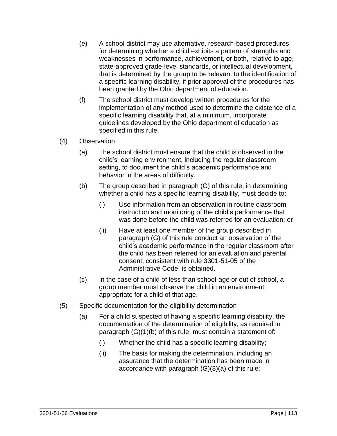- (e) A school district may use alternative, research-based procedures for determining whether a child exhibits a pattern of strengths and weaknesses in performance, achievement, or both, relative to age, state-approved grade-level standards, or intellectual development, that is determined by the group to be relevant to the identification of a specific learning disability, if prior approval of the procedures has been granted by the Ohio department of education.
- (f) The school district must develop written procedures for the implementation of any method used to determine the existence of a specific learning disability that, at a minimum, incorporate guidelines developed by the Ohio department of education as specified in this rule.
- (4) Observation
	- (a) The school district must ensure that the child is observed in the child's learning environment, including the regular classroom setting, to document the child's academic performance and behavior in the areas of difficulty.
	- (b) The group described in paragraph (G) of this rule, in determining whether a child has a specific learning disability, must decide to:
		- (i) Use information from an observation in routine classroom instruction and monitoring of the child's performance that was done before the child was referred for an evaluation; or
		- (ii) Have at least one member of the group described in paragraph (G) of this rule conduct an observation of the child's academic performance in the regular classroom after the child has been referred for an evaluation and parental consent, consistent with rule 3301-51-05 of the Administrative Code, is obtained.
	- (c) In the case of a child of less than school-age or out of school, a group member must observe the child in an environment appropriate for a child of that age.
- (5) Specific documentation for the eligibility determination
	- (a) For a child suspected of having a specific learning disability, the documentation of the determination of eligibility, as required in paragraph (G)(1)(b) of this rule, must contain a statement of:
		- (i) Whether the child has a specific learning disability;
		- (ii) The basis for making the determination, including an assurance that the determination has been made in accordance with paragraph (G)(3)(a) of this rule;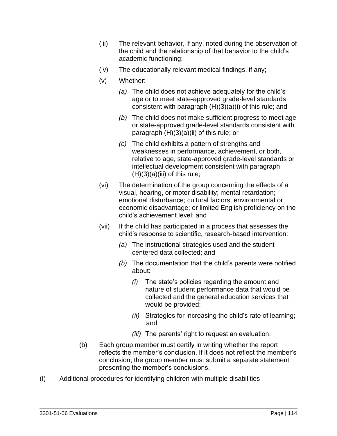- (iii) The relevant behavior, if any, noted during the observation of the child and the relationship of that behavior to the child's academic functioning;
- (iv) The educationally relevant medical findings, if any;
- (v) Whether:
	- *(a)* The child does not achieve adequately for the child's age or to meet state-approved grade-level standards consistent with paragraph (H)(3)(a)(i) of this rule; and
	- *(b)* The child does not make sufficient progress to meet age or state-approved grade-level standards consistent with paragraph (H)(3)(a)(ii) of this rule; or
	- *(c)* The child exhibits a pattern of strengths and weaknesses in performance, achievement, or both, relative to age, state-approved grade-level standards or intellectual development consistent with paragraph  $(H)(3)(a)(iii)$  of this rule;
- (vi) The determination of the group concerning the effects of a visual, hearing, or motor disability; mental retardation; emotional disturbance; cultural factors; environmental or economic disadvantage; or limited English proficiency on the child's achievement level; and
- (vii) If the child has participated in a process that assesses the child's response to scientific, research-based intervention:
	- *(a)* The instructional strategies used and the studentcentered data collected; and
	- *(b)* The documentation that the child's parents were notified about:
		- *(i)* The state's policies regarding the amount and nature of student performance data that would be collected and the general education services that would be provided;
		- *(ii)* Strategies for increasing the child's rate of learning; and
		- *(iii)* The parents' right to request an evaluation.
- (b) Each group member must certify in writing whether the report reflects the member's conclusion. If it does not reflect the member's conclusion, the group member must submit a separate statement presenting the member's conclusions.
- (I) Additional procedures for identifying children with multiple disabilities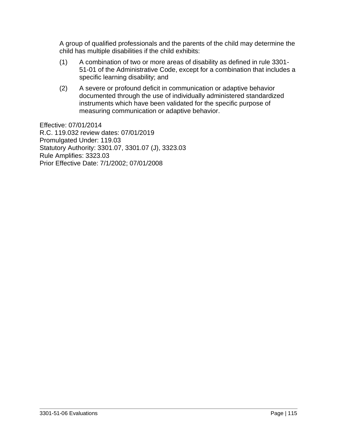A group of qualified professionals and the parents of the child may determine the child has multiple disabilities if the child exhibits:

- (1) A combination of two or more areas of disability as defined in rule 3301- 51-01 of the Administrative Code, except for a combination that includes a specific learning disability; and
- (2) A severe or profound deficit in communication or adaptive behavior documented through the use of individually administered standardized instruments which have been validated for the specific purpose of measuring communication or adaptive behavior.

Effective: 07/01/2014 R.C. 119.032 review dates: 07/01/2019 Promulgated Under: 119.03 Statutory Authority: 3301.07, 3301.07 (J), 3323.03 Rule Amplifies: 3323.03 Prior Effective Date: 7/1/2002; 07/01/2008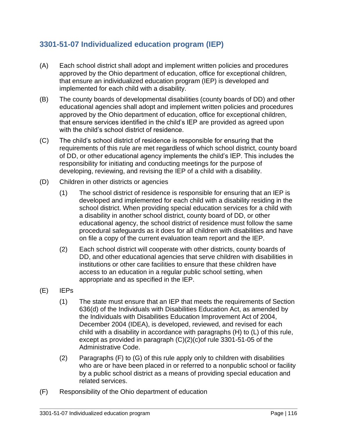## **3301-51-07 Individualized education program (IEP)**

- (A) Each school district shall adopt and implement written policies and procedures approved by the Ohio department of education, office for exceptional children, that ensure an individualized education program (IEP) is developed and implemented for each child with a disability.
- (B) The county boards of developmental disabilities (county boards of DD) and other educational agencies shall adopt and implement written policies and procedures approved by the Ohio department of education, office for exceptional children, that ensure services identified in the child's IEP are provided as agreed upon with the child's school district of residence.
- (C) The child's school district of residence is responsible for ensuring that the requirements of this rule are met regardless of which school district, county board of DD, or other educational agency implements the child's IEP. This includes the responsibility for initiating and conducting meetings for the purpose of developing, reviewing, and revising the IEP of a child with a disability.
- (D) Children in other districts or agencies
	- (1) The school district of residence is responsible for ensuring that an IEP is developed and implemented for each child with a disability residing in the school district. When providing special education services for a child with a disability in another school district, county board of DD, or other educational agency, the school district of residence must follow the same procedural safeguards as it does for all children with disabilities and have on file a copy of the current evaluation team report and the IEP.
	- (2) Each school district will cooperate with other districts, county boards of DD, and other educational agencies that serve children with disabilities in institutions or other care facilities to ensure that these children have access to an education in a regular public school setting, when appropriate and as specified in the IEP.
- (E) IEPs
	- (1) The state must ensure that an IEP that meets the requirements of Section 636(d) of the Individuals with Disabilities Education Act, as amended by the Individuals with Disabilities Education Improvement Act of 2004, December 2004 (IDEA), is developed, reviewed, and revised for each child with a disability in accordance with paragraphs (H) to (L) of this rule, except as provided in paragraph (C)(2)(c)of rule 3301-51-05 of the Administrative Code.
	- (2) Paragraphs (F) to (G) of this rule apply only to children with disabilities who are or have been placed in or referred to a nonpublic school or facility by a public school district as a means of providing special education and related services.
- (F) Responsibility of the Ohio department of education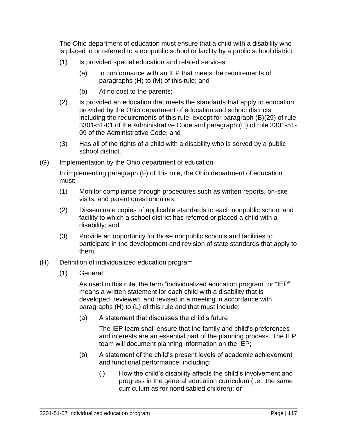The Ohio department of education must ensure that a child with a disability who is placed in or referred to a nonpublic school or facility by a public school district:

- (1) Is provided special education and related services:
	- (a) In conformance with an IEP that meets the requirements of paragraphs (H) to (M) of this rule; and
	- (b) At no cost to the parents;
- (2) Is provided an education that meets the standards that apply to education provided by the Ohio department of education and school districts including the requirements of this rule, except for paragraph (B)(29) of rule 3301-51-01 of the Administrative Code and paragraph (H) of rule 3301-51- 09 of the Administrative Code; and
- (3) Has all of the rights of a child with a disability who is served by a public school district.
- (G) Implementation by the Ohio department of education

In implementing paragraph (F) of this rule, the Ohio department of education must:

- (1) Monitor compliance through procedures such as written reports, on-site visits, and parent questionnaires;
- (2) Disseminate copies of applicable standards to each nonpublic school and facility to which a school district has referred or placed a child with a disability; and
- (3) Provide an opportunity for those nonpublic schools and facilities to participate in the development and revision of state standards that apply to them.
- (H) Definition of individualized education program
	- (1) General

As used in this rule, the term "individualized education program" or "IEP" means a written statement for each child with a disability that is developed, reviewed, and revised in a meeting in accordance with paragraphs (H) to (L) of this rule and that must include:

(a) A statement that discusses the child's future

The IEP team shall ensure that the family and child's preferences and interests are an essential part of the planning process. The IEP team will document planning information on the IEP;

- (b) A statement of the child's present levels of academic achievement and functional performance, including:
	- (i) How the child's disability affects the child's involvement and progress in the general education curriculum (i.e., the same curriculum as for nondisabled children); or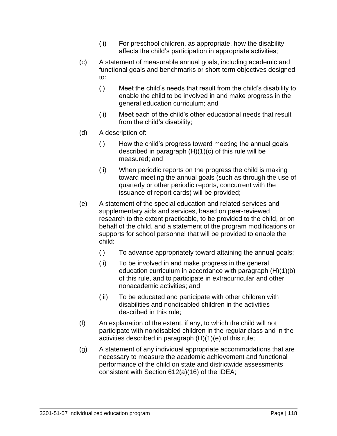- (ii) For preschool children, as appropriate, how the disability affects the child's participation in appropriate activities;
- (c) A statement of measurable annual goals, including academic and functional goals and benchmarks or short-term objectives designed to:
	- (i) Meet the child's needs that result from the child's disability to enable the child to be involved in and make progress in the general education curriculum; and
	- (ii) Meet each of the child's other educational needs that result from the child's disability;
- (d) A description of:
	- (i) How the child's progress toward meeting the annual goals described in paragraph (H)(1)(c) of this rule will be measured; and
	- (ii) When periodic reports on the progress the child is making toward meeting the annual goals (such as through the use of quarterly or other periodic reports, concurrent with the issuance of report cards) will be provided;
- (e) A statement of the special education and related services and supplementary aids and services, based on peer-reviewed research to the extent practicable, to be provided to the child, or on behalf of the child, and a statement of the program modifications or supports for school personnel that will be provided to enable the child:
	- (i) To advance appropriately toward attaining the annual goals;
	- (ii) To be involved in and make progress in the general education curriculum in accordance with paragraph (H)(1)(b) of this rule, and to participate in extracurricular and other nonacademic activities; and
	- (iii) To be educated and participate with other children with disabilities and nondisabled children in the activities described in this rule;
- (f) An explanation of the extent, if any, to which the child will not participate with nondisabled children in the regular class and in the activities described in paragraph (H)(1)(e) of this rule;
- (g) A statement of any individual appropriate accommodations that are necessary to measure the academic achievement and functional performance of the child on state and districtwide assessments consistent with Section 612(a)(16) of the IDEA;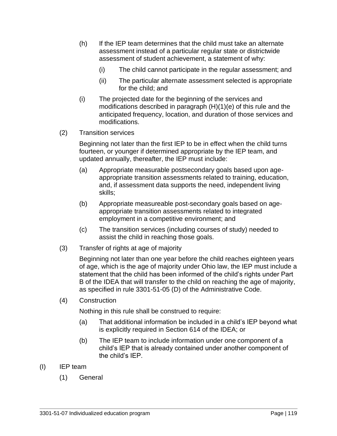- (h) If the IEP team determines that the child must take an alternate assessment instead of a particular regular state or districtwide assessment of student achievement, a statement of why:
	- (i) The child cannot participate in the regular assessment; and
	- (ii) The particular alternate assessment selected is appropriate for the child; and
- (i) The projected date for the beginning of the services and modifications described in paragraph (H)(1)(e) of this rule and the anticipated frequency, location, and duration of those services and modifications.
- (2) Transition services

Beginning not later than the first IEP to be in effect when the child turns fourteen, or younger if determined appropriate by the IEP team, and updated annually, thereafter, the IEP must include:

- (a) Appropriate measurable postsecondary goals based upon ageappropriate transition assessments related to training, education, and, if assessment data supports the need, independent living skills;
- (b) Appropriate measureable post-secondary goals based on ageappropriate transition assessments related to integrated employment in a competitive environment; and
- (c) The transition services (including courses of study) needed to assist the child in reaching those goals.
- (3) Transfer of rights at age of majority

Beginning not later than one year before the child reaches eighteen years of age, which is the age of majority under Ohio law, the IEP must include a statement that the child has been informed of the child's rights under Part B of the IDEA that will transfer to the child on reaching the age of majority, as specified in rule 3301-51-05 (D) of the Administrative Code.

(4) Construction

Nothing in this rule shall be construed to require:

- (a) That additional information be included in a child's IEP beyond what is explicitly required in Section 614 of the IDEA; or
- (b) The IEP team to include information under one component of a child's IEP that is already contained under another component of the child's IEP.
- (I) IEP team
	- (1) General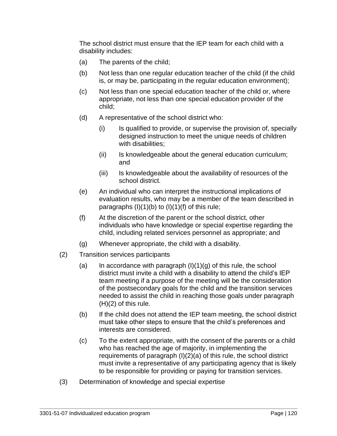The school district must ensure that the IEP team for each child with a disability includes:

- (a) The parents of the child;
- (b) Not less than one regular education teacher of the child (if the child is, or may be, participating in the regular education environment);
- (c) Not less than one special education teacher of the child or, where appropriate, not less than one special education provider of the child;
- (d) A representative of the school district who:
	- (i) Is qualified to provide, or supervise the provision of, specially designed instruction to meet the unique needs of children with disabilities:
	- (ii) Is knowledgeable about the general education curriculum; and
	- (iii) Is knowledgeable about the availability of resources of the school district.
- (e) An individual who can interpret the instructional implications of evaluation results, who may be a member of the team described in paragraphs  $(I)(1)(b)$  to  $(I)(1)(f)$  of this rule;
- (f) At the discretion of the parent or the school district, other individuals who have knowledge or special expertise regarding the child, including related services personnel as appropriate; and
- (g) Whenever appropriate, the child with a disability.
- (2) Transition services participants
	- (a) In accordance with paragraph  $(l)(1)(g)$  of this rule, the school district must invite a child with a disability to attend the child's IEP team meeting if a purpose of the meeting will be the consideration of the postsecondary goals for the child and the transition services needed to assist the child in reaching those goals under paragraph (H)(2) of this rule.
	- (b) If the child does not attend the IEP team meeting, the school district must take other steps to ensure that the child's preferences and interests are considered.
	- (c) To the extent appropriate, with the consent of the parents or a child who has reached the age of majority, in implementing the requirements of paragraph (I)(2)(a) of this rule, the school district must invite a representative of any participating agency that is likely to be responsible for providing or paying for transition services.
- (3) Determination of knowledge and special expertise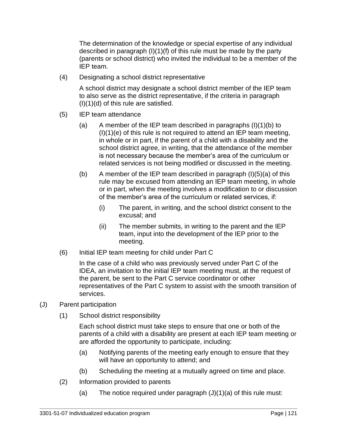The determination of the knowledge or special expertise of any individual described in paragraph (I)(1)(f) of this rule must be made by the party (parents or school district) who invited the individual to be a member of the IEP team.

(4) Designating a school district representative

A school district may designate a school district member of the IEP team to also serve as the district representative, if the criteria in paragraph  $(I)(1)(d)$  of this rule are satisfied.

- (5) IEP team attendance
	- (a) A member of the IEP team described in paragraphs  $(l)(1)(b)$  to  $(I)(1)(e)$  of this rule is not required to attend an IEP team meeting. in whole or in part, if the parent of a child with a disability and the school district agree, in writing, that the attendance of the member is not necessary because the member's area of the curriculum or related services is not being modified or discussed in the meeting.
	- (b) A member of the IEP team described in paragraph  $(l)(5)(a)$  of this rule may be excused from attending an IEP team meeting, in whole or in part, when the meeting involves a modification to or discussion of the member's area of the curriculum or related services, if:
		- (i) The parent, in writing, and the school district consent to the excusal; and
		- (ii) The member submits, in writing to the parent and the IEP team, input into the development of the IEP prior to the meeting.
- (6) Initial IEP team meeting for child under Part C

In the case of a child who was previously served under Part C of the IDEA, an invitation to the initial IEP team meeting must, at the request of the parent, be sent to the Part C service coordinator or other representatives of the Part C system to assist with the smooth transition of services.

- (J) Parent participation
	- (1) School district responsibility

Each school district must take steps to ensure that one or both of the parents of a child with a disability are present at each IEP team meeting or are afforded the opportunity to participate, including:

- (a) Notifying parents of the meeting early enough to ensure that they will have an opportunity to attend; and
- (b) Scheduling the meeting at a mutually agreed on time and place.
- (2) Information provided to parents
	- (a) The notice required under paragraph  $(J)(1)(a)$  of this rule must: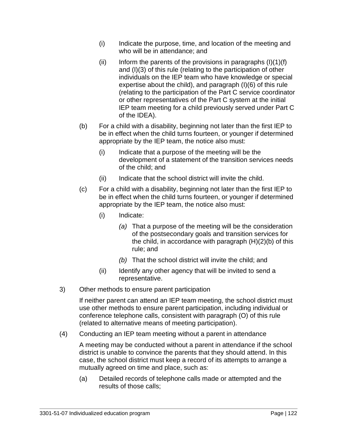- (i) Indicate the purpose, time, and location of the meeting and who will be in attendance; and
- (ii) Inform the parents of the provisions in paragraphs  $(l)(1)(f)$ and (I)(3) of this rule (relating to the participation of other individuals on the IEP team who have knowledge or special expertise about the child), and paragraph (I)(6) of this rule (relating to the participation of the Part C service coordinator or other representatives of the Part C system at the initial IEP team meeting for a child previously served under Part C of the IDEA).
- (b) For a child with a disability, beginning not later than the first IEP to be in effect when the child turns fourteen, or younger if determined appropriate by the IEP team, the notice also must:
	- (i) Indicate that a purpose of the meeting will be the development of a statement of the transition services needs of the child; and
	- (ii) Indicate that the school district will invite the child.
- (c) For a child with a disability, beginning not later than the first IEP to be in effect when the child turns fourteen, or younger if determined appropriate by the IEP team, the notice also must:
	- (i) Indicate:
		- *(a)* That a purpose of the meeting will be the consideration of the postsecondary goals and transition services for the child, in accordance with paragraph (H)(2)(b) of this rule; and
		- *(b)* That the school district will invite the child; and
	- (ii) Identify any other agency that will be invited to send a representative.
- 3) Other methods to ensure parent participation

If neither parent can attend an IEP team meeting, the school district must use other methods to ensure parent participation, including individual or conference telephone calls, consistent with paragraph (O) of this rule (related to alternative means of meeting participation).

(4) Conducting an IEP team meeting without a parent in attendance

A meeting may be conducted without a parent in attendance if the school district is unable to convince the parents that they should attend. In this case, the school district must keep a record of its attempts to arrange a mutually agreed on time and place, such as:

(a) Detailed records of telephone calls made or attempted and the results of those calls;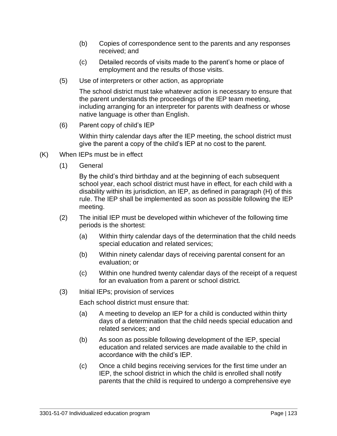- (b) Copies of correspondence sent to the parents and any responses received; and
- (c) Detailed records of visits made to the parent's home or place of employment and the results of those visits.
- (5) Use of interpreters or other action, as appropriate

The school district must take whatever action is necessary to ensure that the parent understands the proceedings of the IEP team meeting, including arranging for an interpreter for parents with deafness or whose native language is other than English.

(6) Parent copy of child's IEP

Within thirty calendar days after the IEP meeting, the school district must give the parent a copy of the child's IEP at no cost to the parent.

- (K) When IEPs must be in effect
	- (1) General

By the child's third birthday and at the beginning of each subsequent school year, each school district must have in effect, for each child with a disability within its jurisdiction, an IEP, as defined in paragraph (H) of this rule. The IEP shall be implemented as soon as possible following the IEP meeting.

- (2) The initial IEP must be developed within whichever of the following time periods is the shortest:
	- (a) Within thirty calendar days of the determination that the child needs special education and related services;
	- (b) Within ninety calendar days of receiving parental consent for an evaluation; or
	- (c) Within one hundred twenty calendar days of the receipt of a request for an evaluation from a parent or school district.
- (3) Initial IEPs; provision of services

Each school district must ensure that:

- (a) A meeting to develop an IEP for a child is conducted within thirty days of a determination that the child needs special education and related services; and
- (b) As soon as possible following development of the IEP, special education and related services are made available to the child in accordance with the child's IEP.
- (c) Once a child begins receiving services for the first time under an IEP, the school district in which the child is enrolled shall notify parents that the child is required to undergo a comprehensive eye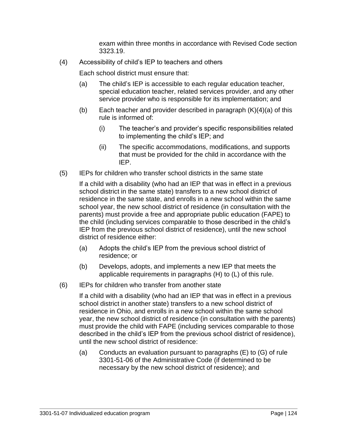exam within three months in accordance with Revised Code section 3323.19.

(4) Accessibility of child's IEP to teachers and others

Each school district must ensure that:

- (a) The child's IEP is accessible to each regular education teacher, special education teacher, related services provider, and any other service provider who is responsible for its implementation; and
- (b) Each teacher and provider described in paragraph  $(K)(4)(a)$  of this rule is informed of:
	- (i) The teacher's and provider's specific responsibilities related to implementing the child's IEP; and
	- (ii) The specific accommodations, modifications, and supports that must be provided for the child in accordance with the IEP.
- (5) IEPs for children who transfer school districts in the same state

If a child with a disability (who had an IEP that was in effect in a previous school district in the same state) transfers to a new school district of residence in the same state, and enrolls in a new school within the same school year, the new school district of residence (in consultation with the parents) must provide a free and appropriate public education (FAPE) to the child (including services comparable to those described in the child's IEP from the previous school district of residence), until the new school district of residence either:

- (a) Adopts the child's IEP from the previous school district of residence; or
- (b) Develops, adopts, and implements a new IEP that meets the applicable requirements in paragraphs (H) to (L) of this rule.
- (6) IEPs for children who transfer from another state

If a child with a disability (who had an IEP that was in effect in a previous school district in another state) transfers to a new school district of residence in Ohio, and enrolls in a new school within the same school year, the new school district of residence (in consultation with the parents) must provide the child with FAPE (including services comparable to those described in the child's IEP from the previous school district of residence), until the new school district of residence:

(a) Conducts an evaluation pursuant to paragraphs (E) to (G) of rule 3301-51-06 of the Administrative Code (if determined to be necessary by the new school district of residence); and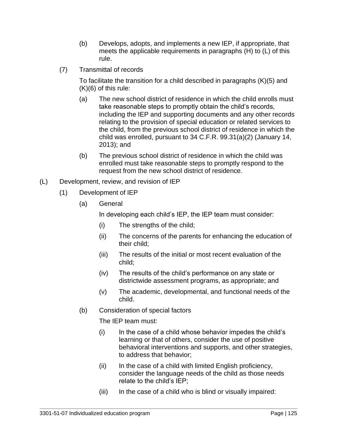- (b) Develops, adopts, and implements a new IEP, if appropriate, that meets the applicable requirements in paragraphs (H) to (L) of this rule.
- (7) Transmittal of records

To facilitate the transition for a child described in paragraphs (K)(5) and (K)(6) of this rule:

- (a) The new school district of residence in which the child enrolls must take reasonable steps to promptly obtain the child's records, including the IEP and supporting documents and any other records relating to the provision of special education or related services to the child, from the previous school district of residence in which the child was enrolled, pursuant to 34 C.F.R. 99.31(a)(2) (January 14, 2013); and
- (b) The previous school district of residence in which the child was enrolled must take reasonable steps to promptly respond to the request from the new school district of residence.
- (L) Development, review, and revision of IEP
	- (1) Development of IEP
		- (a) General

In developing each child's IEP, the IEP team must consider:

- (i) The strengths of the child;
- (ii) The concerns of the parents for enhancing the education of their child;
- (iii) The results of the initial or most recent evaluation of the child;
- (iv) The results of the child's performance on any state or districtwide assessment programs, as appropriate; and
- (v) The academic, developmental, and functional needs of the child.
- (b) Consideration of special factors

The IEP team must:

- $(i)$  In the case of a child whose behavior impedes the child's learning or that of others, consider the use of positive behavioral interventions and supports, and other strategies, to address that behavior;
- (ii) In the case of a child with limited English proficiency, consider the language needs of the child as those needs relate to the child's IEP;
- (iii) In the case of a child who is blind or visually impaired: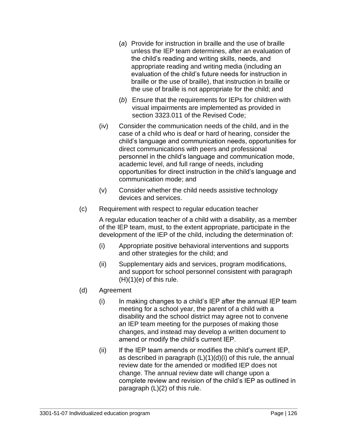- (*a*) Provide for instruction in braille and the use of braille unless the IEP team determines, after an evaluation of the child's reading and writing skills, needs, and appropriate reading and writing media (including an evaluation of the child's future needs for instruction in braille or the use of braille), that instruction in braille or the use of braille is not appropriate for the child; and
- (*b*) Ensure that the requirements for IEPs for children with visual impairments are implemented as provided in section 3323.011 of the Revised Code;
- (iv) Consider the communication needs of the child, and in the case of a child who is deaf or hard of hearing, consider the child's language and communication needs, opportunities for direct communications with peers and professional personnel in the child's language and communication mode, academic level, and full range of needs, including opportunities for direct instruction in the child's language and communication mode; and
- (v) Consider whether the child needs assistive technology devices and services.
- (c) Requirement with respect to regular education teacher

A regular education teacher of a child with a disability, as a member of the IEP team, must, to the extent appropriate, participate in the development of the IEP of the child, including the determination of:

- (i) Appropriate positive behavioral interventions and supports and other strategies for the child; and
- (ii) Supplementary aids and services, program modifications, and support for school personnel consistent with paragraph  $(H)(1)(e)$  of this rule.
- (d) Agreement
	- $(i)$  In making changes to a child's IEP after the annual IEP team meeting for a school year, the parent of a child with a disability and the school district may agree not to convene an IEP team meeting for the purposes of making those changes, and instead may develop a written document to amend or modify the child's current IEP.
	- (ii) If the IEP team amends or modifies the child's current IEP, as described in paragraph  $(L)(1)(d)(i)$  of this rule, the annual review date for the amended or modified IEP does not change. The annual review date will change upon a complete review and revision of the child's IEP as outlined in paragraph (L)(2) of this rule.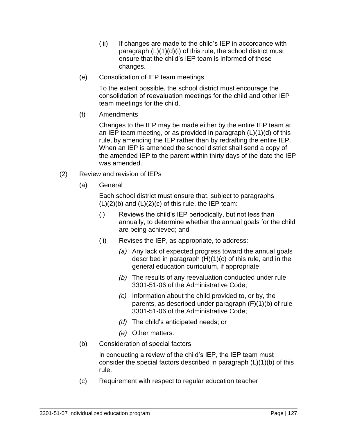- (iii) If changes are made to the child's IEP in accordance with paragraph  $(L)(1)(d)(i)$  of this rule, the school district must ensure that the child's IEP team is informed of those changes.
- (e) Consolidation of IEP team meetings

To the extent possible, the school district must encourage the consolidation of reevaluation meetings for the child and other IEP team meetings for the child.

(f) Amendments

Changes to the IEP may be made either by the entire IEP team at an IEP team meeting, or as provided in paragraph (L)(1)(d) of this rule, by amending the IEP rather than by redrafting the entire IEP. When an IEP is amended the school district shall send a copy of the amended IEP to the parent within thirty days of the date the IEP was amended.

- (2) Review and revision of IEPs
	- (a) General

Each school district must ensure that, subject to paragraphs  $(L)(2)(b)$  and  $(L)(2)(c)$  of this rule, the IEP team:

- (i) Reviews the child's IEP periodically, but not less than annually, to determine whether the annual goals for the child are being achieved; and
- (ii) Revises the IEP, as appropriate, to address:
	- *(a)* Any lack of expected progress toward the annual goals described in paragraph (H)(1)(c) of this rule, and in the general education curriculum, if appropriate;
	- *(b)* The results of any reevaluation conducted under rule 3301-51-06 of the Administrative Code;
	- *(c)* Information about the child provided to, or by, the parents, as described under paragraph (F)(1)(b) of rule 3301-51-06 of the Administrative Code;
	- *(d)* The child's anticipated needs; or
	- *(e)* Other matters.
- (b) Consideration of special factors

In conducting a review of the child's IEP, the IEP team must consider the special factors described in paragraph (L)(1)(b) of this rule.

(c) Requirement with respect to regular education teacher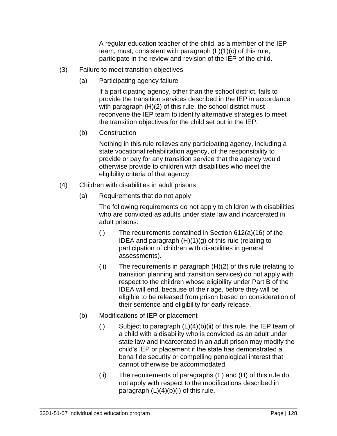A regular education teacher of the child, as a member of the IEP team, must, consistent with paragraph (L)(1)(c) of this rule, participate in the review and revision of the IEP of the child.

- (3) Failure to meet transition objectives
	- (a) Participating agency failure

If a participating agency, other than the school district, fails to provide the transition services described in the IEP in accordance with paragraph (H)(2) of this rule, the school district must reconvene the IEP team to identify alternative strategies to meet the transition objectives for the child set out in the IEP.

(b) Construction

Nothing in this rule relieves any participating agency, including a state vocational rehabilitation agency, of the responsibility to provide or pay for any transition service that the agency would otherwise provide to children with disabilities who meet the eligibility criteria of that agency.

- (4) Children with disabilities in adult prisons
	- (a) Requirements that do not apply

The following requirements do not apply to children with disabilities who are convicted as adults under state law and incarcerated in adult prisons:

- (i) The requirements contained in Section 612(a)(16) of the IDEA and paragraph (H)(1)(g) of this rule (relating to participation of children with disabilities in general assessments).
- (ii) The requirements in paragraph (H)(2) of this rule (relating to transition planning and transition services) do not apply with respect to the children whose eligibility under Part B of the IDEA will end, because of their age, before they will be eligible to be released from prison based on consideration of their sentence and eligibility for early release.
- (b) Modifications of IEP or placement
	- (i) Subject to paragraph  $(L)(4)(b)(ii)$  of this rule, the IEP team of a child with a disability who is convicted as an adult under state law and incarcerated in an adult prison may modify the child's IEP or placement if the state has demonstrated a bona fide security or compelling penological interest that cannot otherwise be accommodated.
	- (ii) The requirements of paragraphs (E) and (H) of this rule do not apply with respect to the modifications described in paragraph  $(L)(4)(b)(i)$  of this rule.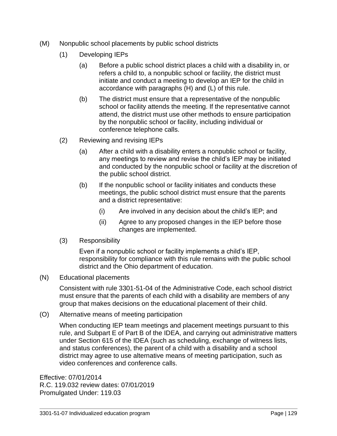- (M) Nonpublic school placements by public school districts
	- (1) Developing IEPs
		- (a) Before a public school district places a child with a disability in, or refers a child to, a nonpublic school or facility, the district must initiate and conduct a meeting to develop an IEP for the child in accordance with paragraphs (H) and (L) of this rule.
		- (b) The district must ensure that a representative of the nonpublic school or facility attends the meeting. If the representative cannot attend, the district must use other methods to ensure participation by the nonpublic school or facility, including individual or conference telephone calls.
	- (2) Reviewing and revising IEPs
		- (a) After a child with a disability enters a nonpublic school or facility, any meetings to review and revise the child's IEP may be initiated and conducted by the nonpublic school or facility at the discretion of the public school district.
		- (b) If the nonpublic school or facility initiates and conducts these meetings, the public school district must ensure that the parents and a district representative:
			- (i) Are involved in any decision about the child's IEP; and
			- (ii) Agree to any proposed changes in the IEP before those changes are implemented.
	- (3) Responsibility

Even if a nonpublic school or facility implements a child's IEP, responsibility for compliance with this rule remains with the public school district and the Ohio department of education.

(N) Educational placements

Consistent with rule 3301-51-04 of the Administrative Code, each school district must ensure that the parents of each child with a disability are members of any group that makes decisions on the educational placement of their child.

(O) Alternative means of meeting participation

When conducting IEP team meetings and placement meetings pursuant to this rule, and Subpart E of Part B of the IDEA, and carrying out administrative matters under Section 615 of the IDEA (such as scheduling, exchange of witness lists, and status conferences), the parent of a child with a disability and a school district may agree to use alternative means of meeting participation, such as video conferences and conference calls.

Effective: 07/01/2014 R.C. 119.032 review dates: 07/01/2019 Promulgated Under: 119.03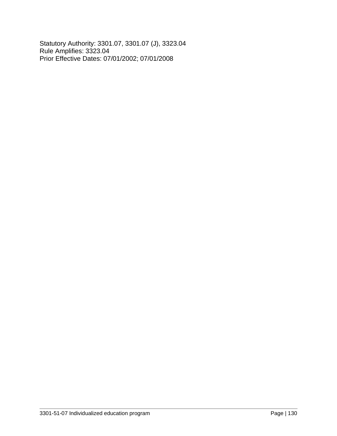Statutory Authority: 3301.07, 3301.07 (J), 3323.04 Rule Amplifies: 3323.04 Prior Effective Dates: 07/01/2002; 07/01/2008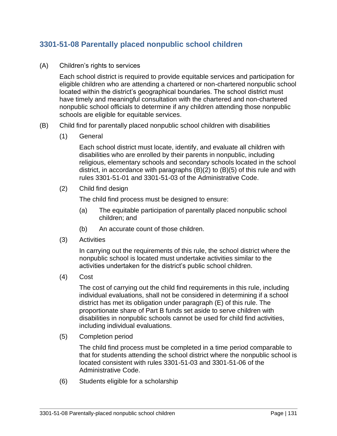## **3301-51-08 Parentally placed nonpublic school children**

(A) Children's rights to services

Each school district is required to provide equitable services and participation for eligible children who are attending a chartered or non-chartered nonpublic school located within the district's geographical boundaries. The school district must have timely and meaningful consultation with the chartered and non-chartered nonpublic school officials to determine if any children attending those nonpublic schools are eligible for equitable services.

- (B) Child find for parentally placed nonpublic school children with disabilities
	- (1) General

Each school district must locate, identify, and evaluate all children with disabilities who are enrolled by their parents in nonpublic, including religious, elementary schools and secondary schools located in the school district, in accordance with paragraphs (B)(2) to (B)(5) of this rule and with rules 3301-51-01 and 3301-51-03 of the Administrative Code.

(2) Child find design

The child find process must be designed to ensure:

- (a) The equitable participation of parentally placed nonpublic school children; and
- (b) An accurate count of those children.
- (3) Activities

In carrying out the requirements of this rule, the school district where the nonpublic school is located must undertake activities similar to the activities undertaken for the district's public school children.

(4) Cost

The cost of carrying out the child find requirements in this rule, including individual evaluations, shall not be considered in determining if a school district has met its obligation under paragraph (E) of this rule. The proportionate share of Part B funds set aside to serve children with disabilities in nonpublic schools cannot be used for child find activities, including individual evaluations.

(5) Completion period

The child find process must be completed in a time period comparable to that for students attending the school district where the nonpublic school is located consistent with rules 3301-51-03 and 3301-51-06 of the Administrative Code.

(6) Students eligible for a scholarship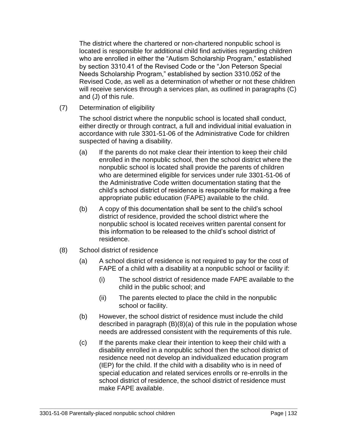The district where the chartered or non-chartered nonpublic school is located is responsible for additional child find activities regarding children who are enrolled in either the "Autism Scholarship Program," established by section 3310.41 of the Revised Code or the "Jon Peterson Special Needs Scholarship Program," established by section 3310.052 of the Revised Code, as well as a determination of whether or not these children will receive services through a services plan, as outlined in paragraphs (C) and (J) of this rule.

(7) Determination of eligibility

The school district where the nonpublic school is located shall conduct, either directly or through contract, a full and individual initial evaluation in accordance with rule 3301-51-06 of the Administrative Code for children suspected of having a disability.

- (a) If the parents do not make clear their intention to keep their child enrolled in the nonpublic school, then the school district where the nonpublic school is located shall provide the parents of children who are determined eligible for services under rule 3301-51-06 of the Administrative Code written documentation stating that the child's school district of residence is responsible for making a free appropriate public education (FAPE) available to the child.
- (b) A copy of this documentation shall be sent to the child's school district of residence, provided the school district where the nonpublic school is located receives written parental consent for this information to be released to the child's school district of residence.
- (8) School district of residence
	- (a) A school district of residence is not required to pay for the cost of FAPE of a child with a disability at a nonpublic school or facility if:
		- (i) The school district of residence made FAPE available to the child in the public school; and
		- (ii) The parents elected to place the child in the nonpublic school or facility.
	- (b) However, the school district of residence must include the child described in paragraph (B)(8)(a) of this rule in the population whose needs are addressed consistent with the requirements of this rule.
	- (c) If the parents make clear their intention to keep their child with a disability enrolled in a nonpublic school then the school district of residence need not develop an individualized education program (IEP) for the child. If the child with a disability who is in need of special education and related services enrolls or re-enrolls in the school district of residence, the school district of residence must make FAPE available.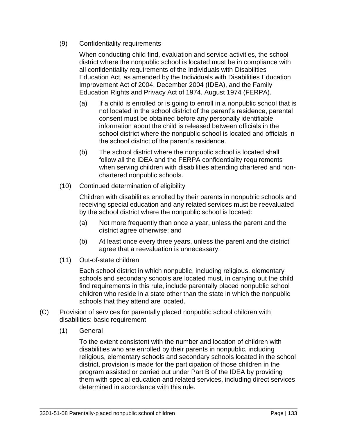(9) Confidentiality requirements

When conducting child find, evaluation and service activities, the school district where the nonpublic school is located must be in compliance with all confidentiality requirements of the Individuals with Disabilities Education Act, as amended by the Individuals with Disabilities Education Improvement Act of 2004, December 2004 (IDEA), and the Family Education Rights and Privacy Act of 1974, August 1974 (FERPA).

- (a) If a child is enrolled or is going to enroll in a nonpublic school that is not located in the school district of the parent's residence, parental consent must be obtained before any personally identifiable information about the child is released between officials in the school district where the nonpublic school is located and officials in the school district of the parent's residence.
- (b) The school district where the nonpublic school is located shall follow all the IDEA and the FERPA confidentiality requirements when serving children with disabilities attending chartered and nonchartered nonpublic schools.
- (10) Continued determination of eligibility

Children with disabilities enrolled by their parents in nonpublic schools and receiving special education and any related services must be reevaluated by the school district where the nonpublic school is located:

- (a) Not more frequently than once a year, unless the parent and the district agree otherwise; and
- (b) At least once every three years, unless the parent and the district agree that a reevaluation is unnecessary.
- (11) Out-of-state children

Each school district in which nonpublic, including religious, elementary schools and secondary schools are located must, in carrying out the child find requirements in this rule, include parentally placed nonpublic school children who reside in a state other than the state in which the nonpublic schools that they attend are located.

- (C) Provision of services for parentally placed nonpublic school children with disabilities: basic requirement
	- (1) General

To the extent consistent with the number and location of children with disabilities who are enrolled by their parents in nonpublic, including religious, elementary schools and secondary schools located in the school district, provision is made for the participation of those children in the program assisted or carried out under Part B of the IDEA by providing them with special education and related services, including direct services determined in accordance with this rule.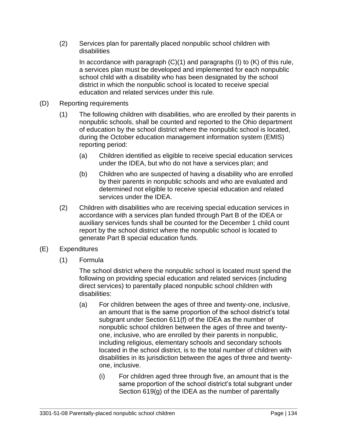(2) Services plan for parentally placed nonpublic school children with disabilities

In accordance with paragraph  $(C)(1)$  and paragraphs  $(I)$  to  $(K)$  of this rule, a services plan must be developed and implemented for each nonpublic school child with a disability who has been designated by the school district in which the nonpublic school is located to receive special education and related services under this rule.

- (D) Reporting requirements
	- (1) The following children with disabilities, who are enrolled by their parents in nonpublic schools, shall be counted and reported to the Ohio department of education by the school district where the nonpublic school is located, during the October education management information system (EMIS) reporting period:
		- (a) Children identified as eligible to receive special education services under the IDEA, but who do not have a services plan; and
		- (b) Children who are suspected of having a disability who are enrolled by their parents in nonpublic schools and who are evaluated and determined not eligible to receive special education and related services under the IDEA.
	- (2) Children with disabilities who are receiving special education services in accordance with a services plan funded through Part B of the IDEA or auxiliary services funds shall be counted for the December 1 child count report by the school district where the nonpublic school is located to generate Part B special education funds.
- (E) Expenditures
	- (1) Formula

The school district where the nonpublic school is located must spend the following on providing special education and related services (including direct services) to parentally placed nonpublic school children with disabilities:

- (a) For children between the ages of three and twenty-one, inclusive, an amount that is the same proportion of the school district's total subgrant under Section 611(f) of the IDEA as the number of nonpublic school children between the ages of three and twentyone, inclusive, who are enrolled by their parents in nonpublic, including religious, elementary schools and secondary schools located in the school district, is to the total number of children with disabilities in its jurisdiction between the ages of three and twentyone, inclusive.
	- (i) For children aged three through five, an amount that is the same proportion of the school district's total subgrant under Section 619(g) of the IDEA as the number of parentally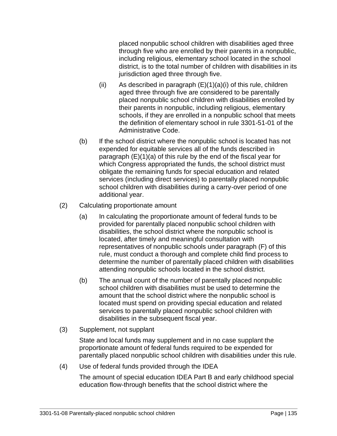placed nonpublic school children with disabilities aged three through five who are enrolled by their parents in a nonpublic, including religious, elementary school located in the school district, is to the total number of children with disabilities in its jurisdiction aged three through five.

- (ii) As described in paragraph  $(E)(1)(a)(i)$  of this rule, children aged three through five are considered to be parentally placed nonpublic school children with disabilities enrolled by their parents in nonpublic, including religious, elementary schools, if they are enrolled in a nonpublic school that meets the definition of elementary school in rule 3301-51-01 of the Administrative Code.
- (b) If the school district where the nonpublic school is located has not expended for equitable services all of the funds described in paragraph (E)(1)(a) of this rule by the end of the fiscal year for which Congress appropriated the funds, the school district must obligate the remaining funds for special education and related services (including direct services) to parentally placed nonpublic school children with disabilities during a carry-over period of one additional year.
- (2) Calculating proportionate amount
	- (a) In calculating the proportionate amount of federal funds to be provided for parentally placed nonpublic school children with disabilities, the school district where the nonpublic school is located, after timely and meaningful consultation with representatives of nonpublic schools under paragraph (F) of this rule, must conduct a thorough and complete child find process to determine the number of parentally placed children with disabilities attending nonpublic schools located in the school district.
	- (b) The annual count of the number of parentally placed nonpublic school children with disabilities must be used to determine the amount that the school district where the nonpublic school is located must spend on providing special education and related services to parentally placed nonpublic school children with disabilities in the subsequent fiscal year.
- (3) Supplement, not supplant

State and local funds may supplement and in no case supplant the proportionate amount of federal funds required to be expended for parentally placed nonpublic school children with disabilities under this rule.

(4) Use of federal funds provided through the IDEA

The amount of special education IDEA Part B and early childhood special education flow-through benefits that the school district where the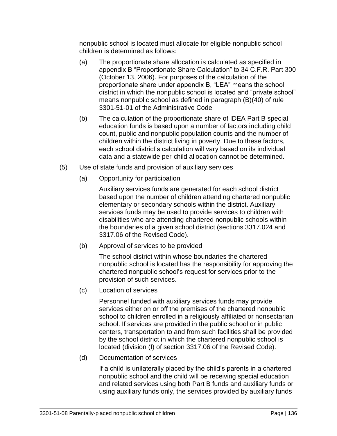nonpublic school is located must allocate for eligible nonpublic school children is determined as follows:

- (a) The proportionate share allocation is calculated as specified in appendix B "Proportionate Share Calculation" to 34 C.F.R. Part 300 (October 13, 2006). For purposes of the calculation of the proportionate share under appendix B, "LEA" means the school district in which the nonpublic school is located and "private school" means nonpublic school as defined in paragraph (B)(40) of rule 3301-51-01 of the Administrative Code
- (b) The calculation of the proportionate share of IDEA Part B special education funds is based upon a number of factors including child count, public and nonpublic population counts and the number of children within the district living in poverty. Due to these factors, each school district's calculation will vary based on its individual data and a statewide per-child allocation cannot be determined.
- (5) Use of state funds and provision of auxiliary services
	- (a) Opportunity for participation

Auxiliary services funds are generated for each school district based upon the number of children attending chartered nonpublic elementary or secondary schools within the district. Auxiliary services funds may be used to provide services to children with disabilities who are attending chartered nonpublic schools within the boundaries of a given school district (sections 3317.024 and 3317.06 of the Revised Code).

(b) Approval of services to be provided

The school district within whose boundaries the chartered nonpublic school is located has the responsibility for approving the chartered nonpublic school's request for services prior to the provision of such services.

(c) Location of services

Personnel funded with auxiliary services funds may provide services either on or off the premises of the chartered nonpublic school to children enrolled in a religiously affiliated or nonsectarian school. If services are provided in the public school or in public centers, transportation to and from such facilities shall be provided by the school district in which the chartered nonpublic school is located (division (I) of section 3317.06 of the Revised Code).

(d) Documentation of services

If a child is unilaterally placed by the child's parents in a chartered nonpublic school and the child will be receiving special education and related services using both Part B funds and auxiliary funds or using auxiliary funds only, the services provided by auxiliary funds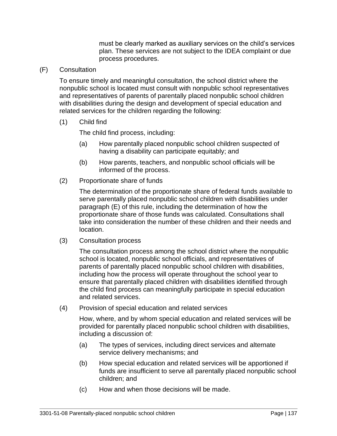must be clearly marked as auxiliary services on the child's services plan. These services are not subject to the IDEA complaint or due process procedures.

(F) Consultation

To ensure timely and meaningful consultation, the school district where the nonpublic school is located must consult with nonpublic school representatives and representatives of parents of parentally placed nonpublic school children with disabilities during the design and development of special education and related services for the children regarding the following:

(1) Child find

The child find process, including:

- (a) How parentally placed nonpublic school children suspected of having a disability can participate equitably; and
- (b) How parents, teachers, and nonpublic school officials will be informed of the process.
- (2) Proportionate share of funds

The determination of the proportionate share of federal funds available to serve parentally placed nonpublic school children with disabilities under paragraph (E) of this rule, including the determination of how the proportionate share of those funds was calculated. Consultations shall take into consideration the number of these children and their needs and location.

(3) Consultation process

The consultation process among the school district where the nonpublic school is located, nonpublic school officials, and representatives of parents of parentally placed nonpublic school children with disabilities, including how the process will operate throughout the school year to ensure that parentally placed children with disabilities identified through the child find process can meaningfully participate in special education and related services.

(4) Provision of special education and related services

How, where, and by whom special education and related services will be provided for parentally placed nonpublic school children with disabilities, including a discussion of:

- (a) The types of services, including direct services and alternate service delivery mechanisms; and
- (b) How special education and related services will be apportioned if funds are insufficient to serve all parentally placed nonpublic school children; and
- (c) How and when those decisions will be made.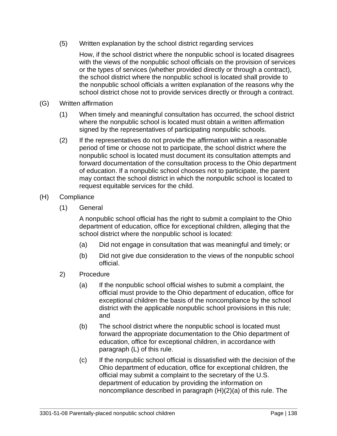(5) Written explanation by the school district regarding services

How, if the school district where the nonpublic school is located disagrees with the views of the nonpublic school officials on the provision of services or the types of services (whether provided directly or through a contract), the school district where the nonpublic school is located shall provide to the nonpublic school officials a written explanation of the reasons why the school district chose not to provide services directly or through a contract.

- (G) Written affirmation
	- (1) When timely and meaningful consultation has occurred, the school district where the nonpublic school is located must obtain a written affirmation signed by the representatives of participating nonpublic schools.
	- (2) If the representatives do not provide the affirmation within a reasonable period of time or choose not to participate, the school district where the nonpublic school is located must document its consultation attempts and forward documentation of the consultation process to the Ohio department of education. If a nonpublic school chooses not to participate, the parent may contact the school district in which the nonpublic school is located to request equitable services for the child.
- (H) Compliance
	- (1) General

A nonpublic school official has the right to submit a complaint to the Ohio department of education, office for exceptional children, alleging that the school district where the nonpublic school is located:

- (a) Did not engage in consultation that was meaningful and timely; or
- (b) Did not give due consideration to the views of the nonpublic school official.
- 2) Procedure
	- (a) If the nonpublic school official wishes to submit a complaint, the official must provide to the Ohio department of education, office for exceptional children the basis of the noncompliance by the school district with the applicable nonpublic school provisions in this rule; and
	- (b) The school district where the nonpublic school is located must forward the appropriate documentation to the Ohio department of education, office for exceptional children, in accordance with paragraph (L) of this rule.
	- (c) If the nonpublic school official is dissatisfied with the decision of the Ohio department of education, office for exceptional children, the official may submit a complaint to the secretary of the U.S. department of education by providing the information on noncompliance described in paragraph (H)(2)(a) of this rule. The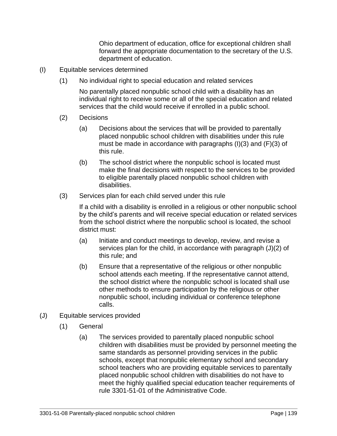Ohio department of education, office for exceptional children shall forward the appropriate documentation to the secretary of the U.S. department of education.

- (I) Equitable services determined
	- (1) No individual right to special education and related services

No parentally placed nonpublic school child with a disability has an individual right to receive some or all of the special education and related services that the child would receive if enrolled in a public school.

- (2) Decisions
	- (a) Decisions about the services that will be provided to parentally placed nonpublic school children with disabilities under this rule must be made in accordance with paragraphs (I)(3) and (F)(3) of this rule.
	- (b) The school district where the nonpublic school is located must make the final decisions with respect to the services to be provided to eligible parentally placed nonpublic school children with disabilities.
- (3) Services plan for each child served under this rule

If a child with a disability is enrolled in a religious or other nonpublic school by the child's parents and will receive special education or related services from the school district where the nonpublic school is located, the school district must:

- (a) Initiate and conduct meetings to develop, review, and revise a services plan for the child, in accordance with paragraph (J)(2) of this rule; and
- (b) Ensure that a representative of the religious or other nonpublic school attends each meeting. If the representative cannot attend, the school district where the nonpublic school is located shall use other methods to ensure participation by the religious or other nonpublic school, including individual or conference telephone calls.
- (J) Equitable services provided
	- (1) General
		- (a) The services provided to parentally placed nonpublic school children with disabilities must be provided by personnel meeting the same standards as personnel providing services in the public schools, except that nonpublic elementary school and secondary school teachers who are providing equitable services to parentally placed nonpublic school children with disabilities do not have to meet the highly qualified special education teacher requirements of rule 3301-51-01 of the Administrative Code.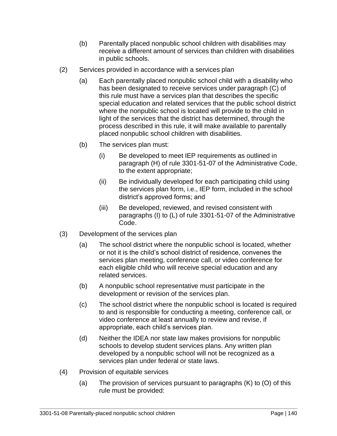- (b) Parentally placed nonpublic school children with disabilities may receive a different amount of services than children with disabilities in public schools.
- (2) Services provided in accordance with a services plan
	- (a) Each parentally placed nonpublic school child with a disability who has been designated to receive services under paragraph (C) of this rule must have a services plan that describes the specific special education and related services that the public school district where the nonpublic school is located will provide to the child in light of the services that the district has determined, through the process described in this rule, it will make available to parentally placed nonpublic school children with disabilities.
	- (b) The services plan must:
		- (i) Be developed to meet IEP requirements as outlined in paragraph (H) of rule 3301-51-07 of the Administrative Code, to the extent appropriate;
		- (ii) Be individually developed for each participating child using the services plan form, i.e., IEP form, included in the school district's approved forms; and
		- (iii) Be developed, reviewed, and revised consistent with paragraphs (I) to (L) of rule 3301-51-07 of the Administrative Code.
- (3) Development of the services plan
	- (a) The school district where the nonpublic school is located, whether or not it is the child's school district of residence, convenes the services plan meeting, conference call, or video conference for each eligible child who will receive special education and any related services.
	- (b) A nonpublic school representative must participate in the development or revision of the services plan.
	- (c) The school district where the nonpublic school is located is required to and is responsible for conducting a meeting, conference call, or video conference at least annually to review and revise, if appropriate, each child's services plan.
	- (d) Neither the IDEA nor state law makes provisions for nonpublic schools to develop student services plans. Any written plan developed by a nonpublic school will not be recognized as a services plan under federal or state laws.
- (4) Provision of equitable services
	- (a) The provision of services pursuant to paragraphs (K) to (O) of this rule must be provided: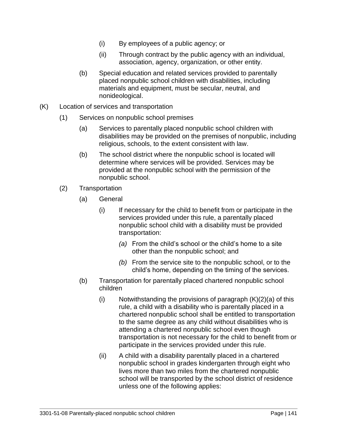- (i) By employees of a public agency; or
- (ii) Through contract by the public agency with an individual, association, agency, organization, or other entity.
- (b) Special education and related services provided to parentally placed nonpublic school children with disabilities, including materials and equipment, must be secular, neutral, and nonideological.
- (K) Location of services and transportation
	- (1) Services on nonpublic school premises
		- (a) Services to parentally placed nonpublic school children with disabilities may be provided on the premises of nonpublic, including religious, schools, to the extent consistent with law.
		- (b) The school district where the nonpublic school is located will determine where services will be provided. Services may be provided at the nonpublic school with the permission of the nonpublic school.
	- (2) Transportation
		- (a) General
			- (i) If necessary for the child to benefit from or participate in the services provided under this rule, a parentally placed nonpublic school child with a disability must be provided transportation:
				- *(a)* From the child's school or the child's home to a site other than the nonpublic school; and
				- *(b)* From the service site to the nonpublic school, or to the child's home, depending on the timing of the services.
		- (b) Transportation for parentally placed chartered nonpublic school children
			- (i) Notwithstanding the provisions of paragraph  $(K)(2)(a)$  of this rule, a child with a disability who is parentally placed in a chartered nonpublic school shall be entitled to transportation to the same degree as any child without disabilities who is attending a chartered nonpublic school even though transportation is not necessary for the child to benefit from or participate in the services provided under this rule.
			- (ii) A child with a disability parentally placed in a chartered nonpublic school in grades kindergarten through eight who lives more than two miles from the chartered nonpublic school will be transported by the school district of residence unless one of the following applies: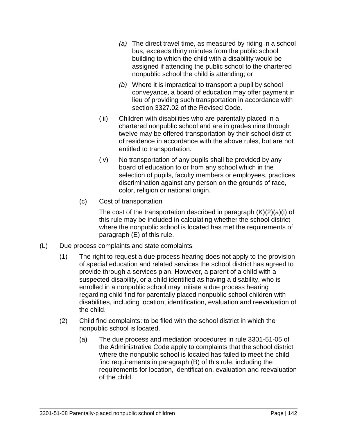- *(a)* The direct travel time, as measured by riding in a school bus, exceeds thirty minutes from the public school building to which the child with a disability would be assigned if attending the public school to the chartered nonpublic school the child is attending; or
- *(b)* Where it is impractical to transport a pupil by school conveyance, a board of education may offer payment in lieu of providing such transportation in accordance with section 3327.02 of the Revised Code.
- (iii) Children with disabilities who are parentally placed in a chartered nonpublic school and are in grades nine through twelve may be offered transportation by their school district of residence in accordance with the above rules, but are not entitled to transportation.
- (iv) No transportation of any pupils shall be provided by any board of education to or from any school which in the selection of pupils, faculty members or employees, practices discrimination against any person on the grounds of race, color, religion or national origin.
- (c) Cost of transportation

The cost of the transportation described in paragraph (K)(2)(a)(i) of this rule may be included in calculating whether the school district where the nonpublic school is located has met the requirements of paragraph (E) of this rule.

- (L) Due process complaints and state complaints
	- (1) The right to request a due process hearing does not apply to the provision of special education and related services the school district has agreed to provide through a services plan. However, a parent of a child with a suspected disability, or a child identified as having a disability, who is enrolled in a nonpublic school may initiate a due process hearing regarding child find for parentally placed nonpublic school children with disabilities, including location, identification, evaluation and reevaluation of the child.
	- (2) Child find complaints: to be filed with the school district in which the nonpublic school is located.
		- (a) The due process and mediation procedures in rule 3301-51-05 of the Administrative Code apply to complaints that the school district where the nonpublic school is located has failed to meet the child find requirements in paragraph (B) of this rule, including the requirements for location, identification, evaluation and reevaluation of the child.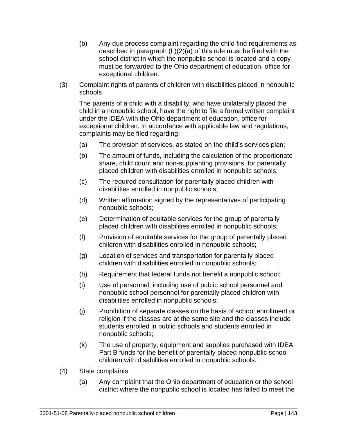- (b) Any due process complaint regarding the child find requirements as described in paragraph (L)(2)(a) of this rule must be filed with the school district in which the nonpublic school is located and a copy must be forwarded to the Ohio department of education, office for exceptional children.
- (3) Complaint rights of parents of children with disabilities placed in nonpublic schools

The parents of a child with a disability, who have unilaterally placed the child in a nonpublic school, have the right to file a formal written complaint under the IDEA with the Ohio department of education, office for exceptional children. In accordance with applicable law and regulations, complaints may be filed regarding:

- (a) The provision of services, as stated on the child's services plan;
- (b) The amount of funds, including the calculation of the proportionate share, child count and non-supplanting provisions, for parentally placed children with disabilities enrolled in nonpublic schools;
- (c) The required consultation for parentally placed children with disabilities enrolled in nonpublic schools;
- (d) Written affirmation signed by the representatives of participating nonpublic schools;
- (e) Determination of equitable services for the group of parentally placed children with disabilities enrolled in nonpublic schools;
- (f) Provision of equitable services for the group of parentally placed children with disabilities enrolled in nonpublic schools;
- (g) Location of services and transportation for parentally placed children with disabilities enrolled in nonpublic schools;
- (h) Requirement that federal funds not benefit a nonpublic school;
- (i) Use of personnel, including use of public school personnel and nonpublic school personnel for parentally placed children with disabilities enrolled in nonpublic schools;
- (j) Prohibition of separate classes on the basis of school enrollment or religion if the classes are at the same site and the classes include students enrolled in public schools and students enrolled in nonpublic schools;
- (k) The use of property, equipment and supplies purchased with IDEA Part B funds for the benefit of parentally placed nonpublic school children with disabilities enrolled in nonpublic schools.
- (4) State complaints
	- (a) Any complaint that the Ohio department of education or the school district where the nonpublic school is located has failed to meet the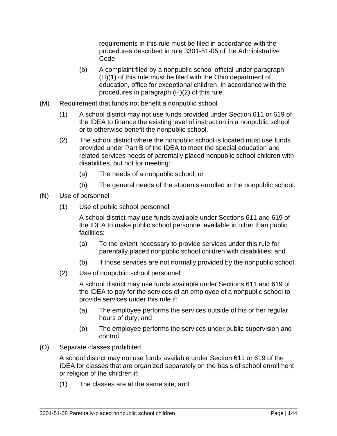requirements in this rule must be filed in accordance with the procedures described in rule 3301-51-05 of the Administrative Code.

- (b) A complaint filed by a nonpublic school official under paragraph (H)(1) of this rule must be filed with the Ohio department of education, office for exceptional children, in accordance with the procedures in paragraph (H)(2) of this rule.
- (M) Requirement that funds not benefit a nonpublic school
	- (1) A school district may not use funds provided under Section 611 or 619 of the IDEA to finance the existing level of instruction in a nonpublic school or to otherwise benefit the nonpublic school.
	- (2) The school district where the nonpublic school is located must use funds provided under Part B of the IDEA to meet the special education and related services needs of parentally placed nonpublic school children with disabilities, but not for meeting:
		- (a) The needs of a nonpublic school; or
		- (b) The general needs of the students enrolled in the nonpublic school.
- (N) Use of personnel
	- (1) Use of public school personnel

A school district may use funds available under Sections 611 and 619 of the IDEA to make public school personnel available in other than public facilities:

- (a) To the extent necessary to provide services under this rule for parentally placed nonpublic school children with disabilities; and
- (b) If those services are not normally provided by the nonpublic school.
- (2) Use of nonpublic school personnel

A school district may use funds available under Sections 611 and 619 of the IDEA to pay for the services of an employee of a nonpublic school to provide services under this rule if:

- (a) The employee performs the services outside of his or her regular hours of duty; and
- (b) The employee performs the services under public supervision and control.
- (O) Separate classes prohibited

A school district may not use funds available under Section 611 or 619 of the IDEA for classes that are organized separately on the basis of school enrollment or religion of the children if:

(1) The classes are at the same site; and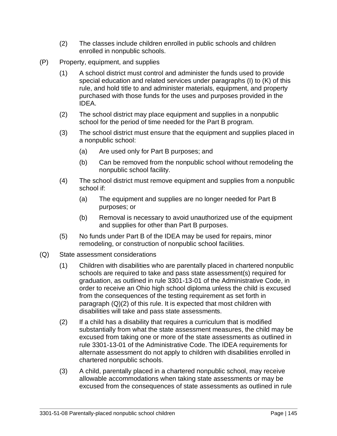- (2) The classes include children enrolled in public schools and children enrolled in nonpublic schools.
- (P) Property, equipment, and supplies
	- (1) A school district must control and administer the funds used to provide special education and related services under paragraphs (I) to (K) of this rule, and hold title to and administer materials, equipment, and property purchased with those funds for the uses and purposes provided in the IDEA.
	- (2) The school district may place equipment and supplies in a nonpublic school for the period of time needed for the Part B program.
	- (3) The school district must ensure that the equipment and supplies placed in a nonpublic school:
		- (a) Are used only for Part B purposes; and
		- (b) Can be removed from the nonpublic school without remodeling the nonpublic school facility.
	- (4) The school district must remove equipment and supplies from a nonpublic school if:
		- (a) The equipment and supplies are no longer needed for Part B purposes; or
		- (b) Removal is necessary to avoid unauthorized use of the equipment and supplies for other than Part B purposes.
	- (5) No funds under Part B of the IDEA may be used for repairs, minor remodeling, or construction of nonpublic school facilities.
- (Q) State assessment considerations
	- (1) Children with disabilities who are parentally placed in chartered nonpublic schools are required to take and pass state assessment(s) required for graduation, as outlined in rule 3301-13-01 of the Administrative Code, in order to receive an Ohio high school diploma unless the child is excused from the consequences of the testing requirement as set forth in paragraph (Q)(2) of this rule. It is expected that most children with disabilities will take and pass state assessments.
	- (2) If a child has a disability that requires a curriculum that is modified substantially from what the state assessment measures, the child may be excused from taking one or more of the state assessments as outlined in rule 3301-13-01 of the Administrative Code. The IDEA requirements for alternate assessment do not apply to children with disabilities enrolled in chartered nonpublic schools.
	- (3) A child, parentally placed in a chartered nonpublic school, may receive allowable accommodations when taking state assessments or may be excused from the consequences of state assessments as outlined in rule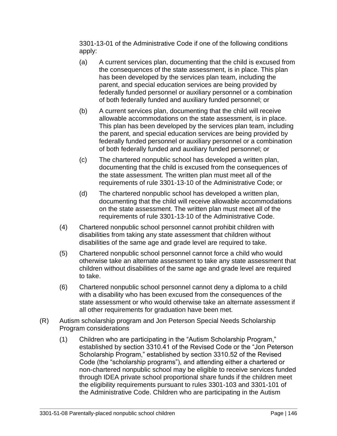3301-13-01 of the Administrative Code if one of the following conditions apply:

- (a) A current services plan, documenting that the child is excused from the consequences of the state assessment, is in place. This plan has been developed by the services plan team, including the parent, and special education services are being provided by federally funded personnel or auxiliary personnel or a combination of both federally funded and auxiliary funded personnel; or
- (b) A current services plan, documenting that the child will receive allowable accommodations on the state assessment, is in place. This plan has been developed by the services plan team, including the parent, and special education services are being provided by federally funded personnel or auxiliary personnel or a combination of both federally funded and auxiliary funded personnel; or
- (c) The chartered nonpublic school has developed a written plan, documenting that the child is excused from the consequences of the state assessment. The written plan must meet all of the requirements of rule 3301-13-10 of the Administrative Code; or
- (d) The chartered nonpublic school has developed a written plan, documenting that the child will receive allowable accommodations on the state assessment. The written plan must meet all of the requirements of rule 3301-13-10 of the Administrative Code.
- (4) Chartered nonpublic school personnel cannot prohibit children with disabilities from taking any state assessment that children without disabilities of the same age and grade level are required to take.
- (5) Chartered nonpublic school personnel cannot force a child who would otherwise take an alternate assessment to take any state assessment that children without disabilities of the same age and grade level are required to take.
- (6) Chartered nonpublic school personnel cannot deny a diploma to a child with a disability who has been excused from the consequences of the state assessment or who would otherwise take an alternate assessment if all other requirements for graduation have been met.
- (R) Autism scholarship program and Jon Peterson Special Needs Scholarship Program considerations
	- (1) Children who are participating in the "Autism Scholarship Program," established by section 3310.41 of the Revised Code or the "Jon Peterson Scholarship Program," established by section 3310.52 of the Revised Code (the "scholarship programs"), and attending either a chartered or non-chartered nonpublic school may be eligible to receive services funded through IDEA private school proportional share funds if the children meet the eligibility requirements pursuant to rules 3301-103 and 3301-101 of the Administrative Code. Children who are participating in the Autism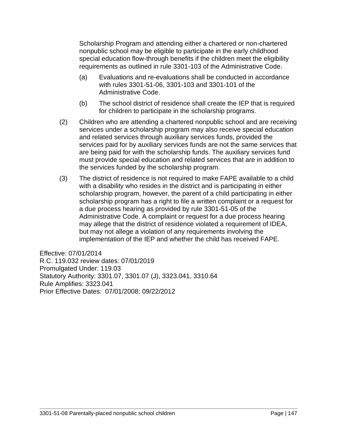Scholarship Program and attending either a chartered or non-chartered nonpublic school may be eligible to participate in the early childhood special education flow-through benefits if the children meet the eligibility requirements as outlined in rule 3301-103 of the Administrative Code.

- (a) Evaluations and re-evaluations shall be conducted in accordance with rules 3301-51-06, 3301-103 and 3301-101 of the Administrative Code.
- (b) The school district of residence shall create the IEP that is required for children to participate in the scholarship programs.
- (2) Children who are attending a chartered nonpublic school and are receiving services under a scholarship program may also receive special education and related services through auxiliary services funds, provided the services paid for by auxiliary services funds are not the same services that are being paid for with the scholarship funds. The auxiliary services fund must provide special education and related services that are in addition to the services funded by the scholarship program.
- (3) The district of residence is not required to make FAPE available to a child with a disability who resides in the district and is participating in either scholarship program, however, the parent of a child participating in either scholarship program has a right to file a written complaint or a request for a due process hearing as provided by rule 3301-51-05 of the Administrative Code. A complaint or request for a due process hearing may allege that the district of residence violated a requirement of IDEA, but may not allege a violation of any requirements involving the implementation of the IEP and whether the child has received FAPE.

Effective: 07/01/2014 R.C. 119.032 review dates: 07/01/2019 Promulgated Under: 119.03 Statutory Authority: 3301.07, 3301.07 (J), 3323.041, 3310.64 Rule Amplifies: 3323.041 Prior Effective Dates: 07/01/2008; 09/22/2012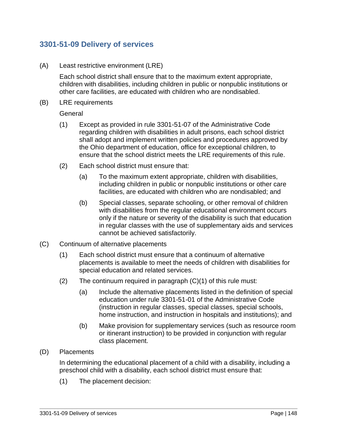### **3301-51-09 Delivery of services**

(A) Least restrictive environment (LRE)

Each school district shall ensure that to the maximum extent appropriate, children with disabilities, including children in public or nonpublic institutions or other care facilities, are educated with children who are nondisabled.

(B) LRE requirements

General

- (1) Except as provided in rule 3301-51-07 of the Administrative Code regarding children with disabilities in adult prisons, each school district shall adopt and implement written policies and procedures approved by the Ohio department of education, office for exceptional children, to ensure that the school district meets the LRE requirements of this rule.
- (2) Each school district must ensure that:
	- (a) To the maximum extent appropriate, children with disabilities, including children in public or nonpublic institutions or other care facilities, are educated with children who are nondisabled; and
	- (b) Special classes, separate schooling, or other removal of children with disabilities from the regular educational environment occurs only if the nature or severity of the disability is such that education in regular classes with the use of supplementary aids and services cannot be achieved satisfactorily.
- (C) Continuum of alternative placements
	- (1) Each school district must ensure that a continuum of alternative placements is available to meet the needs of children with disabilities for special education and related services.
	- (2) The continuum required in paragraph  $(C)(1)$  of this rule must:
		- (a) Include the alternative placements listed in the definition of special education under rule 3301-51-01 of the Administrative Code (instruction in regular classes, special classes, special schools, home instruction, and instruction in hospitals and institutions); and
		- (b) Make provision for supplementary services (such as resource room or itinerant instruction) to be provided in conjunction with regular class placement.
- (D) Placements

In determining the educational placement of a child with a disability, including a preschool child with a disability, each school district must ensure that:

(1) The placement decision: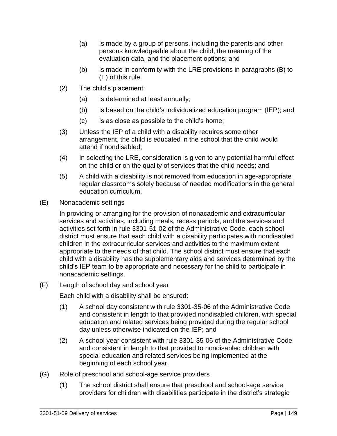- (a) Is made by a group of persons, including the parents and other persons knowledgeable about the child, the meaning of the evaluation data, and the placement options; and
- (b) Is made in conformity with the LRE provisions in paragraphs (B) to (E) of this rule.
- (2) The child's placement:
	- (a) Is determined at least annually;
	- (b) Is based on the child's individualized education program (IEP); and
	- (c) Is as close as possible to the child's home;
- (3) Unless the IEP of a child with a disability requires some other arrangement, the child is educated in the school that the child would attend if nondisabled;
- (4) In selecting the LRE, consideration is given to any potential harmful effect on the child or on the quality of services that the child needs; and
- (5) A child with a disability is not removed from education in age-appropriate regular classrooms solely because of needed modifications in the general education curriculum.
- (E) Nonacademic settings

In providing or arranging for the provision of nonacademic and extracurricular services and activities, including meals, recess periods, and the services and activities set forth in rule 3301-51-02 of the Administrative Code, each school district must ensure that each child with a disability participates with nondisabled children in the extracurricular services and activities to the maximum extent appropriate to the needs of that child. The school district must ensure that each child with a disability has the supplementary aids and services determined by the child's IEP team to be appropriate and necessary for the child to participate in nonacademic settings.

(F) Length of school day and school year

Each child with a disability shall be ensured:

- (1) A school day consistent with rule 3301-35-06 of the Administrative Code and consistent in length to that provided nondisabled children, with special education and related services being provided during the regular school day unless otherwise indicated on the IEP; and
- (2) A school year consistent with rule 3301-35-06 of the Administrative Code and consistent in length to that provided to nondisabled children with special education and related services being implemented at the beginning of each school year.
- (G) Role of preschool and school-age service providers
	- (1) The school district shall ensure that preschool and school-age service providers for children with disabilities participate in the district's strategic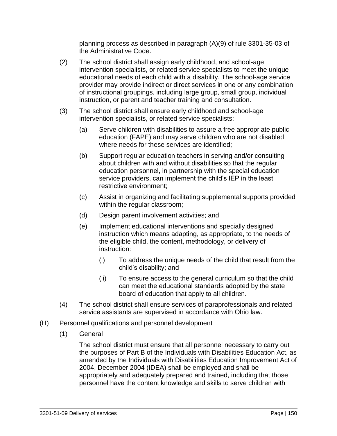planning process as described in paragraph (A)(9) of rule 3301-35-03 of the Administrative Code.

- (2) The school district shall assign early childhood, and school-age intervention specialists, or related service specialists to meet the unique educational needs of each child with a disability. The school-age service provider may provide indirect or direct services in one or any combination of instructional groupings, including large group, small group, individual instruction, or parent and teacher training and consultation.
- (3) The school district shall ensure early childhood and school-age intervention specialists, or related service specialists:
	- (a) Serve children with disabilities to assure a free appropriate public education (FAPE) and may serve children who are not disabled where needs for these services are identified;
	- (b) Support regular education teachers in serving and/or consulting about children with and without disabilities so that the regular education personnel, in partnership with the special education service providers, can implement the child's IEP in the least restrictive environment;
	- (c) Assist in organizing and facilitating supplemental supports provided within the regular classroom;
	- (d) Design parent involvement activities; and
	- (e) Implement educational interventions and specially designed instruction which means adapting, as appropriate, to the needs of the eligible child, the content, methodology, or delivery of instruction:
		- (i) To address the unique needs of the child that result from the child's disability; and
		- (ii) To ensure access to the general curriculum so that the child can meet the educational standards adopted by the state board of education that apply to all children.
- (4) The school district shall ensure services of paraprofessionals and related service assistants are supervised in accordance with Ohio law.
- (H) Personnel qualifications and personnel development
	- (1) General

The school district must ensure that all personnel necessary to carry out the purposes of Part B of the Individuals with Disabilities Education Act, as amended by the Individuals with Disabilities Education Improvement Act of 2004, December 2004 (IDEA) shall be employed and shall be appropriately and adequately prepared and trained, including that those personnel have the content knowledge and skills to serve children with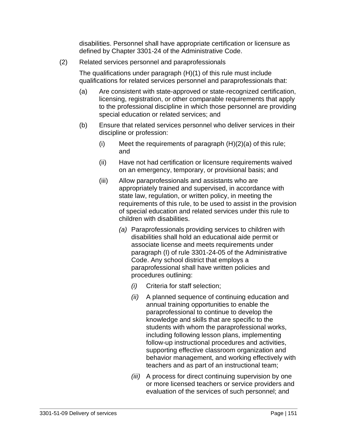disabilities. Personnel shall have appropriate certification or licensure as defined by Chapter 3301-24 of the Administrative Code.

(2) Related services personnel and paraprofessionals

The qualifications under paragraph (H)(1) of this rule must include qualifications for related services personnel and paraprofessionals that:

- (a) Are consistent with state-approved or state-recognized certification, licensing, registration, or other comparable requirements that apply to the professional discipline in which those personnel are providing special education or related services; and
- (b) Ensure that related services personnel who deliver services in their discipline or profession:
	- (i) Meet the requirements of paragraph (H)(2)(a) of this rule; and
	- (ii) Have not had certification or licensure requirements waived on an emergency, temporary, or provisional basis; and
	- (iii) Allow paraprofessionals and assistants who are appropriately trained and supervised, in accordance with state law, regulation, or written policy, in meeting the requirements of this rule, to be used to assist in the provision of special education and related services under this rule to children with disabilities.
		- *(a)* Paraprofessionals providing services to children with disabilities shall hold an educational aide permit or associate license and meets requirements under paragraph (I) of rule 3301-24-05 of the Administrative Code. Any school district that employs a paraprofessional shall have written policies and procedures outlining:
			- *(i)* Criteria for staff selection;
			- *(ii)* A planned sequence of continuing education and annual training opportunities to enable the paraprofessional to continue to develop the knowledge and skills that are specific to the students with whom the paraprofessional works, including following lesson plans, implementing follow-up instructional procedures and activities, supporting effective classroom organization and behavior management, and working effectively with teachers and as part of an instructional team;
			- *(iii)* A process for direct continuing supervision by one or more licensed teachers or service providers and evaluation of the services of such personnel; and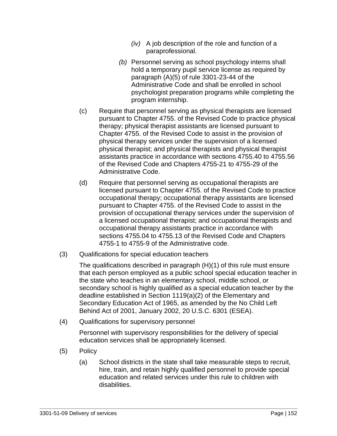- *(iv)* A job description of the role and function of a paraprofessional.
- *(b)* Personnel serving as school psychology interns shall hold a temporary pupil service license as required by paragraph (A)(5) of rule 3301-23-44 of the Administrative Code and shall be enrolled in school psychologist preparation programs while completing the program internship.
- (c) Require that personnel serving as physical therapists are licensed pursuant to Chapter 4755. of the Revised Code to practice physical therapy; physical therapist assistants are licensed pursuant to Chapter 4755. of the Revised Code to assist in the provision of physical therapy services under the supervision of a licensed physical therapist; and physical therapists and physical therapist assistants practice in accordance with sections 4755.40 to 4755.56 of the Revised Code and Chapters 4755-21 to 4755-29 of the Administrative Code.
- (d) Require that personnel serving as occupational therapists are licensed pursuant to Chapter 4755. of the Revised Code to practice occupational therapy; occupational therapy assistants are licensed pursuant to Chapter 4755. of the Revised Code to assist in the provision of occupational therapy services under the supervision of a licensed occupational therapist; and occupational therapists and occupational therapy assistants practice in accordance with sections 4755.04 to 4755.13 of the Revised Code and Chapters 4755-1 to 4755-9 of the Administrative code.
- (3) Qualifications for special education teachers

The qualifications described in paragraph (H)(1) of this rule must ensure that each person employed as a public school special education teacher in the state who teaches in an elementary school, middle school, or secondary school is highly qualified as a special education teacher by the deadline established in Section 1119(a)(2) of the Elementary and Secondary Education Act of 1965, as amended by the No Child Left Behind Act of 2001, January 2002, 20 U.S.C. 6301 (ESEA).

(4) Qualifications for supervisory personnel

Personnel with supervisory responsibilities for the delivery of special education services shall be appropriately licensed.

- (5) Policy
	- (a) School districts in the state shall take measurable steps to recruit, hire, train, and retain highly qualified personnel to provide special education and related services under this rule to children with disabilities.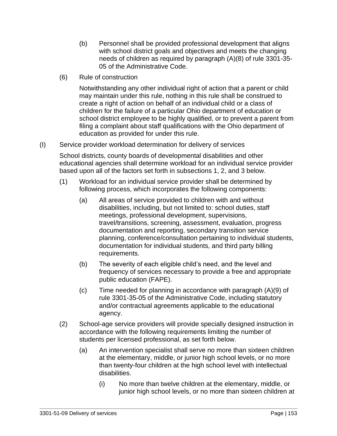- (b) Personnel shall be provided professional development that aligns with school district goals and objectives and meets the changing needs of children as required by paragraph (A)(8) of rule 3301-35- 05 of the Administrative Code.
- (6) Rule of construction

Notwithstanding any other individual right of action that a parent or child may maintain under this rule, nothing in this rule shall be construed to create a right of action on behalf of an individual child or a class of children for the failure of a particular Ohio department of education or school district employee to be highly qualified, or to prevent a parent from filing a complaint about staff qualifications with the Ohio department of education as provided for under this rule.

(I) Service provider workload determination for delivery of services

School districts, county boards of developmental disabilities and other educational agencies shall determine workload for an individual service provider based upon all of the factors set forth in subsections 1, 2, and 3 below.

- (1) Workload for an individual service provider shall be determined by following process, which incorporates the following components:
	- (a) All areas of service provided to children with and without disabilities, including, but not limited to: school duties, staff meetings, professional development, supervisions, travel/transitions, screening, assessment, evaluation, progress documentation and reporting, secondary transition service planning, conference/consultation pertaining to individual students, documentation for individual students, and third party billing requirements.
	- (b) The severity of each eligible child's need, and the level and frequency of services necessary to provide a free and appropriate public education (FAPE).
	- (c) Time needed for planning in accordance with paragraph (A)(9) of rule 3301-35-05 of the Administrative Code, including statutory and/or contractual agreements applicable to the educational agency.
- (2) School-age service providers will provide specially designed instruction in accordance with the following requirements limiting the number of students per licensed professional, as set forth below.
	- (a) An intervention specialist shall serve no more than sixteen children at the elementary, middle, or junior high school levels, or no more than twenty-four children at the high school level with intellectual disabilities.
		- (i) No more than twelve children at the elementary, middle, or junior high school levels, or no more than sixteen children at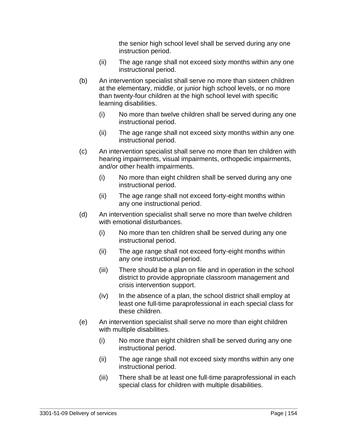the senior high school level shall be served during any one instruction period.

- (ii) The age range shall not exceed sixty months within any one instructional period.
- (b) An intervention specialist shall serve no more than sixteen children at the elementary, middle, or junior high school levels, or no more than twenty-four children at the high school level with specific learning disabilities.
	- (i) No more than twelve children shall be served during any one instructional period.
	- (ii) The age range shall not exceed sixty months within any one instructional period.
- (c) An intervention specialist shall serve no more than ten children with hearing impairments, visual impairments, orthopedic impairments, and/or other health impairments.
	- (i) No more than eight children shall be served during any one instructional period.
	- (ii) The age range shall not exceed forty-eight months within any one instructional period.
- (d) An intervention specialist shall serve no more than twelve children with emotional disturbances.
	- (i) No more than ten children shall be served during any one instructional period.
	- (ii) The age range shall not exceed forty-eight months within any one instructional period.
	- (iii) There should be a plan on file and in operation in the school district to provide appropriate classroom management and crisis intervention support.
	- (iv) In the absence of a plan, the school district shall employ at least one full-time paraprofessional in each special class for these children.
- (e) An intervention specialist shall serve no more than eight children with multiple disabilities.
	- (i) No more than eight children shall be served during any one instructional period.
	- (ii) The age range shall not exceed sixty months within any one instructional period.
	- (iii) There shall be at least one full-time paraprofessional in each special class for children with multiple disabilities.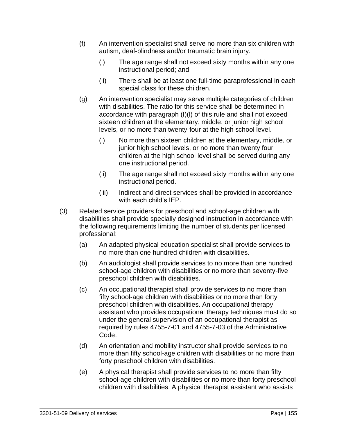- (f) An intervention specialist shall serve no more than six children with autism, deaf-blindness and/or traumatic brain injury.
	- (i) The age range shall not exceed sixty months within any one instructional period; and
	- (ii) There shall be at least one full-time paraprofessional in each special class for these children.
- (g) An intervention specialist may serve multiple categories of children with disabilities. The ratio for this service shall be determined in accordance with paragraph (I)(l) of this rule and shall not exceed sixteen children at the elementary, middle, or junior high school levels, or no more than twenty-four at the high school level.
	- (i) No more than sixteen children at the elementary, middle, or junior high school levels, or no more than twenty four children at the high school level shall be served during any one instructional period.
	- (ii) The age range shall not exceed sixty months within any one instructional period.
	- (iii) Indirect and direct services shall be provided in accordance with each child's IEP.
- (3) Related service providers for preschool and school-age children with disabilities shall provide specially designed instruction in accordance with the following requirements limiting the number of students per licensed professional:
	- (a) An adapted physical education specialist shall provide services to no more than one hundred children with disabilities.
	- (b) An audiologist shall provide services to no more than one hundred school-age children with disabilities or no more than seventy-five preschool children with disabilities.
	- (c) An occupational therapist shall provide services to no more than fifty school-age children with disabilities or no more than forty preschool children with disabilities. An occupational therapy assistant who provides occupational therapy techniques must do so under the general supervision of an occupational therapist as required by rules 4755-7-01 and 4755-7-03 of the Administrative Code.
	- (d) An orientation and mobility instructor shall provide services to no more than fifty school-age children with disabilities or no more than forty preschool children with disabilities.
	- (e) A physical therapist shall provide services to no more than fifty school-age children with disabilities or no more than forty preschool children with disabilities. A physical therapist assistant who assists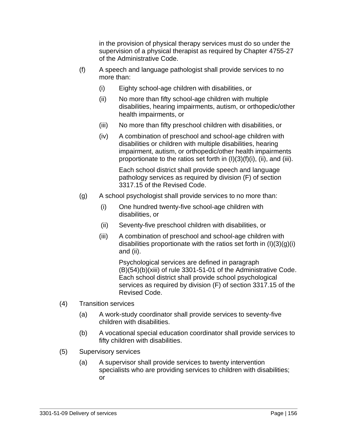in the provision of physical therapy services must do so under the supervision of a physical therapist as required by Chapter 4755-27 of the Administrative Code.

- (f) A speech and language pathologist shall provide services to no more than:
	- (i) Eighty school-age children with disabilities, or
	- (ii) No more than fifty school-age children with multiple disabilities, hearing impairments, autism, or orthopedic/other health impairments, or
	- (iii) No more than fifty preschool children with disabilities, or
	- (iv) A combination of preschool and school-age children with disabilities or children with multiple disabilities, hearing impairment, autism, or orthopedic/other health impairments proportionate to the ratios set forth in  $(l)(3)(f)(i)$ , (ii), and (iii).

Each school district shall provide speech and language pathology services as required by division (F) of section 3317.15 of the Revised Code.

- (g) A school psychologist shall provide services to no more than:
	- (i) One hundred twenty-five school-age children with disabilities, or
	- (ii) Seventy-five preschool children with disabilities, or
	- (iii) A combination of preschool and school-age children with disabilities proportionate with the ratios set forth in  $(1)(3)(q)(i)$ and (ii).

Psychological services are defined in paragraph (B)(54)(b)(xiii) of rule 3301-51-01 of the Administrative Code. Each school district shall provide school psychological services as required by division (F) of section 3317.15 of the Revised Code.

- (4) Transition services
	- (a) A work-study coordinator shall provide services to seventy-five children with disabilities.
	- (b) A vocational special education coordinator shall provide services to fifty children with disabilities.
- (5) Supervisory services
	- (a) A supervisor shall provide services to twenty intervention specialists who are providing services to children with disabilities; or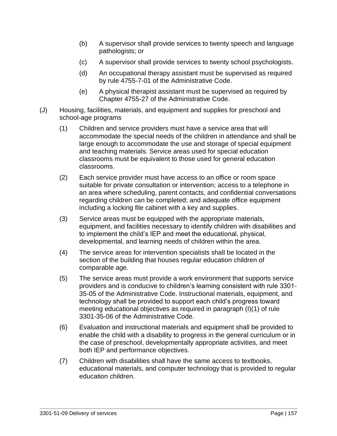- (b) A supervisor shall provide services to twenty speech and language pathologists; or
- (c) A supervisor shall provide services to twenty school psychologists.
- (d) An occupational therapy assistant must be supervised as required by rule 4755-7-01 of the Administrative Code.
- (e) A physical therapist assistant must be supervised as required by Chapter 4755-27 of the Administrative Code.
- (J) Housing, facilities, materials, and equipment and supplies for preschool and school-age programs
	- (1) Children and service providers must have a service area that will accommodate the special needs of the children in attendance and shall be large enough to accommodate the use and storage of special equipment and teaching materials. Service areas used for special education classrooms must be equivalent to those used for general education classrooms.
	- (2) Each service provider must have access to an office or room space suitable for private consultation or intervention; access to a telephone in an area where scheduling, parent contacts, and confidential conversations regarding children can be completed; and adequate office equipment including a locking file cabinet with a key and supplies.
	- (3) Service areas must be equipped with the appropriate materials, equipment, and facilities necessary to identify children with disabilities and to implement the child's IEP and meet the educational, physical, developmental, and learning needs of children within the area.
	- (4) The service areas for intervention specialists shall be located in the section of the building that houses regular education children of comparable age.
	- (5) The service areas must provide a work environment that supports service providers and is conducive to children's learning consistent with rule 3301- 35-05 of the Administrative Code. Instructional materials, equipment, and technology shall be provided to support each child's progress toward meeting educational objectives as required in paragraph (I)(1) of rule 3301-35-06 of the Administrative Code.
	- (6) Evaluation and instructional materials and equipment shall be provided to enable the child with a disability to progress in the general curriculum or in the case of preschool, developmentally appropriate activities, and meet both IEP and performance objectives.
	- (7) Children with disabilities shall have the same access to textbooks, educational materials, and computer technology that is provided to regular education children.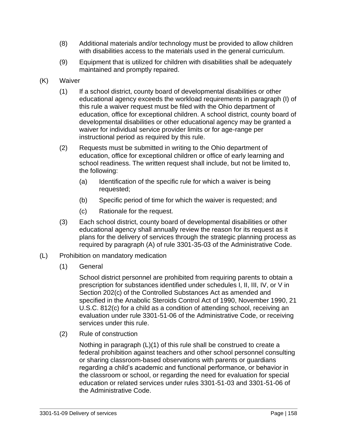- (8) Additional materials and/or technology must be provided to allow children with disabilities access to the materials used in the general curriculum.
- (9) Equipment that is utilized for children with disabilities shall be adequately maintained and promptly repaired.
- (K) Waiver
	- (1) If a school district, county board of developmental disabilities or other educational agency exceeds the workload requirements in paragraph (I) of this rule a waiver request must be filed with the Ohio department of education, office for exceptional children. A school district, county board of developmental disabilities or other educational agency may be granted a waiver for individual service provider limits or for age-range per instructional period as required by this rule.
	- (2) Requests must be submitted in writing to the Ohio department of education, office for exceptional children or office of early learning and school readiness. The written request shall include, but not be limited to, the following:
		- (a) Identification of the specific rule for which a waiver is being requested;
		- (b) Specific period of time for which the waiver is requested; and
		- (c) Rationale for the request.
	- (3) Each school district, county board of developmental disabilities or other educational agency shall annually review the reason for its request as it plans for the delivery of services through the strategic planning process as required by paragraph (A) of rule 3301-35-03 of the Administrative Code.
- (L) Prohibition on mandatory medication
	- (1) General

School district personnel are prohibited from requiring parents to obtain a prescription for substances identified under schedules I, II, III, IV, or V in Section 202(c) of the Controlled Substances Act as amended and specified in the Anabolic Steroids Control Act of 1990, November 1990, 21 U.S.C. 812(c) for a child as a condition of attending school, receiving an evaluation under rule 3301-51-06 of the Administrative Code, or receiving services under this rule.

(2) Rule of construction

Nothing in paragraph (L)(1) of this rule shall be construed to create a federal prohibition against teachers and other school personnel consulting or sharing classroom-based observations with parents or guardians regarding a child's academic and functional performance, or behavior in the classroom or school, or regarding the need for evaluation for special education or related services under rules 3301-51-03 and 3301-51-06 of the Administrative Code.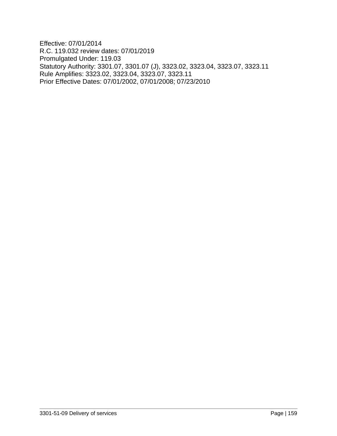Effective: 07/01/2014 R.C. 119.032 review dates: 07/01/2019 Promulgated Under: 119.03 Statutory Authority: 3301.07, 3301.07 (J), 3323.02, 3323.04, 3323.07, 3323.11 Rule Amplifies: 3323.02, 3323.04, 3323.07, 3323.11 Prior Effective Dates: 07/01/2002, 07/01/2008; 07/23/2010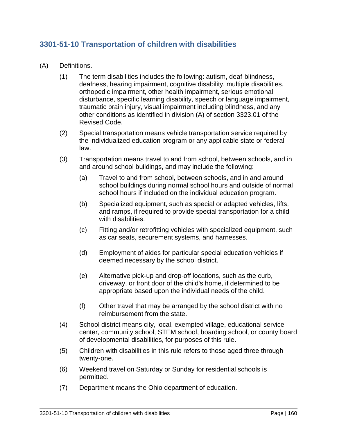# **3301-51-10 Transportation of children with disabilities**

- (A) Definitions.
	- (1) The term disabilities includes the following: autism, deaf-blindness, deafness, hearing impairment, cognitive disability, multiple disabilities, orthopedic impairment, other health impairment, serious emotional disturbance, specific learning disability, speech or language impairment, traumatic brain injury, visual impairment including blindness, and any other conditions as identified in division (A) of section 3323.01 of the Revised Code.
	- (2) Special transportation means vehicle transportation service required by the individualized education program or any applicable state or federal law.
	- (3) Transportation means travel to and from school, between schools, and in and around school buildings, and may include the following:
		- (a) Travel to and from school, between schools, and in and around school buildings during normal school hours and outside of normal school hours if included on the individual education program.
		- (b) Specialized equipment, such as special or adapted vehicles, lifts, and ramps, if required to provide special transportation for a child with disabilities.
		- (c) Fitting and/or retrofitting vehicles with specialized equipment, such as car seats, securement systems, and harnesses.
		- (d) Employment of aides for particular special education vehicles if deemed necessary by the school district.
		- (e) Alternative pick-up and drop-off locations, such as the curb, driveway, or front door of the child's home, if determined to be appropriate based upon the individual needs of the child.
		- (f) Other travel that may be arranged by the school district with no reimbursement from the state.
	- (4) School district means city, local, exempted village, educational service center, community school, STEM school, boarding school, or county board of developmental disabilities, for purposes of this rule.
	- (5) Children with disabilities in this rule refers to those aged three through twenty-one.
	- (6) Weekend travel on Saturday or Sunday for residential schools is permitted.
	- (7) Department means the Ohio department of education.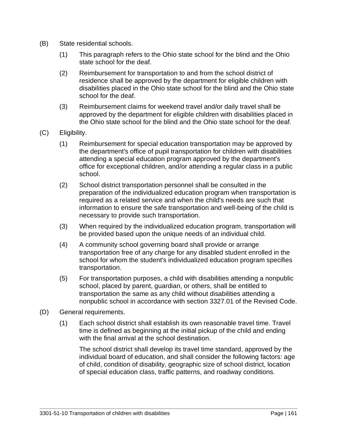- (B) State residential schools.
	- (1) This paragraph refers to the Ohio state school for the blind and the Ohio state school for the deaf.
	- (2) Reimbursement for transportation to and from the school district of residence shall be approved by the department for eligible children with disabilities placed in the Ohio state school for the blind and the Ohio state school for the deaf.
	- (3) Reimbursement claims for weekend travel and/or daily travel shall be approved by the department for eligible children with disabilities placed in the Ohio state school for the blind and the Ohio state school for the deaf.
- (C) Eligibility.
	- (1) Reimbursement for special education transportation may be approved by the department's office of pupil transportation for children with disabilities attending a special education program approved by the department's office for exceptional children, and/or attending a regular class in a public school.
	- (2) School district transportation personnel shall be consulted in the preparation of the individualized education program when transportation is required as a related service and when the child's needs are such that information to ensure the safe transportation and well-being of the child is necessary to provide such transportation.
	- (3) When required by the individualized education program, transportation will be provided based upon the unique needs of an individual child.
	- (4) A community school governing board shall provide or arrange transportation free of any charge for any disabled student enrolled in the school for whom the student's individualized education program specifies transportation.
	- (5) For transportation purposes, a child with disabilities attending a nonpublic school, placed by parent, guardian, or others, shall be entitled to transportation the same as any child without disabilities attending a nonpublic school in accordance with section 3327.01 of the Revised Code.
- (D) General requirements.
	- (1) Each school district shall establish its own reasonable travel time. Travel time is defined as beginning at the initial pickup of the child and ending with the final arrival at the school destination.

The school district shall develop its travel time standard, approved by the individual board of education, and shall consider the following factors: age of child, condition of disability, geographic size of school district, location of special education class, traffic patterns, and roadway conditions.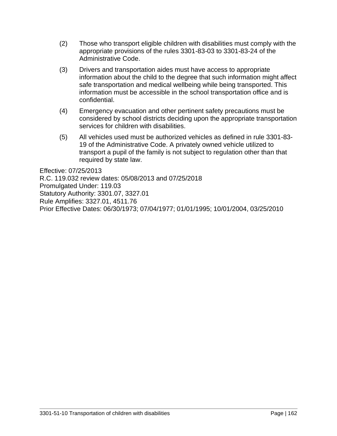- (2) Those who transport eligible children with disabilities must comply with the appropriate provisions of the rules 3301-83-03 to 3301-83-24 of the Administrative Code.
- (3) Drivers and transportation aides must have access to appropriate information about the child to the degree that such information might affect safe transportation and medical wellbeing while being transported. This information must be accessible in the school transportation office and is confidential.
- (4) Emergency evacuation and other pertinent safety precautions must be considered by school districts deciding upon the appropriate transportation services for children with disabilities.
- (5) All vehicles used must be authorized vehicles as defined in rule 3301-83- 19 of the Administrative Code. A privately owned vehicle utilized to transport a pupil of the family is not subject to regulation other than that required by state law.

Effective: 07/25/2013 R.C. 119.032 review dates: 05/08/2013 and 07/25/2018 Promulgated Under: 119.03 Statutory Authority: 3301.07, 3327.01 Rule Amplifies: 3327.01, 4511.76 Prior Effective Dates: 06/30/1973; 07/04/1977; 01/01/1995; 10/01/2004, 03/25/2010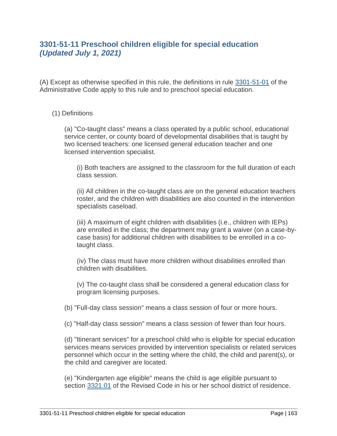## **3301-51-11 Preschool children eligible for special education** *(Updated July 1, 2021)*

(A) Except as otherwise specified in this rule, the definitions in rule [3301-51-01](https://codes.ohio.gov/ohio-administrative-code/rule-3301-51-01) of the Administrative Code apply to this rule and to preschool special education.

#### (1) Definitions

(a) "Co-taught class" means a class operated by a public school, educational service center, or county board of developmental disabilities that is taught by two licensed teachers: one licensed general education teacher and one licensed intervention specialist.

(i) Both teachers are assigned to the classroom for the full duration of each class session.

(ii) All children in the co-taught class are on the general education teachers roster, and the children with disabilities are also counted in the intervention specialists caseload.

(iii) A maximum of eight children with disabilities (i.e., children with IEPs) are enrolled in the class; the department may grant a waiver (on a case-bycase basis) for additional children with disabilities to be enrolled in a cotaught class.

(iv) The class must have more children without disabilities enrolled than children with disabilities.

(v) The co-taught class shall be considered a general education class for program licensing purposes.

(b) "Full-day class session" means a class session of four or more hours.

(c) "Half-day class session" means a class session of fewer than four hours.

(d) "Itinerant services" for a preschool child who is eligible for special education services means services provided by intervention specialists or related services personnel which occur in the setting where the child, the child and parent(s), or the child and caregiver are located.

(e) "Kindergarten age eligible" means the child is age eligible pursuant to section [3321.01](https://codes.ohio.gov/ohio-revised-code/section-3321.01) of the Revised Code in his or her school district of residence.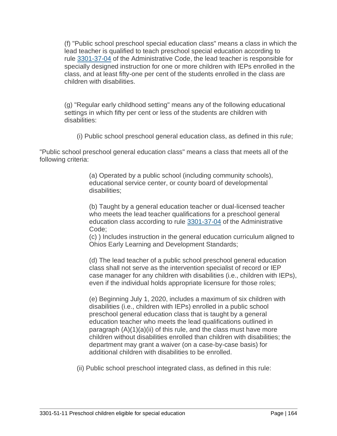(f) "Public school preschool special education class" means a class in which the lead teacher is qualified to teach preschool special education according to rule [3301-37-04](https://codes.ohio.gov/ohio-administrative-code/rule-3301-37-04) of the Administrative Code, the lead teacher is responsible for specially designed instruction for one or more children with IEPs enrolled in the class, and at least fifty-one per cent of the students enrolled in the class are children with disabilities.

(g) "Regular early childhood setting" means any of the following educational settings in which fifty per cent or less of the students are children with disabilities:

(i) Public school preschool general education class, as defined in this rule;

"Public school preschool general education class" means a class that meets all of the following criteria:

> (a) Operated by a public school (including community schools), educational service center, or county board of developmental disabilities;

(b) Taught by a general education teacher or dual-licensed teacher who meets the lead teacher qualifications for a preschool general education class according to rule [3301-37-04](https://codes.ohio.gov/ohio-administrative-code/rule-3301-37-04) of the Administrative Code;

(c) ) Includes instruction in the general education curriculum aligned to Ohios Early Learning and Development Standards;

(d) The lead teacher of a public school preschool general education class shall not serve as the intervention specialist of record or IEP case manager for any children with disabilities (i.e., children with IEPs), even if the individual holds appropriate licensure for those roles;

(e) Beginning July 1, 2020, includes a maximum of six children with disabilities (i.e., children with IEPs) enrolled in a public school preschool general education class that is taught by a general education teacher who meets the lead qualifications outlined in paragraph (A)(1)(a)(ii) of this rule, and the class must have more children without disabilities enrolled than children with disabilities; the department may grant a waiver (on a case-by-case basis) for additional children with disabilities to be enrolled.

(ii) Public school preschool integrated class, as defined in this rule: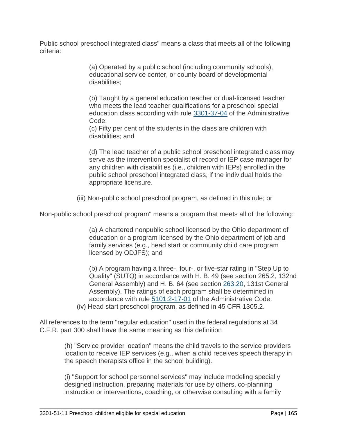Public school preschool integrated class" means a class that meets all of the following criteria:

> (a) Operated by a public school (including community schools), educational service center, or county board of developmental disabilities;

(b) Taught by a general education teacher or dual-licensed teacher who meets the lead teacher qualifications for a preschool special education class according with rule [3301-37-04](https://codes.ohio.gov/ohio-administrative-code/rule-3301-37-04) of the Administrative Code;

(c) Fifty per cent of the students in the class are children with disabilities; and

(d) The lead teacher of a public school preschool integrated class may serve as the intervention specialist of record or IEP case manager for any children with disabilities (i.e., children with IEPs) enrolled in the public school preschool integrated class, if the individual holds the appropriate licensure.

(iii) Non-public school preschool program, as defined in this rule; or

Non-public school preschool program" means a program that meets all of the following:

(a) A chartered nonpublic school licensed by the Ohio department of education or a program licensed by the Ohio department of job and family services (e.g., head start or community child care program licensed by ODJFS); and

(b) A program having a three-, four-, or five-star rating in "Step Up to Quality" (SUTQ) in accordance with H. B. 49 (see section 265.2, 132nd General Assembly) and H. B. 64 (see section [263.20,](https://codes.ohio.gov/ohio-revised-code/section-263.20) 131st General Assembly). The ratings of each program shall be determined in accordance with rule [5101:2-17-01](https://codes.ohio.gov/ohio-administrative-code/rule-5101:2-17-01) of the Administrative Code.

(iv) Head start preschool program, as defined in 45 CFR 1305.2.

All references to the term "regular education" used in the federal regulations at 34 C.F.R. part 300 shall have the same meaning as this definition

> (h) "Service provider location" means the child travels to the service providers location to receive IEP services (e.g., when a child receives speech therapy in the speech therapists office in the school building).

(i) "Support for school personnel services" may include modeling specially designed instruction, preparing materials for use by others, co-planning instruction or interventions, coaching, or otherwise consulting with a family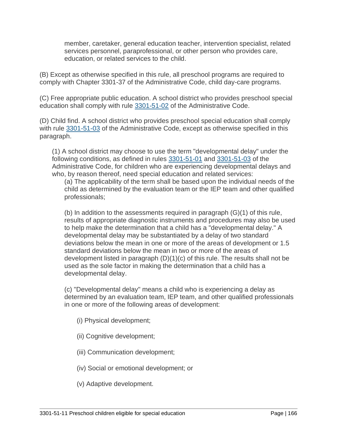member, caretaker, general education teacher, intervention specialist, related services personnel, paraprofessional, or other person who provides care, education, or related services to the child.

(B) Except as otherwise specified in this rule, all preschool programs are required to comply with Chapter 3301-37 of the Administrative Code, child day-care programs.

(C) Free appropriate public education. A school district who provides preschool special education shall comply with rule [3301-51-02](https://codes.ohio.gov/ohio-administrative-code/rule-3301-51-02) of the Administrative Code.

(D) Child find. A school district who provides preschool special education shall comply with rule [3301-51-03](https://codes.ohio.gov/ohio-administrative-code/rule-3301-51-03) of the Administrative Code, except as otherwise specified in this paragraph.

(1) A school district may choose to use the term "developmental delay" under the following conditions, as defined in rules [3301-51-01](https://codes.ohio.gov/ohio-administrative-code/rule-3301-51-01) and [3301-51-03](https://codes.ohio.gov/ohio-administrative-code/rule-3301-51-03) of the Administrative Code, for children who are experiencing developmental delays and who, by reason thereof, need special education and related services:

(a) The applicability of the term shall be based upon the individual needs of the child as determined by the evaluation team or the IEP team and other qualified professionals;

(b) In addition to the assessments required in paragraph (G)(1) of this rule, results of appropriate diagnostic instruments and procedures may also be used to help make the determination that a child has a "developmental delay." A developmental delay may be substantiated by a delay of two standard deviations below the mean in one or more of the areas of development or 1.5 standard deviations below the mean in two or more of the areas of development listed in paragraph (D)(1)(c) of this rule. The results shall not be used as the sole factor in making the determination that a child has a developmental delay.

(c) "Developmental delay" means a child who is experiencing a delay as determined by an evaluation team, IEP team, and other qualified professionals in one or more of the following areas of development:

- (i) Physical development;
- (ii) Cognitive development;
- (iii) Communication development;
- (iv) Social or emotional development; or
- (v) Adaptive development.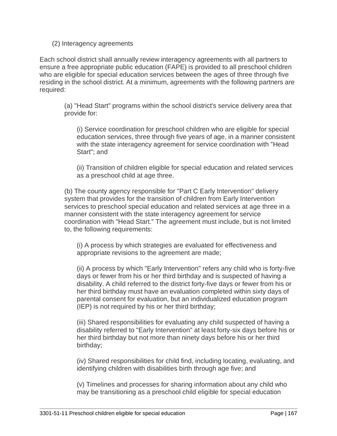#### (2) Interagency agreements

Each school district shall annually review interagency agreements with all partners to ensure a free appropriate public education (FAPE) is provided to all preschool children who are eligible for special education services between the ages of three through five residing in the school district. At a minimum, agreements with the following partners are required:

(a) "Head Start" programs within the school district's service delivery area that provide for:

(i) Service coordination for preschool children who are eligible for special education services, three through five years of age, in a manner consistent with the state interagency agreement for service coordination with "Head Start"; and

(ii) Transition of children eligible for special education and related services as a preschool child at age three.

(b) The county agency responsible for "Part C Early Intervention" delivery system that provides for the transition of children from Early Intervention services to preschool special education and related services at age three in a manner consistent with the state interagency agreement for service coordination with "Head Start." The agreement must include, but is not limited to, the following requirements:

(i) A process by which strategies are evaluated for effectiveness and appropriate revisions to the agreement are made;

(ii) A process by which "Early Intervention" refers any child who is forty-five days or fewer from his or her third birthday and is suspected of having a disability. A child referred to the district forty-five days or fewer from his or her third birthday must have an evaluation completed within sixty days of parental consent for evaluation, but an individualized education program (IEP) is not required by his or her third birthday;

(iii) Shared responsibilities for evaluating any child suspected of having a disability referred to "Early Intervention" at least forty-six days before his or her third birthday but not more than ninety days before his or her third birthday;

(iv) Shared responsibilities for child find, including locating, evaluating, and identifying children with disabilities birth through age five; and

(v) Timelines and processes for sharing information about any child who may be transitioning as a preschool child eligible for special education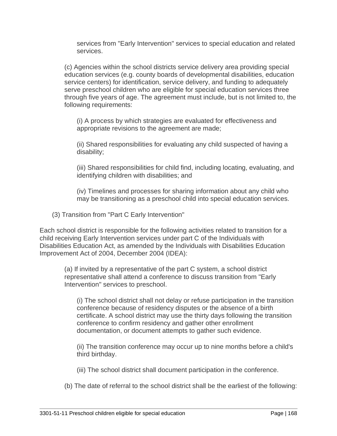services from "Early Intervention" services to special education and related services.

(c) Agencies within the school districts service delivery area providing special education services (e.g. county boards of developmental disabilities, education service centers) for identification, service delivery, and funding to adequately serve preschool children who are eligible for special education services three through five years of age. The agreement must include, but is not limited to, the following requirements:

(i) A process by which strategies are evaluated for effectiveness and appropriate revisions to the agreement are made;

(ii) Shared responsibilities for evaluating any child suspected of having a disability;

(iii) Shared responsibilities for child find, including locating, evaluating, and identifying children with disabilities; and

(iv) Timelines and processes for sharing information about any child who may be transitioning as a preschool child into special education services.

(3) Transition from "Part C Early Intervention"

Each school district is responsible for the following activities related to transition for a child receiving Early Intervention services under part C of the Individuals with Disabilities Education Act, as amended by the Individuals with Disabilities Education Improvement Act of 2004, December 2004 (IDEA):

(a) If invited by a representative of the part C system, a school district representative shall attend a conference to discuss transition from "Early Intervention" services to preschool.

(i) The school district shall not delay or refuse participation in the transition conference because of residency disputes or the absence of a birth certificate. A school district may use the thirty days following the transition conference to confirm residency and gather other enrollment documentation, or document attempts to gather such evidence.

(ii) The transition conference may occur up to nine months before a child's third birthday.

(iii) The school district shall document participation in the conference.

(b) The date of referral to the school district shall be the earliest of the following: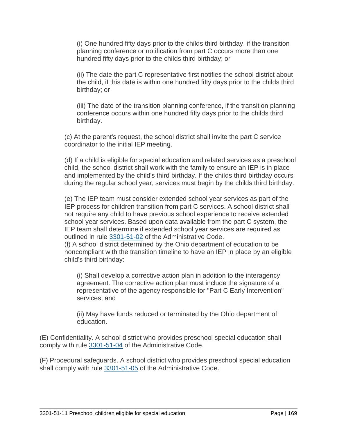(i) One hundred fifty days prior to the childs third birthday, if the transition planning conference or notification from part C occurs more than one hundred fifty days prior to the childs third birthday; or

(ii) The date the part C representative first notifies the school district about the child, if this date is within one hundred fifty days prior to the childs third birthday; or

(iii) The date of the transition planning conference, if the transition planning conference occurs within one hundred fifty days prior to the childs third birthday.

(c) At the parent's request, the school district shall invite the part C service coordinator to the initial IEP meeting.

(d) If a child is eligible for special education and related services as a preschool child, the school district shall work with the family to ensure an IEP is in place and implemented by the child's third birthday. If the childs third birthday occurs during the regular school year, services must begin by the childs third birthday.

(e) The IEP team must consider extended school year services as part of the IEP process for children transition from part C services. A school district shall not require any child to have previous school experience to receive extended school year services. Based upon data available from the part C system, the IEP team shall determine if extended school year services are required as outlined in rule [3301-51-02](https://codes.ohio.gov/ohio-administrative-code/rule-3301-51-02) of the Administrative Code.

(f) A school district determined by the Ohio department of education to be noncompliant with the transition timeline to have an IEP in place by an eligible child's third birthday:

(i) Shall develop a corrective action plan in addition to the interagency agreement. The corrective action plan must include the signature of a representative of the agency responsible for "Part C Early Intervention" services; and

(ii) May have funds reduced or terminated by the Ohio department of education.

(E) Confidentiality. A school district who provides preschool special education shall comply with rule [3301-51-04](https://codes.ohio.gov/ohio-administrative-code/rule-3301-51-04) of the Administrative Code.

(F) Procedural safeguards. A school district who provides preschool special education shall comply with rule [3301-51-05](https://codes.ohio.gov/ohio-administrative-code/rule-3301-51-05) of the Administrative Code.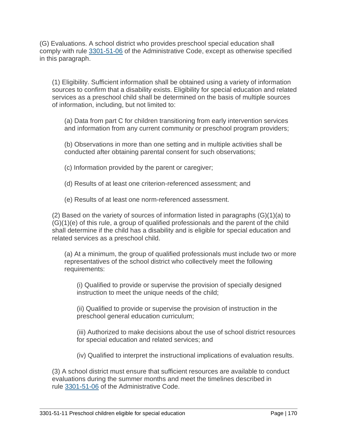(G) Evaluations. A school district who provides preschool special education shall comply with rule [3301-51-06](https://codes.ohio.gov/ohio-administrative-code/rule-3301-51-06) of the Administrative Code, except as otherwise specified in this paragraph.

(1) Eligibility. Sufficient information shall be obtained using a variety of information sources to confirm that a disability exists. Eligibility for special education and related services as a preschool child shall be determined on the basis of multiple sources of information, including, but not limited to:

(a) Data from part C for children transitioning from early intervention services and information from any current community or preschool program providers;

(b) Observations in more than one setting and in multiple activities shall be conducted after obtaining parental consent for such observations;

(c) Information provided by the parent or caregiver;

(d) Results of at least one criterion-referenced assessment; and

(e) Results of at least one norm-referenced assessment.

 $(2)$  Based on the variety of sources of information listed in paragraphs  $(G)(1)(a)$  to (G)(1)(e) of this rule, a group of qualified professionals and the parent of the child shall determine if the child has a disability and is eligible for special education and related services as a preschool child.

(a) At a minimum, the group of qualified professionals must include two or more representatives of the school district who collectively meet the following requirements:

(i) Qualified to provide or supervise the provision of specially designed instruction to meet the unique needs of the child;

(ii) Qualified to provide or supervise the provision of instruction in the preschool general education curriculum;

(iii) Authorized to make decisions about the use of school district resources for special education and related services; and

(iv) Qualified to interpret the instructional implications of evaluation results.

(3) A school district must ensure that sufficient resources are available to conduct evaluations during the summer months and meet the timelines described in rule [3301-51-06](https://codes.ohio.gov/ohio-administrative-code/rule-3301-51-06) of the Administrative Code.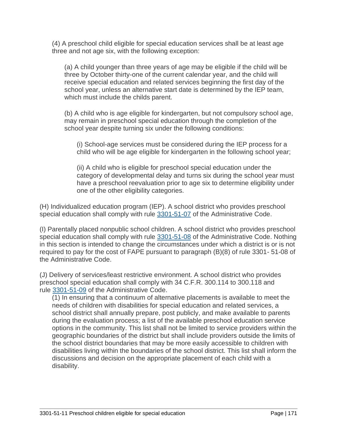(4) A preschool child eligible for special education services shall be at least age three and not age six, with the following exception:

(a) A child younger than three years of age may be eligible if the child will be three by October thirty-one of the current calendar year, and the child will receive special education and related services beginning the first day of the school year, unless an alternative start date is determined by the IEP team, which must include the childs parent.

(b) A child who is age eligible for kindergarten, but not compulsory school age, may remain in preschool special education through the completion of the school year despite turning six under the following conditions:

(i) School-age services must be considered during the IEP process for a child who will be age eligible for kindergarten in the following school year;

(ii) A child who is eligible for preschool special education under the category of developmental delay and turns six during the school year must have a preschool reevaluation prior to age six to determine eligibility under one of the other eligibility categories.

(H) Individualized education program (IEP). A school district who provides preschool special education shall comply with rule [3301-51-07](https://codes.ohio.gov/ohio-administrative-code/rule-3301-51-07) of the Administrative Code.

(I) Parentally placed nonpublic school children. A school district who provides preschool special education shall comply with rule [3301-51-08](https://codes.ohio.gov/ohio-administrative-code/rule-3301-51-08) of the Administrative Code. Nothing in this section is intended to change the circumstances under which a district is or is not required to pay for the cost of FAPE pursuant to paragraph (B)(8) of rule 3301- 51-08 of the Administrative Code.

(J) Delivery of services/least restrictive environment. A school district who provides preschool special education shall comply with 34 C.F.R. 300.114 to 300.118 and rule [3301-51-09](https://codes.ohio.gov/ohio-administrative-code/rule-3301-51-09) of the Administrative Code.

(1) In ensuring that a continuum of alternative placements is available to meet the needs of children with disabilities for special education and related services, a school district shall annually prepare, post publicly, and make available to parents during the evaluation process; a list of the available preschool education service options in the community. This list shall not be limited to service providers within the geographic boundaries of the district but shall include providers outside the limits of the school district boundaries that may be more easily accessible to children with disabilities living within the boundaries of the school district. This list shall inform the discussions and decision on the appropriate placement of each child with a disability.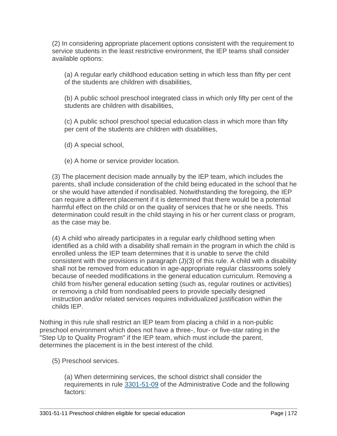(2) In considering appropriate placement options consistent with the requirement to service students in the least restrictive environment, the IEP teams shall consider available options:

(a) A regular early childhood education setting in which less than fifty per cent of the students are children with disabilities,

(b) A public school preschool integrated class in which only fifty per cent of the students are children with disabilities,

(c) A public school preschool special education class in which more than fifty per cent of the students are children with disabilities,

(d) A special school,

(e) A home or service provider location.

(3) The placement decision made annually by the IEP team, which includes the parents, shall include consideration of the child being educated in the school that he or she would have attended if nondisabled. Notwithstanding the foregoing, the IEP can require a different placement if it is determined that there would be a potential harmful effect on the child or on the quality of services that he or she needs. This determination could result in the child staying in his or her current class or program, as the case may be.

(4) A child who already participates in a regular early childhood setting when identified as a child with a disability shall remain in the program in which the child is enrolled unless the IEP team determines that it is unable to serve the child consistent with the provisions in paragraph (J)(3) of this rule. A child with a disability shall not be removed from education in age-appropriate regular classrooms solely because of needed modifications in the general education curriculum. Removing a child from his/her general education setting (such as, regular routines or activities) or removing a child from nondisabled peers to provide specially designed instruction and/or related services requires individualized justification within the childs IEP.

Nothing in this rule shall restrict an IEP team from placing a child in a non-public preschool environment which does not have a three-, four- or five-star rating in the "Step Up to Quality Program" if the IEP team, which must include the parent, determines the placement is in the best interest of the child.

(5) Preschool services.

(a) When determining services, the school district shall consider the requirements in rule [3301-51-09](https://codes.ohio.gov/ohio-administrative-code/rule-3301-51-09) of the Administrative Code and the following factors: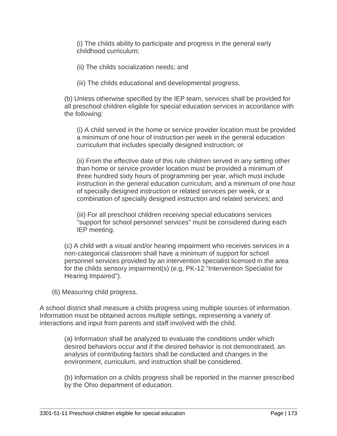(i) The childs ability to participate and progress in the general early childhood curriculum;

- (ii) The childs socialization needs; and
- (iii) The childs educational and developmental progress.

(b) Unless otherwise specified by the IEP team, services shall be provided for all preschool children eligible for special education services in accordance with the following:

(i) A child served in the home or service provider location must be provided a minimum of one hour of instruction per week in the general education curriculum that includes specially designed instruction; or

(ii) From the effective date of this rule children served in any setting other than home or service provider location must be provided a minimum of three hundred sixty hours of programming per year, which must include instruction in the general education curriculum, and a minimum of one hour of specially designed instruction or related services per week, or a combination of specially designed instruction and related services; and

(iii) For all preschool children receiving special educations services "support for school personnel services" must be considered during each IEP meeting.

(c) A child with a visual and/or hearing impairment who receives services in a non-categorical classroom shall have a minimum of support for school personnel services provided by an intervention specialist licensed in the area for the childs sensory impairment(s) (e.g, PK-12 "Intervention Specialist for Hearing Impaired").

(6) Measuring child progress.

A school district shall measure a childs progress using multiple sources of information. Information must be obtained across multiple settings, representing a variety of interactions and input from parents and staff involved with the child.

(a) Information shall be analyzed to evaluate the conditions under which desired behaviors occur and if the desired behavior is not demonstrated, an analysis of contributing factors shall be conducted and changes in the environment, curriculum, and instruction shall be considered.

(b) Information on a childs progress shall be reported in the manner prescribed by the Ohio department of education.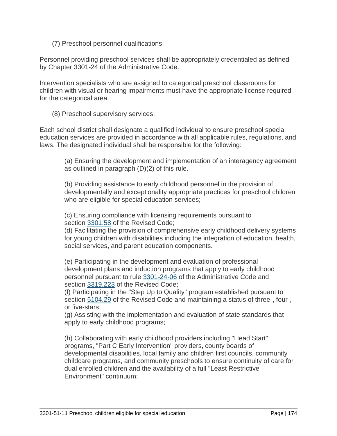(7) Preschool personnel qualifications.

Personnel providing preschool services shall be appropriately credentialed as defined by Chapter 3301-24 of the Administrative Code.

Intervention specialists who are assigned to categorical preschool classrooms for children with visual or hearing impairments must have the appropriate license required for the categorical area.

(8) Preschool supervisory services.

Each school district shall designate a qualified individual to ensure preschool special education services are provided in accordance with all applicable rules, regulations, and laws. The designated individual shall be responsible for the following:

(a) Ensuring the development and implementation of an interagency agreement as outlined in paragraph (D)(2) of this rule.

(b) Providing assistance to early childhood personnel in the provision of developmentally and exceptionality appropriate practices for preschool children who are eligible for special education services;

(c) Ensuring compliance with licensing requirements pursuant to section [3301.58](https://codes.ohio.gov/ohio-revised-code/section-3301.58) of the Revised Code;

(d) Facilitating the provision of comprehensive early childhood delivery systems for young children with disabilities including the integration of education, health, social services, and parent education components.

(e) Participating in the development and evaluation of professional development plans and induction programs that apply to early childhood personnel pursuant to rule [3301-24-06](https://codes.ohio.gov/ohio-administrative-code/rule-3301-24-06) of the Administrative Code and section [3319.223](https://codes.ohio.gov/ohio-revised-code/section-3319.223) of the Revised Code;

(f) Participating in the "Step Up to Quality" program established pursuant to section [5104.29](https://codes.ohio.gov/ohio-revised-code/section-5104.29) of the Revised Code and maintaining a status of three-, four-, or five-stars;

(g) Assisting with the implementation and evaluation of state standards that apply to early childhood programs;

(h) Collaborating with early childhood providers including "Head Start" programs, "Part C Early Intervention" providers, county boards of developmental disabilities, local family and children first councils, community childcare programs, and community preschools to ensure continuity of care for dual enrolled children and the availability of a full "Least Restrictive Environment" continuum;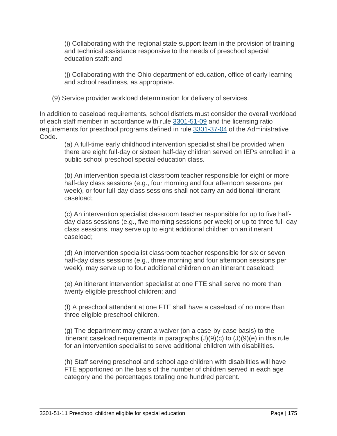(i) Collaborating with the regional state support team in the provision of training and technical assistance responsive to the needs of preschool special education staff; and

(j) Collaborating with the Ohio department of education, office of early learning and school readiness, as appropriate.

(9) Service provider workload determination for delivery of services.

In addition to caseload requirements, school districts must consider the overall workload of each staff member in accordance with rule [3301-51-09](https://codes.ohio.gov/ohio-administrative-code/rule-3301-51-09) and the licensing ratio requirements for preschool programs defined in rule [3301-37-04](https://codes.ohio.gov/ohio-administrative-code/rule-3301-37-04) of the Administrative Code.

(a) A full-time early childhood intervention specialist shall be provided when there are eight full-day or sixteen half-day children served on IEPs enrolled in a public school preschool special education class.

(b) An intervention specialist classroom teacher responsible for eight or more half-day class sessions (e.g., four morning and four afternoon sessions per week), or four full-day class sessions shall not carry an additional itinerant caseload;

(c) An intervention specialist classroom teacher responsible for up to five halfday class sessions (e.g., five morning sessions per week) or up to three full-day class sessions, may serve up to eight additional children on an itinerant caseload;

(d) An intervention specialist classroom teacher responsible for six or seven half-day class sessions (e.g., three morning and four afternoon sessions per week), may serve up to four additional children on an itinerant caseload;

(e) An itinerant intervention specialist at one FTE shall serve no more than twenty eligible preschool children; and

(f) A preschool attendant at one FTE shall have a caseload of no more than three eligible preschool children.

(g) The department may grant a waiver (on a case-by-case basis) to the itinerant caseload requirements in paragraphs  $(J)(9)(c)$  to  $(J)(9)(e)$  in this rule for an intervention specialist to serve additional children with disabilities.

(h) Staff serving preschool and school age children with disabilities will have FTE apportioned on the basis of the number of children served in each age category and the percentages totaling one hundred percent.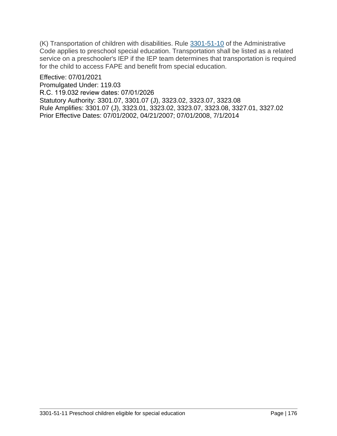(K) Transportation of children with disabilities. Rule [3301-51-10](https://codes.ohio.gov/ohio-administrative-code/rule-3301-51-10) of the Administrative Code applies to preschool special education. Transportation shall be listed as a related service on a preschooler's IEP if the IEP team determines that transportation is required for the child to access FAPE and benefit from special education.

Effective: 07/01/2021 Promulgated Under: 119.03 R.C. 119.032 review dates: 07/01/2026 Statutory Authority: 3301.07, 3301.07 (J), 3323.02, 3323.07, 3323.08 Rule Amplifies: 3301.07 (J), 3323.01, 3323.02, 3323.07, 3323.08, 3327.01, 3327.02 Prior Effective Dates: 07/01/2002, 04/21/2007; 07/01/2008, 7/1/2014